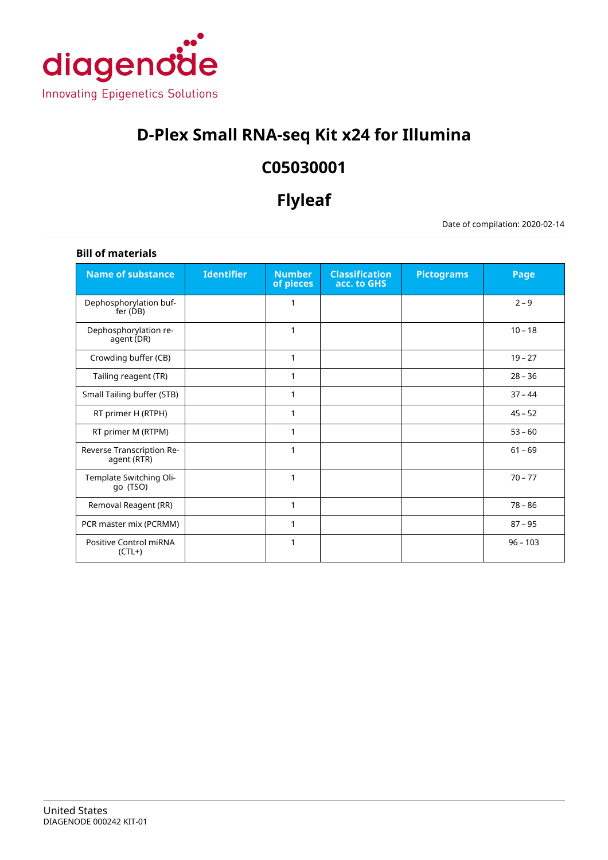

# **D-Plex Small RNA-seq Kit x24 for Illumina**

# **C05030001**

# **Flyleaf**

Date of compilation: 2020-02-14

| <b>Bill of materials</b>                 |                   |                            |                                      |                   |            |
|------------------------------------------|-------------------|----------------------------|--------------------------------------|-------------------|------------|
| <b>Name of substance</b>                 | <b>Identifier</b> | <b>Number</b><br>of pieces | <b>Classification</b><br>acc. to GHS | <b>Pictograms</b> | Page       |
| Dephosphorylation buf-<br>fer (DB)       |                   | 1                          |                                      |                   | $2 - 9$    |
| Dephosphorylation re-<br>agent (DR)      |                   | 1                          |                                      |                   | $10 - 18$  |
| Crowding buffer (CB)                     |                   | 1                          |                                      |                   | $19 - 27$  |
| Tailing reagent (TR)                     |                   | 1                          |                                      |                   | $28 - 36$  |
| Small Tailing buffer (STB)               |                   | 1                          |                                      |                   | $37 - 44$  |
| RT primer H (RTPH)                       |                   | 1                          |                                      |                   | $45 - 52$  |
| RT primer M (RTPM)                       |                   | 1                          |                                      |                   | $53 - 60$  |
| Reverse Transcription Re-<br>agent (RTR) |                   | 1                          |                                      |                   | $61 - 69$  |
| Template Switching Oli-<br>go (TSO)      |                   | 1                          |                                      |                   | $70 - 77$  |
| Removal Reagent (RR)                     |                   | 1                          |                                      |                   | $78 - 86$  |
| PCR master mix (PCRMM)                   |                   | 1                          |                                      |                   | $87 - 95$  |
| Positive Control miRNA<br>$(CL+)$        |                   | 1                          |                                      |                   | $96 - 103$ |

# **Bill of materials**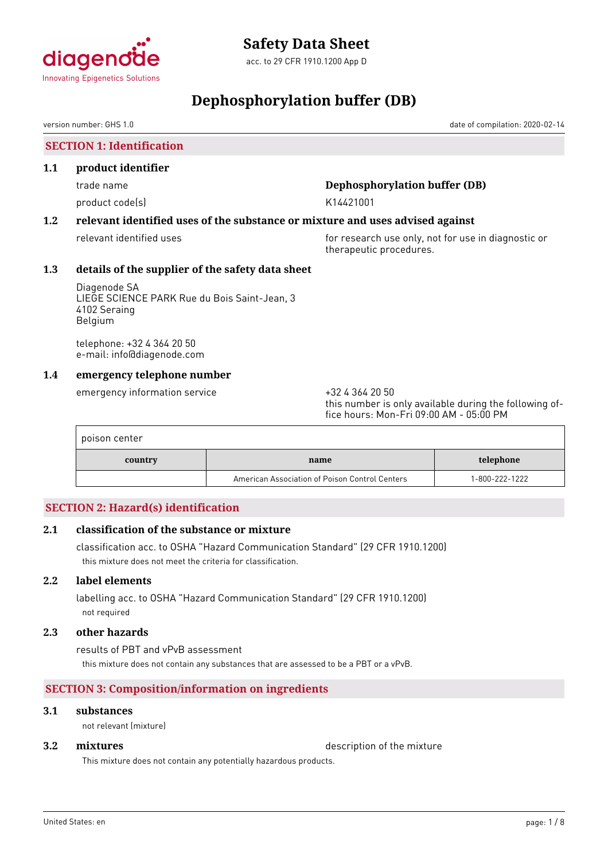<span id="page-1-0"></span>

# **Dephosphorylation buffer (DB)**

version number: GHS 1.0 date of compilation: 2020-02-14

**SECTION 1: Identification**

### **1.1 product identifier**

product code(s) and the control of the K14421001

# trade name **Dephosphorylation buffer (DB)**

# **1.2 relevant identified uses of the substance or mixture and uses advised against**

relevant identified uses **for research use only, not for use in diagnostic or** for use in diagnostic or therapeutic procedures.

# **1.3 details of the supplier of the safety data sheet**

Diagenode SA LIEGE SCIENCE PARK Rue du Bois Saint-Jean, 3 4102 Seraing Belgium

telephone: +32 4 364 20 50 e-mail: info@diagenode.com

# **1.4 emergency telephone number**

emergency information service  $+3243642050$ 

this number is only available during the following office hours: Mon-Fri 09:00 AM - 05:00 PM

| poison center |                                                |                |
|---------------|------------------------------------------------|----------------|
| country       | name                                           | telephone      |
|               | American Association of Poison Control Centers | 1-800-222-1222 |

# **SECTION 2: Hazard(s) identification**

# **2.1 classification of the substance or mixture**

classification acc. to OSHA "Hazard Communication Standard" (29 CFR 1910.1200) this mixture does not meet the criteria for classification.

# **2.2 label elements**

labelling acc. to OSHA "Hazard Communication Standard" (29 CFR 1910.1200) not required

# **2.3 other hazards**

results of PBT and vPvB assessment this mixture does not contain any substances that are assessed to be a PBT or a vPvB.

# **SECTION 3: Composition/information on ingredients**

### **3.1 substances**

not relevant (mixture)

**3.2 <b>mixtures** description of the mixture

This mixture does not contain any potentially hazardous products.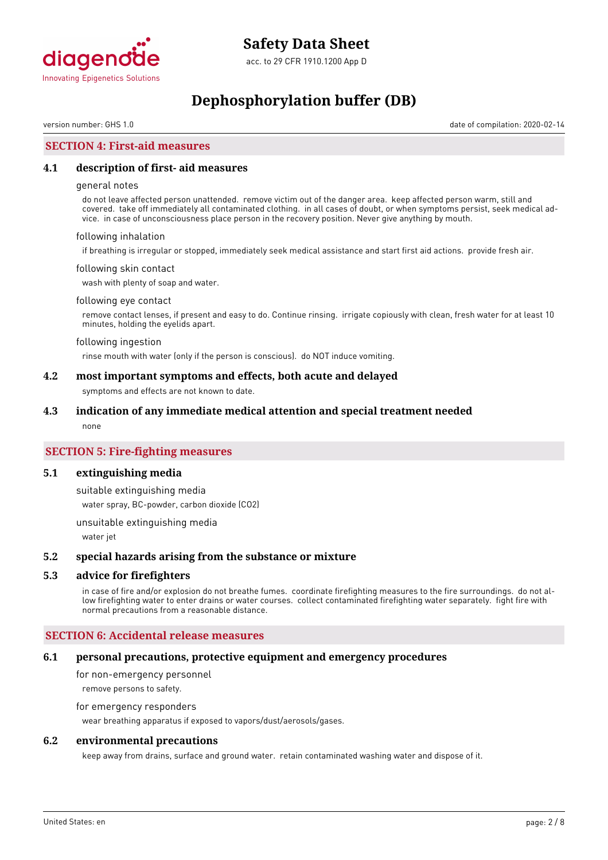

# **Dephosphorylation buffer (DB)**

version number: GHS 1.0 date of compilation: 2020-02-14

# **SECTION 4: First-aid measures**

#### **4.1 description of first- aid measures**

#### general notes

do not leave affected person unattended. remove victim out of the danger area. keep affected person warm, still and covered. take off immediately all contaminated clothing. in all cases of doubt, or when symptoms persist, seek medical advice. in case of unconsciousness place person in the recovery position. Never give anything by mouth.

#### following inhalation

if breathing is irregular or stopped, immediately seek medical assistance and start first aid actions. provide fresh air.

#### following skin contact

wash with plenty of soap and water.

#### following eye contact

remove contact lenses, if present and easy to do. Continue rinsing. irrigate copiously with clean, fresh water for at least 10 minutes, holding the eyelids apart.

#### following ingestion

rinse mouth with water (only if the person is conscious). do NOT induce vomiting.

#### **4.2 most important symptoms and effects, both acute and delayed**

symptoms and effects are not known to date.

#### **4.3 indication of any immediate medical attention and special treatment needed**

none

### **SECTION 5: Fire-fighting measures**

#### **5.1 extinguishing media**

suitable extinguishing media

water spray, BC-powder, carbon dioxide (CO2)

unsuitable extinguishing media

water jet

#### **5.2 special hazards arising from the substance or mixture**

#### **5.3 advice for firefighters**

in case of fire and/or explosion do not breathe fumes. coordinate firefighting measures to the fire surroundings. do not allow firefighting water to enter drains or water courses. collect contaminated firefighting water separately. fight fire with normal precautions from a reasonable distance.

#### **SECTION 6: Accidental release measures**

#### **6.1 personal precautions, protective equipment and emergency procedures**

for non-emergency personnel remove persons to safety.

# for emergency responders

wear breathing apparatus if exposed to vapors/dust/aerosols/gases.

#### **6.2 environmental precautions**

keep away from drains, surface and ground water. retain contaminated washing water and dispose of it.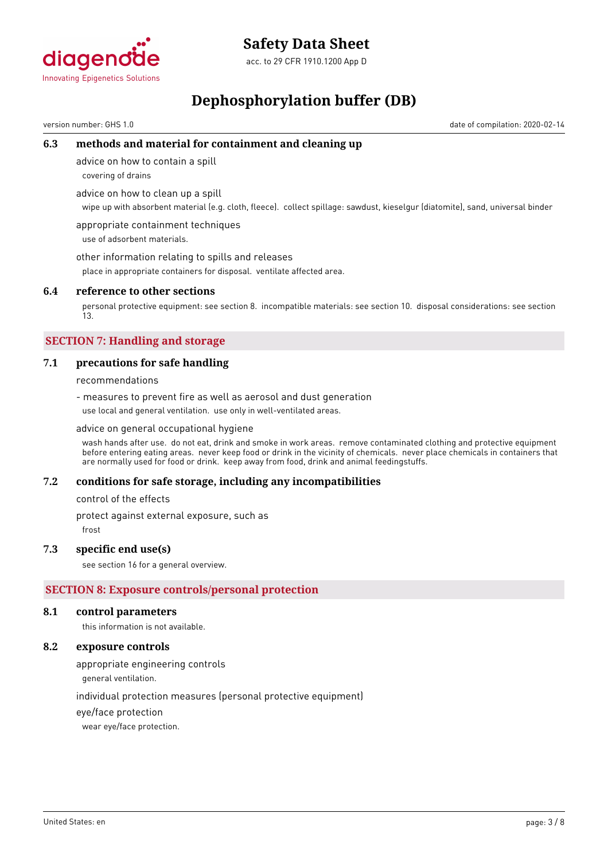

acc. to 29 CFR 1910.1200 App D

# **Dephosphorylation buffer (DB)**

version number: GHS 1.0 date of compilation: 2020-02-14

# **6.3 methods and material for containment and cleaning up**

advice on how to contain a spill

covering of drains

advice on how to clean up a spill

wipe up with absorbent material (e.g. cloth, fleece). collect spillage: sawdust, kieselgur (diatomite), sand, universal binder

appropriate containment techniques use of adsorbent materials.

other information relating to spills and releases

place in appropriate containers for disposal. ventilate affected area.

### **6.4 reference to other sections**

personal protective equipment: see section 8. incompatible materials: see section 10. disposal considerations: see section 13.

# **SECTION 7: Handling and storage**

# **7.1 precautions for safe handling**

recommendations

- measures to prevent fire as well as aerosol and dust generation use local and general ventilation. use only in well-ventilated areas.

#### advice on general occupational hygiene

wash hands after use. do not eat, drink and smoke in work areas. remove contaminated clothing and protective equipment before entering eating areas. never keep food or drink in the vicinity of chemicals. never place chemicals in containers that are normally used for food or drink. keep away from food, drink and animal feedingstuffs.

# **7.2 conditions for safe storage, including any incompatibilities**

control of the effects

protect against external exposure, such as

frost

# **7.3 specific end use(s)**

see section 16 for a general overview.

# **SECTION 8: Exposure controls/personal protection**

#### **8.1 control parameters**

this information is not available.

### **8.2 exposure controls**

appropriate engineering controls

general ventilation.

individual protection measures (personal protective equipment)

eye/face protection

wear eye/face protection.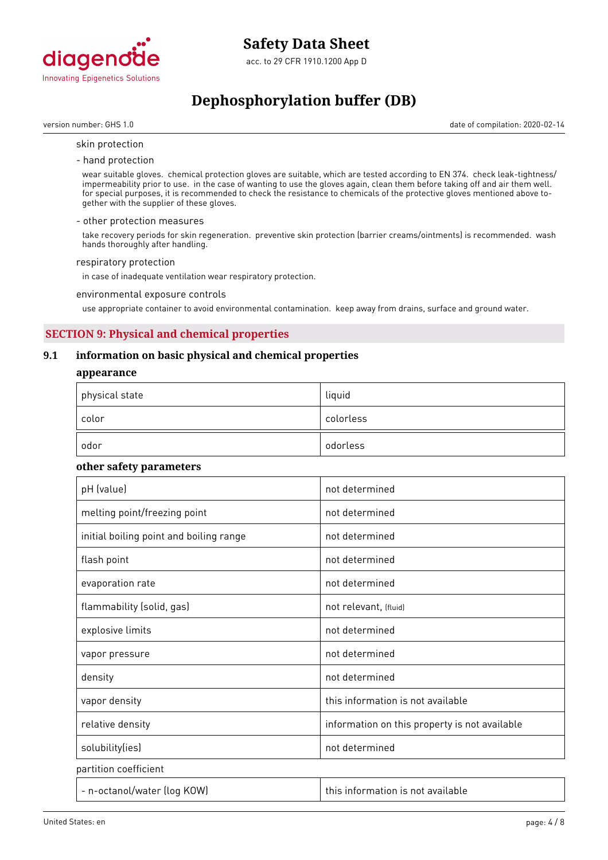

# **Dephosphorylation buffer (DB)**

version number: GHS 1.0 date of compilation: 2020-02-14

#### skin protection

- hand protection

wear suitable gloves. chemical protection gloves are suitable, which are tested according to EN 374. check leak-tightness/ impermeability prior to use. in the case of wanting to use the gloves again, clean them before taking off and air them well. for special purposes, it is recommended to check the resistance to chemicals of the protective gloves mentioned above together with the supplier of these gloves.

#### - other protection measures

take recovery periods for skin regeneration. preventive skin protection (barrier creams/ointments) is recommended. wash hands thoroughly after handling.

#### respiratory protection

in case of inadequate ventilation wear respiratory protection.

environmental exposure controls

use appropriate container to avoid environmental contamination. keep away from drains, surface and ground water.

# **SECTION 9: Physical and chemical properties**

# **9.1 information on basic physical and chemical properties**

#### **appearance**

| $^\mathrm{+}$ physical state | liquid    |
|------------------------------|-----------|
| color                        | colorless |
| odor                         | odorless  |

#### **other safety parameters**

| pH (value)                              | not determined                                |
|-----------------------------------------|-----------------------------------------------|
| melting point/freezing point            | not determined                                |
| initial boiling point and boiling range | not determined                                |
| flash point                             | not determined                                |
| evaporation rate                        | not determined                                |
| flammability (solid, gas)               | not relevant, (fluid)                         |
| explosive limits                        | not determined                                |
| vapor pressure                          | not determined                                |
| density                                 | not determined                                |
| vapor density                           | this information is not available             |
| relative density                        | information on this property is not available |
| solubility(ies)                         | not determined                                |
| partition coefficient                   |                                               |
| - n-octanol/water (log KOW)             | this information is not available             |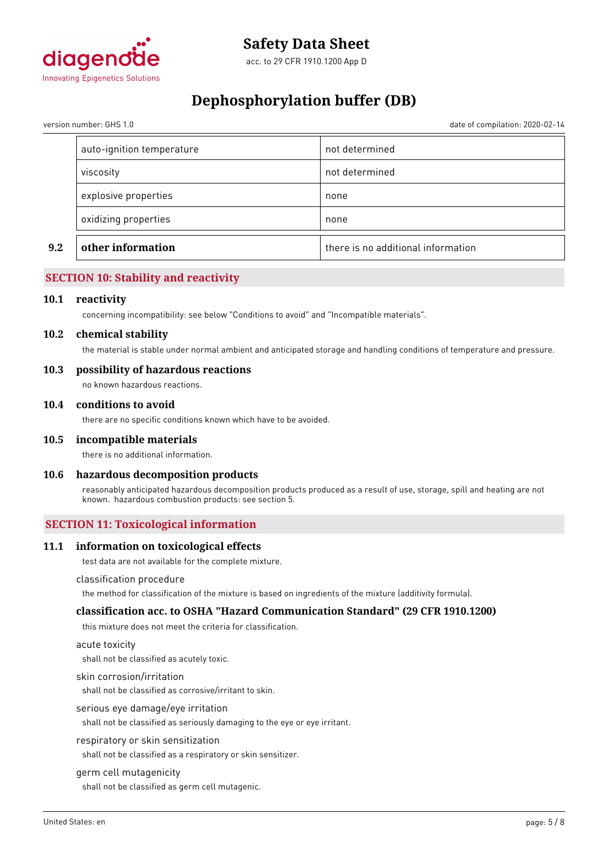

# **Dephosphorylation buffer (DB)**

date of compilation: 2020-02-14

| version number: GHS 1.0 |  |  |
|-------------------------|--|--|
|                         |  |  |

| 9.2 | other information         |                |
|-----|---------------------------|----------------|
|     | oxidizing properties      | none           |
|     | explosive properties      | none           |
|     | viscosity                 | not determined |
|     | auto-ignition temperature | not determined |

# **SECTION 10: Stability and reactivity**

#### **10.1 reactivity**

concerning incompatibility: see below "Conditions to avoid" and "Incompatible materials".

#### **10.2 chemical stability**

the material is stable under normal ambient and anticipated storage and handling conditions of temperature and pressure.

### **10.3 possibility of hazardous reactions**

no known hazardous reactions.

#### **10.4 conditions to avoid**

there are no specific conditions known which have to be avoided.

#### **10.5 incompatible materials**

there is no additional information.

#### **10.6 hazardous decomposition products**

reasonably anticipated hazardous decomposition products produced as a result of use, storage, spill and heating are not known. hazardous combustion products: see section 5.

# **SECTION 11: Toxicological information**

#### **11.1 information on toxicological effects**

test data are not available for the complete mixture.

#### classification procedure

the method for classification of the mixture is based on ingredients of the mixture (additivity formula).

#### **classification acc. to OSHA "Hazard Communication Standard" (29 CFR 1910.1200)**

this mixture does not meet the criteria for classification.

#### acute toxicity

shall not be classified as acutely toxic.

#### skin corrosion/irritation

shall not be classified as corrosive/irritant to skin.

#### serious eye damage/eye irritation

shall not be classified as seriously damaging to the eye or eye irritant.

#### respiratory or skin sensitization

shall not be classified as a respiratory or skin sensitizer.

#### germ cell mutagenicity

shall not be classified as germ cell mutagenic.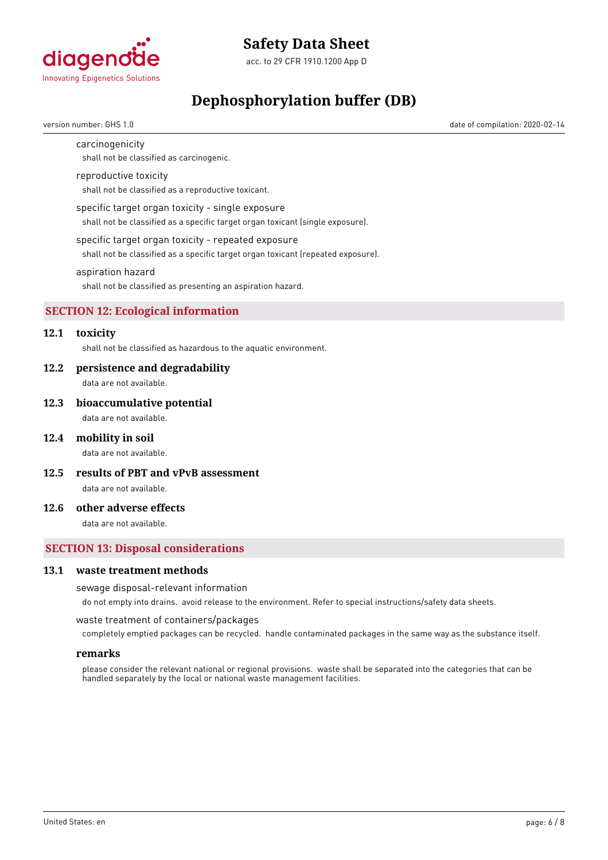

# **Dephosphorylation buffer (DB)**

version number: GHS 1.0 date of compilation: 2020-02-14

### carcinogenicity

shall not be classified as carcinogenic.

#### reproductive toxicity

shall not be classified as a reproductive toxicant.

#### specific target organ toxicity - single exposure

shall not be classified as a specific target organ toxicant (single exposure).

#### specific target organ toxicity - repeated exposure

shall not be classified as a specific target organ toxicant (repeated exposure).

#### aspiration hazard

shall not be classified as presenting an aspiration hazard.

# **SECTION 12: Ecological information**

# **12.1 toxicity**

shall not be classified as hazardous to the aquatic environment.

#### **12.2 persistence and degradability**

data are not available.

#### **12.3 bioaccumulative potential**

data are not available.

#### **12.4 mobility in soil**

data are not available.

**12.5 results of PBT and vPvB assessment**

data are not available.

### **12.6 other adverse effects**

data are not available.

### **SECTION 13: Disposal considerations**

#### **13.1 waste treatment methods**

#### sewage disposal-relevant information

do not empty into drains. avoid release to the environment. Refer to special instructions/safety data sheets.

waste treatment of containers/packages

completely emptied packages can be recycled. handle contaminated packages in the same way as the substance itself.

#### **remarks**

please consider the relevant national or regional provisions. waste shall be separated into the categories that can be handled separately by the local or national waste management facilities.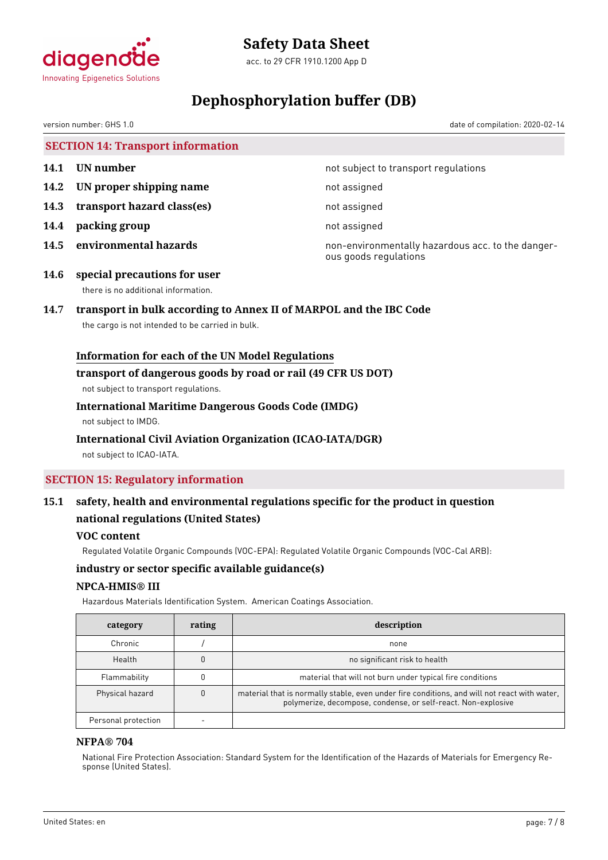

acc. to 29 CFR 1910.1200 App D

# **Dephosphorylation buffer (DB)**

version number: GHS 1.0 date of compilation: 2020-02-14

**SECTION 14: Transport information**

- 
- **14.2 IN proper shipping name** not assigned
- **14.3 transport hazard class(es)** not assigned
- **14.4 packing group not assigned**
- 

**14.1 UN number 14.1 UN** number

**14.5 environmental hazards non-environmentally hazardous acc. to the danger**ous goods regulations

**14.6 special precautions for user** there is no additional information.

# **14.7 transport in bulk according to Annex II of MARPOL and the IBC Code**

the cargo is not intended to be carried in bulk.

# **Information for each of the UN Model Regulations**

### **transport of dangerous goods by road or rail (49 CFR US DOT)**

not subject to transport regulations.

# **International Maritime Dangerous Goods Code (IMDG)**

not subject to IMDG.

# **International Civil Aviation Organization (ICAO-IATA/DGR)**

not subject to ICAO-IATA.

# **SECTION 15: Regulatory information**

# **15.1 safety, health and environmental regulations specific for the product in question national regulations (United States)**

# **VOC content**

Regulated Volatile Organic Compounds (VOC-EPA): Regulated Volatile Organic Compounds (VOC-Cal ARB):

# **industry or sector specific available guidance(s)**

# **NPCA-HMIS® III**

Hazardous Materials Identification System. American Coatings Association.

| category            | rating | description                                                                                                                                                   |
|---------------------|--------|---------------------------------------------------------------------------------------------------------------------------------------------------------------|
| Chronic             |        | none                                                                                                                                                          |
| Health              |        | no significant risk to health                                                                                                                                 |
| Flammability        |        | material that will not burn under typical fire conditions                                                                                                     |
| Physical hazard     |        | material that is normally stable, even under fire conditions, and will not react with water,<br>polymerize, decompose, condense, or self-react. Non-explosive |
| Personal protection |        |                                                                                                                                                               |

# **NFPA® 704**

National Fire Protection Association: Standard System for the Identification of the Hazards of Materials for Emergency Response (United States).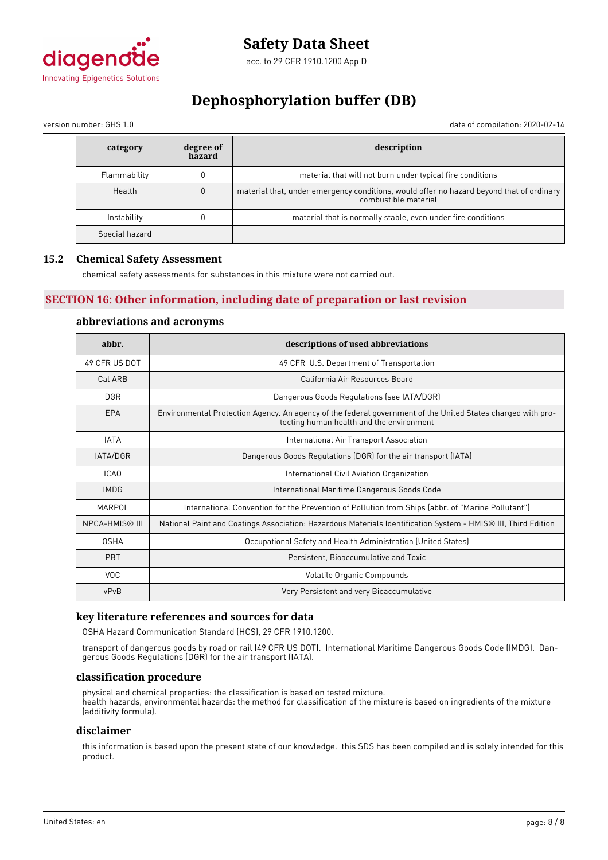

# **Dephosphorylation buffer (DB)**

version number: GHS 1.0 date of compilation: 2020-02-14

| category       | degree of<br>hazard | description                                                                                                      |
|----------------|---------------------|------------------------------------------------------------------------------------------------------------------|
| Flammability   |                     | material that will not burn under typical fire conditions                                                        |
| Health         | $\mathbf{0}$        | material that, under emergency conditions, would offer no hazard beyond that of ordinary<br>combustible material |
| Instability    |                     | material that is normally stable, even under fire conditions                                                     |
| Special hazard |                     |                                                                                                                  |

# **15.2 Chemical Safety Assessment**

chemical safety assessments for substances in this mixture were not carried out.

# **SECTION 16: Other information, including date of preparation or last revision**

# **abbreviations and acronyms**

| abbr.                 | descriptions of used abbreviations                                                                                                                      |
|-----------------------|---------------------------------------------------------------------------------------------------------------------------------------------------------|
| 49 CFR US DOT         | 49 CFR U.S. Department of Transportation                                                                                                                |
| Cal ARB               | California Air Resources Board                                                                                                                          |
| <b>DGR</b>            | Dangerous Goods Regulations (see IATA/DGR)                                                                                                              |
| EPA                   | Environmental Protection Agency. An agency of the federal government of the United States charged with pro-<br>tecting human health and the environment |
| <b>IATA</b>           | International Air Transport Association                                                                                                                 |
| IATA/DGR              | Dangerous Goods Regulations (DGR) for the air transport (IATA)                                                                                          |
| ICA <sub>0</sub>      | International Civil Aviation Organization                                                                                                               |
| <b>IMDG</b>           | International Maritime Dangerous Goods Code                                                                                                             |
| MARPOL                | International Convention for the Prevention of Pollution from Ships (abbr. of "Marine Pollutant")                                                       |
| <b>NPCA-HMIS® III</b> | National Paint and Coatings Association: Hazardous Materials Identification System - HMIS® III, Third Edition                                           |
| <b>OSHA</b>           | Occupational Safety and Health Administration (United States)                                                                                           |
| <b>PBT</b>            | Persistent, Bioaccumulative and Toxic                                                                                                                   |
| <b>VOC</b>            | Volatile Organic Compounds                                                                                                                              |
| vPvB                  | Very Persistent and very Bioaccumulative                                                                                                                |

# **key literature references and sources for data**

OSHA Hazard Communication Standard (HCS), 29 CFR 1910.1200.

transport of dangerous goods by road or rail (49 CFR US DOT). International Maritime Dangerous Goods Code (IMDG). Dangerous Goods Regulations (DGR) for the air transport (IATA).

#### **classification procedure**

physical and chemical properties: the classification is based on tested mixture. health hazards, environmental hazards: the method for classification of the mixture is based on ingredients of the mixture (additivity formula).

#### **disclaimer**

this information is based upon the present state of our knowledge. this SDS has been compiled and is solely intended for this product.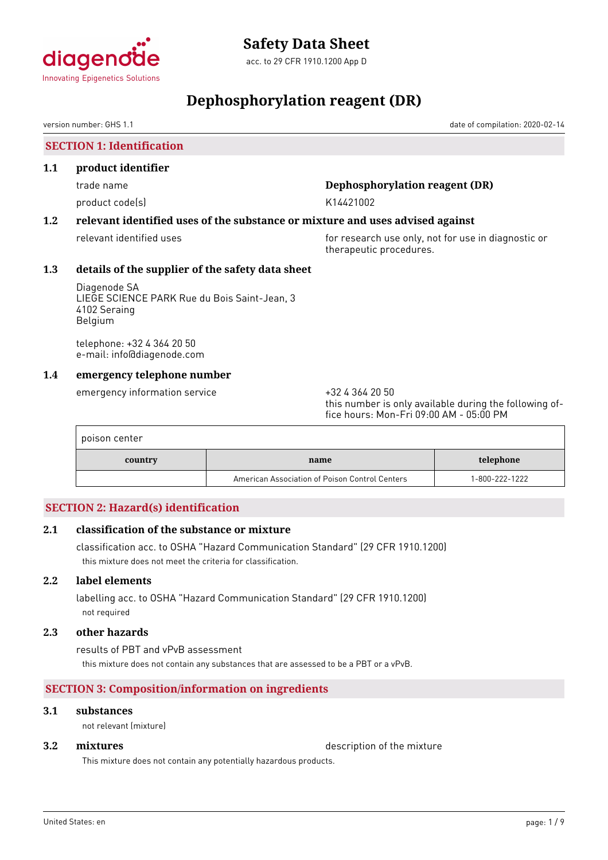<span id="page-9-0"></span>

# **Dephosphorylation reagent (DR)**

version number: GHS 1.1 date of compilation: 2020-02-14

**SECTION 1: Identification**

### **1.1 product identifier**

product code(s) and the control of the K14421002

# trade name **Dephosphorylation reagent (DR)**

# **1.2 relevant identified uses of the substance or mixture and uses advised against**

relevant identified uses **for research use only, not for use in diagnostic or** therapeutic procedures.

# **1.3 details of the supplier of the safety data sheet**

Diagenode SA LIEGE SCIENCE PARK Rue du Bois Saint-Jean, 3 4102 Seraing Belgium

telephone: +32 4 364 20 50 e-mail: info@diagenode.com

# **1.4 emergency telephone number**

emergency information service  $+3243642050$ 

this number is only available during the following office hours: Mon-Fri 09:00 AM - 05:00 PM

| poison center |                                                |                |
|---------------|------------------------------------------------|----------------|
| country       | name                                           | telephone      |
|               | American Association of Poison Control Centers | 1-800-222-1222 |

# **SECTION 2: Hazard(s) identification**

# **2.1 classification of the substance or mixture**

classification acc. to OSHA "Hazard Communication Standard" (29 CFR 1910.1200) this mixture does not meet the criteria for classification.

# **2.2 label elements**

labelling acc. to OSHA "Hazard Communication Standard" (29 CFR 1910.1200) not required

# **2.3 other hazards**

results of PBT and vPvB assessment this mixture does not contain any substances that are assessed to be a PBT or a vPvB.

# **SECTION 3: Composition/information on ingredients**

# **3.1 substances**

not relevant (mixture)

**3.2 <b>mixtures** description of the mixture

This mixture does not contain any potentially hazardous products.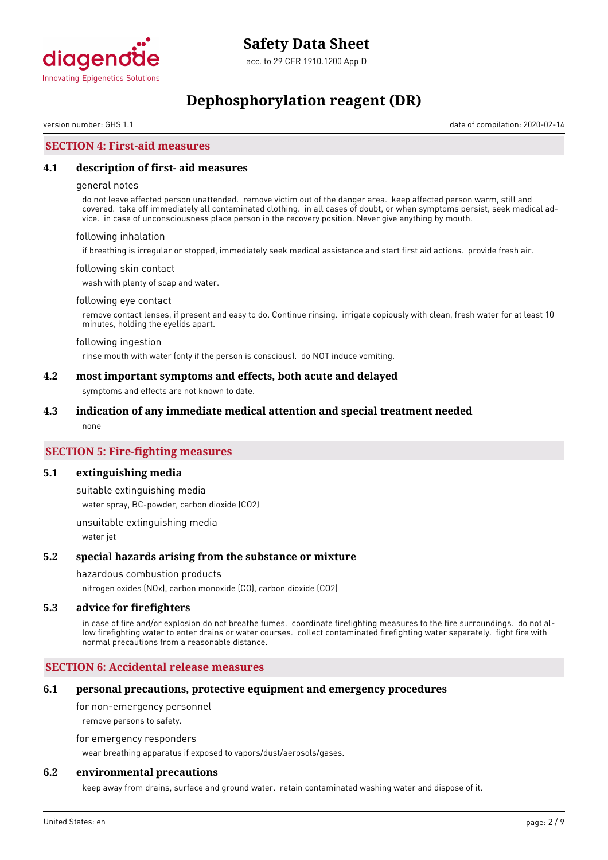

# **Dephosphorylation reagent (DR)**

version number: GHS 1.1 date of compilation: 2020-02-14

### **SECTION 4: First-aid measures**

#### **4.1 description of first- aid measures**

#### general notes

do not leave affected person unattended. remove victim out of the danger area. keep affected person warm, still and covered. take off immediately all contaminated clothing. in all cases of doubt, or when symptoms persist, seek medical advice. in case of unconsciousness place person in the recovery position. Never give anything by mouth.

#### following inhalation

if breathing is irregular or stopped, immediately seek medical assistance and start first aid actions. provide fresh air.

#### following skin contact

wash with plenty of soap and water.

#### following eye contact

remove contact lenses, if present and easy to do. Continue rinsing. irrigate copiously with clean, fresh water for at least 10 minutes, holding the eyelids apart.

#### following ingestion

rinse mouth with water (only if the person is conscious). do NOT induce vomiting.

#### **4.2 most important symptoms and effects, both acute and delayed**

symptoms and effects are not known to date.

#### **4.3 indication of any immediate medical attention and special treatment needed**

none

### **SECTION 5: Fire-fighting measures**

#### **5.1 extinguishing media**

suitable extinguishing media water spray, BC-powder, carbon dioxide (CO2)

unsuitable extinguishing media water jet

#### **5.2 special hazards arising from the substance or mixture**

#### hazardous combustion products

nitrogen oxides (NOx), carbon monoxide (CO), carbon dioxide (CO2)

#### **5.3 advice for firefighters**

in case of fire and/or explosion do not breathe fumes. coordinate firefighting measures to the fire surroundings. do not allow firefighting water to enter drains or water courses. collect contaminated firefighting water separately. fight fire with normal precautions from a reasonable distance.

### **SECTION 6: Accidental release measures**

#### **6.1 personal precautions, protective equipment and emergency procedures**

for non-emergency personnel

remove persons to safety.

for emergency responders

wear breathing apparatus if exposed to vapors/dust/aerosols/gases.

### **6.2 environmental precautions**

keep away from drains, surface and ground water. retain contaminated washing water and dispose of it.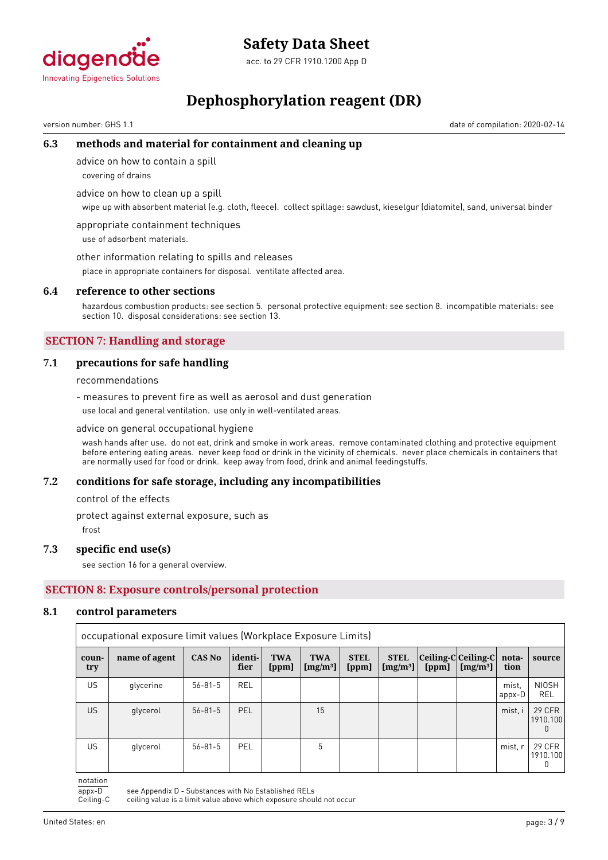

acc. to 29 CFR 1910.1200 App D

# **Dephosphorylation reagent (DR)**

version number: GHS 1.1 date of compilation: 2020-02-14

# **6.3 methods and material for containment and cleaning up**

advice on how to contain a spill

covering of drains

advice on how to clean up a spill

wipe up with absorbent material (e.g. cloth, fleece). collect spillage: sawdust, kieselgur (diatomite), sand, universal binder

appropriate containment techniques use of adsorbent materials.

other information relating to spills and releases

place in appropriate containers for disposal. ventilate affected area.

#### **6.4 reference to other sections**

hazardous combustion products: see section 5. personal protective equipment: see section 8. incompatible materials: see section 10. disposal considerations: see section 13.

# **SECTION 7: Handling and storage**

### **7.1 precautions for safe handling**

recommendations

- measures to prevent fire as well as aerosol and dust generation

use local and general ventilation. use only in well-ventilated areas.

#### advice on general occupational hygiene

wash hands after use. do not eat, drink and smoke in work areas. remove contaminated clothing and protective equipment before entering eating areas. never keep food or drink in the vicinity of chemicals. never place chemicals in containers that are normally used for food or drink. keep away from food, drink and animal feedingstuffs.

#### **7.2 conditions for safe storage, including any incompatibilities**

control of the effects

protect against external exposure, such as

frost

#### **7.3 specific end use(s)**

see section 16 for a general overview.

# **SECTION 8: Exposure controls/personal protection**

#### **8.1 control parameters**

|              | occupational exposure limit values (Workplace Exposure Limits) |               |                 |                     |                          |                      |                           |                                        |            |                 |                           |
|--------------|----------------------------------------------------------------|---------------|-----------------|---------------------|--------------------------|----------------------|---------------------------|----------------------------------------|------------|-----------------|---------------------------|
| coun-<br>try | name of agent                                                  | <b>CAS No</b> | identi-<br>fier | <b>TWA</b><br>[ppm] | <b>TWA</b><br>$[mg/m^3]$ | <b>STEL</b><br>[ppm] | <b>STEL</b><br>$[mg/m^3]$ | $ Ceiling-C Ceiling-C $ nota-<br>[ppm] | $[mg/m^3]$ | tion            | source                    |
| <b>US</b>    | glycerine                                                      | $56 - 81 - 5$ | <b>REL</b>      |                     |                          |                      |                           |                                        |            | mist.<br>appx-D | <b>NIOSH</b><br>REL       |
| <b>US</b>    | glycerol                                                       | $56 - 81 - 5$ | PEL             |                     | 15                       |                      |                           |                                        |            | mist, i         | <b>29 CFR</b><br>1910.100 |
| US           | glycerol                                                       | $56 - 81 - 5$ | PEL             |                     | 5                        |                      |                           |                                        |            | mist, r         | 29 CFR<br>1910.100<br>0   |

notation

appx-D see Appendix D - Substances with No Established RELs<br>Ceiling-C ceiling value is a limit value above which exposure shou

ceiling value is a limit value above which exposure should not occur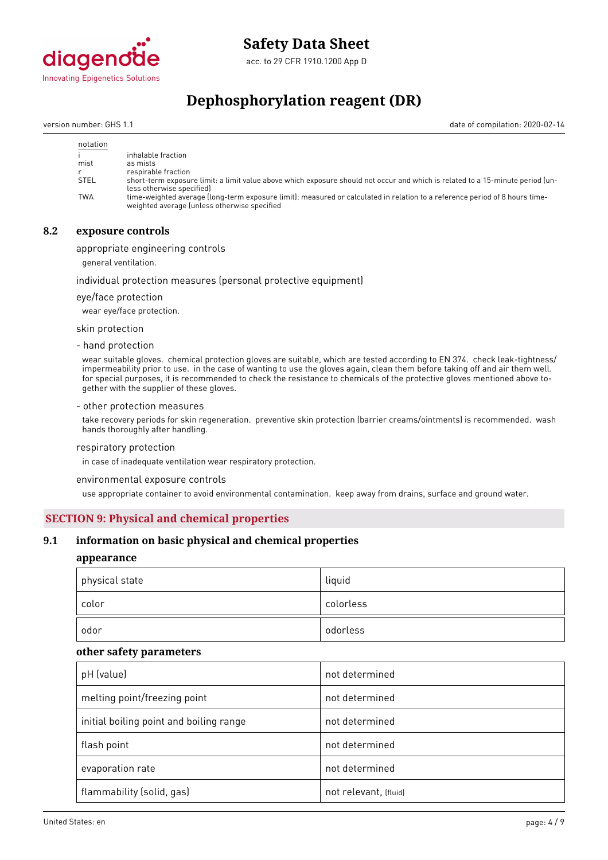

acc. to 29 CFR 1910.1200 App D

# **Dephosphorylation reagent (DR)**

version number: GHS 1.1 date of compilation: 2020-02-14

| notation    |                                                                                                                                                                             |
|-------------|-----------------------------------------------------------------------------------------------------------------------------------------------------------------------------|
|             | inhalable fraction                                                                                                                                                          |
| mist        | as mists                                                                                                                                                                    |
|             | respirable fraction                                                                                                                                                         |
| <b>STEL</b> | short-term exposure limit: a limit value above which exposure should not occur and which is related to a 15-minute period (un-<br>less otherwise specified)                 |
| <b>TWA</b>  | time-weighted average (long-term exposure limit): measured or calculated in relation to a reference period of 8 hours time-<br>weighted average (unless otherwise specified |

### **8.2 exposure controls**

appropriate engineering controls

general ventilation.

#### individual protection measures (personal protective equipment)

eye/face protection

wear eye/face protection.

skin protection

- hand protection

wear suitable gloves. chemical protection gloves are suitable, which are tested according to EN 374. check leak-tightness/ impermeability prior to use. in the case of wanting to use the gloves again, clean them before taking off and air them well. for special purposes, it is recommended to check the resistance to chemicals of the protective gloves mentioned above together with the supplier of these gloves.

#### - other protection measures

take recovery periods for skin regeneration. preventive skin protection (barrier creams/ointments) is recommended. wash hands thoroughly after handling.

#### respiratory protection

in case of inadequate ventilation wear respiratory protection.

environmental exposure controls

use appropriate container to avoid environmental contamination. keep away from drains, surface and ground water.

#### **SECTION 9: Physical and chemical properties**

### **9.1 information on basic physical and chemical properties**

### **appearance**

| physical state | liquid    |
|----------------|-----------|
| color          | colorless |
| odor           | odorless  |

#### **other safety parameters**

| pH (value)                              | not determined        |
|-----------------------------------------|-----------------------|
| melting point/freezing point            | not determined        |
| initial boiling point and boiling range | not determined        |
| flash point                             | not determined        |
| evaporation rate                        | not determined        |
| flammability (solid, gas)               | not relevant, (fluid) |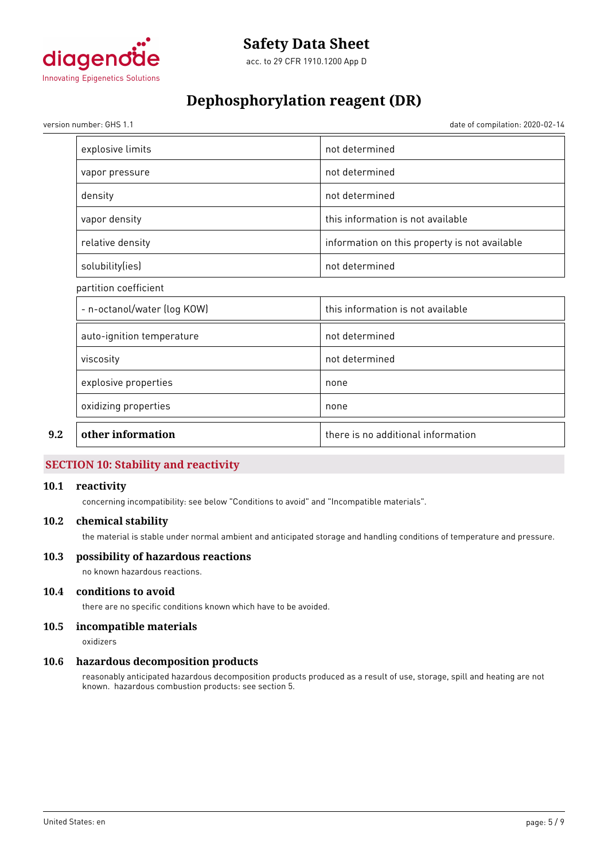

# **Dephosphorylation reagent (DR)**

version number: GHS 1.1 date of compilation: 2020-02-14

| explosive limits            | not determined                                |  |
|-----------------------------|-----------------------------------------------|--|
| vapor pressure              | not determined                                |  |
| density                     | not determined                                |  |
| vapor density               | this information is not available             |  |
| relative density            | information on this property is not available |  |
| solubility(ies)             | not determined                                |  |
| partition coefficient       |                                               |  |
| - n-octanol/water (log KOW) | this information is not available             |  |
| auto-ignition temperature   | not determined                                |  |
| viscosity                   | not determined                                |  |
| explosive properties        | none                                          |  |
| oxidizing properties        | none                                          |  |
| other information           | there is no additional information            |  |
|                             |                                               |  |

# **SECTION 10: Stability and reactivity**

### **10.1 reactivity**

concerning incompatibility: see below "Conditions to avoid" and "Incompatible materials".

#### **10.2 chemical stability**

the material is stable under normal ambient and anticipated storage and handling conditions of temperature and pressure.

### **10.3 possibility of hazardous reactions**

no known hazardous reactions.

# **10.4 conditions to avoid**

there are no specific conditions known which have to be avoided.

# **10.5 incompatible materials**

oxidizers

#### **10.6 hazardous decomposition products**

reasonably anticipated hazardous decomposition products produced as a result of use, storage, spill and heating are not known. hazardous combustion products: see section 5.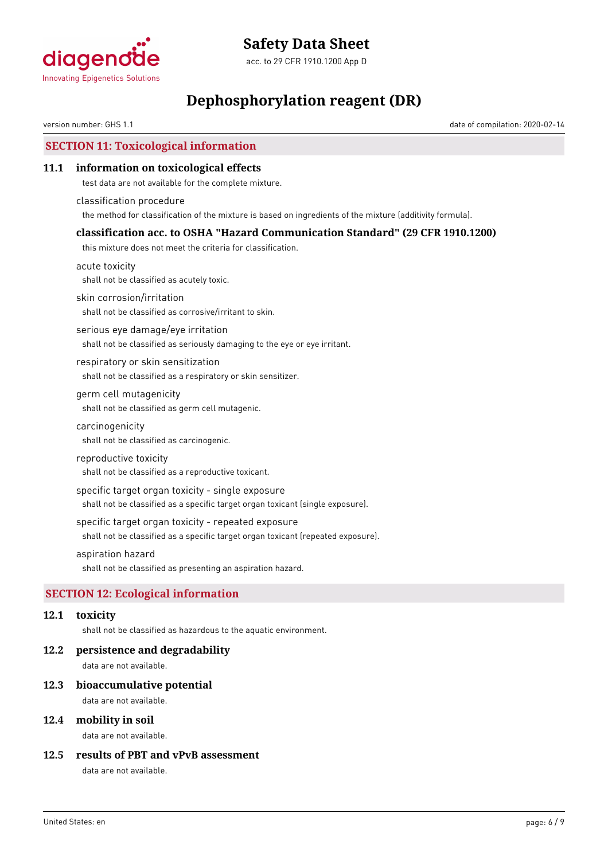

acc. to 29 CFR 1910.1200 App D

# **Dephosphorylation reagent (DR)**

version number: GHS 1.1 date of compilation: 2020-02-14

# **SECTION 11: Toxicological information**

### **11.1 information on toxicological effects**

test data are not available for the complete mixture.

classification procedure the method for classification of the mixture is based on ingredients of the mixture (additivity formula).

# **classification acc. to OSHA "Hazard Communication Standard" (29 CFR 1910.1200)**

this mixture does not meet the criteria for classification.

acute toxicity shall not be classified as acutely toxic.

skin corrosion/irritation

shall not be classified as corrosive/irritant to skin.

serious eye damage/eye irritation shall not be classified as seriously damaging to the eye or eye irritant.

respiratory or skin sensitization shall not be classified as a respiratory or skin sensitizer.

germ cell mutagenicity shall not be classified as germ cell mutagenic.

carcinogenicity

shall not be classified as carcinogenic.

#### reproductive toxicity

shall not be classified as a reproductive toxicant.

specific target organ toxicity - single exposure

shall not be classified as a specific target organ toxicant (single exposure).

specific target organ toxicity - repeated exposure

shall not be classified as a specific target organ toxicant (repeated exposure).

aspiration hazard

shall not be classified as presenting an aspiration hazard.

# **SECTION 12: Ecological information**

### **12.1 toxicity**

shall not be classified as hazardous to the aquatic environment.

#### **12.2 persistence and degradability**

data are not available.

#### **12.3 bioaccumulative potential**

data are not available.

### **12.4 mobility in soil**

data are not available.

### **12.5 results of PBT and vPvB assessment**

data are not available.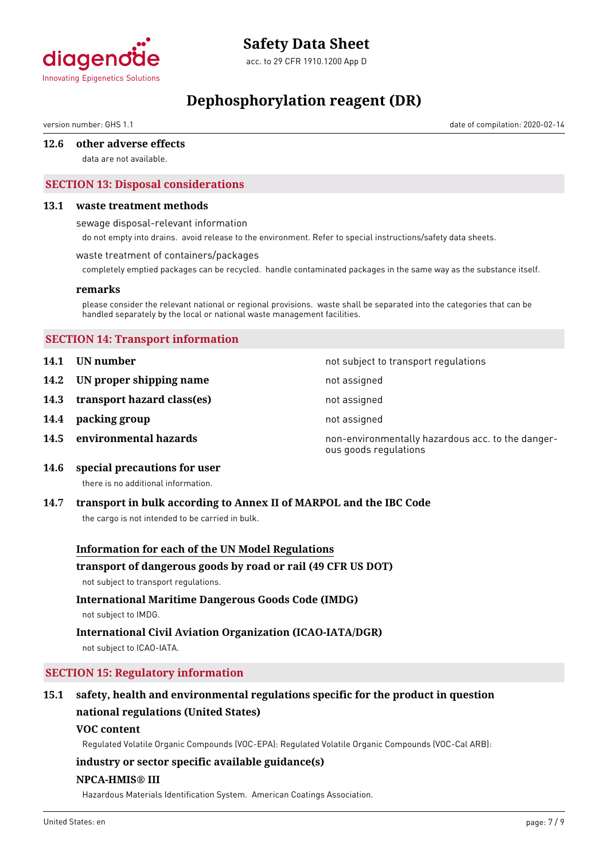

acc. to 29 CFR 1910.1200 App D

# **Dephosphorylation reagent (DR)**

version number: GHS 1.1 date of compilation: 2020-02-14

#### **12.6 other adverse effects**

data are not available.

# **SECTION 13: Disposal considerations**

#### **13.1 waste treatment methods**

sewage disposal-relevant information

do not empty into drains. avoid release to the environment. Refer to special instructions/safety data sheets.

#### waste treatment of containers/packages

completely emptied packages can be recycled. handle contaminated packages in the same way as the substance itself.

#### **remarks**

please consider the relevant national or regional provisions. waste shall be separated into the categories that can be handled separately by the local or national waste management facilities.

### **SECTION 14: Transport information**

- **14.1 UN number 14.1 UN** number
- **14.2 IN proper shipping name** not assigned
- **14.3 transport hazard class(es)** not assigned
- **14.4 packing group not assigned**
- 

**14.5 environmental hazards non-environmentally hazardous acc. to the danger**ous goods regulations

**14.6 special precautions for user**

there is no additional information.

#### **14.7 transport in bulk according to Annex II of MARPOL and the IBC Code**

the cargo is not intended to be carried in bulk.

#### **Information for each of the UN Model Regulations**

#### **transport of dangerous goods by road or rail (49 CFR US DOT)**

not subject to transport regulations.

# **International Maritime Dangerous Goods Code (IMDG)**

not subject to IMDG.

# **International Civil Aviation Organization (ICAO-IATA/DGR)**

not subject to ICAO-IATA.

# **SECTION 15: Regulatory information**

# **15.1 safety, health and environmental regulations specific for the product in question national regulations (United States)**

#### **VOC content**

Regulated Volatile Organic Compounds (VOC-EPA): Regulated Volatile Organic Compounds (VOC-Cal ARB):

# **industry or sector specific available guidance(s)**

### **NPCA-HMIS® III**

Hazardous Materials Identification System. American Coatings Association.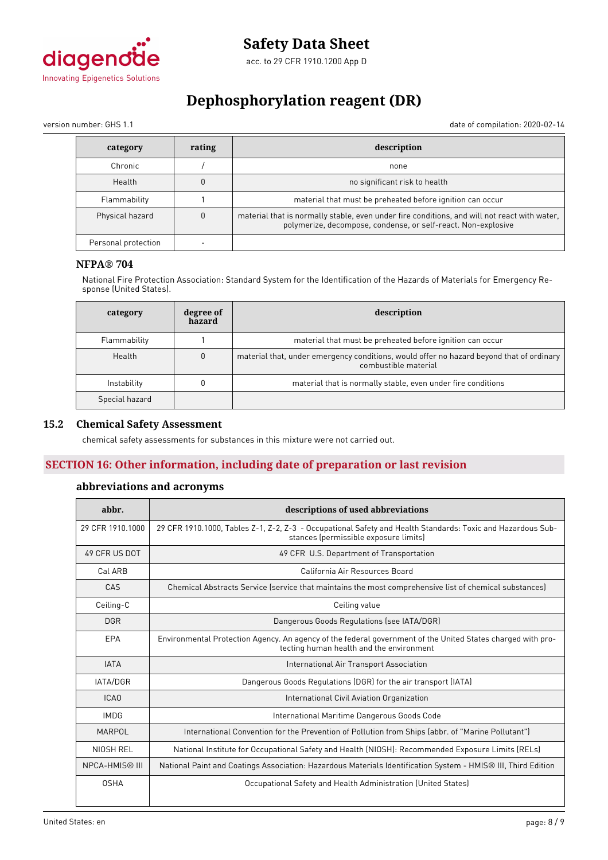

# **Dephosphorylation reagent (DR)**

version number: GHS 1.1 date of compilation: 2020-02-14

| category            | rating | description                                                                                                                                                   |
|---------------------|--------|---------------------------------------------------------------------------------------------------------------------------------------------------------------|
| Chronic             |        | none                                                                                                                                                          |
| Health              |        | no significant risk to health                                                                                                                                 |
| Flammability        |        | material that must be preheated before ignition can occur                                                                                                     |
| Physical hazard     |        | material that is normally stable, even under fire conditions, and will not react with water,<br>polymerize, decompose, condense, or self-react. Non-explosive |
| Personal protection |        |                                                                                                                                                               |

# **NFPA® 704**

National Fire Protection Association: Standard System for the Identification of the Hazards of Materials for Emergency Response (United States).

| category       | degree of<br>hazard | description                                                                                                      |
|----------------|---------------------|------------------------------------------------------------------------------------------------------------------|
| Flammability   |                     | material that must be preheated before ignition can occur                                                        |
| Health         |                     | material that, under emergency conditions, would offer no hazard beyond that of ordinary<br>combustible material |
| Instability    |                     | material that is normally stable, even under fire conditions                                                     |
| Special hazard |                     |                                                                                                                  |

### **15.2 Chemical Safety Assessment**

chemical safety assessments for substances in this mixture were not carried out.

# **SECTION 16: Other information, including date of preparation or last revision**

# **abbreviations and acronyms**

| abbr.                 | descriptions of used abbreviations                                                                                                                      |  |
|-----------------------|---------------------------------------------------------------------------------------------------------------------------------------------------------|--|
| 29 CFR 1910.1000      | 29 CFR 1910.1000, Tables Z-1, Z-2, Z-3 - Occupational Safety and Health Standards: Toxic and Hazardous Sub-<br>stances (permissible exposure limits)    |  |
| 49 CFR US DOT         | 49 CFR U.S. Department of Transportation                                                                                                                |  |
| Cal ARB               | California Air Resources Board                                                                                                                          |  |
| CAS                   | Chemical Abstracts Service (service that maintains the most comprehensive list of chemical substances)                                                  |  |
| Ceiling-C             | Ceiling value                                                                                                                                           |  |
| <b>DGR</b>            | Dangerous Goods Regulations (see IATA/DGR)                                                                                                              |  |
| EPA                   | Environmental Protection Agency. An agency of the federal government of the United States charged with pro-<br>tecting human health and the environment |  |
| <b>IATA</b>           | International Air Transport Association                                                                                                                 |  |
| <b>IATA/DGR</b>       | Dangerous Goods Regulations (DGR) for the air transport (IATA)                                                                                          |  |
| ICA <sub>0</sub>      | International Civil Aviation Organization                                                                                                               |  |
| <b>IMDG</b>           | International Maritime Dangerous Goods Code                                                                                                             |  |
| MARPOL                | International Convention for the Prevention of Pollution from Ships (abbr. of "Marine Pollutant")                                                       |  |
| NIOSH REL             | National Institute for Occupational Safety and Health (NIOSH): Recommended Exposure Limits (RELs)                                                       |  |
| <b>NPCA-HMIS® III</b> | National Paint and Coatings Association: Hazardous Materials Identification System - HMIS® III, Third Edition                                           |  |
| <b>OSHA</b>           | Occupational Safety and Health Administration (United States)                                                                                           |  |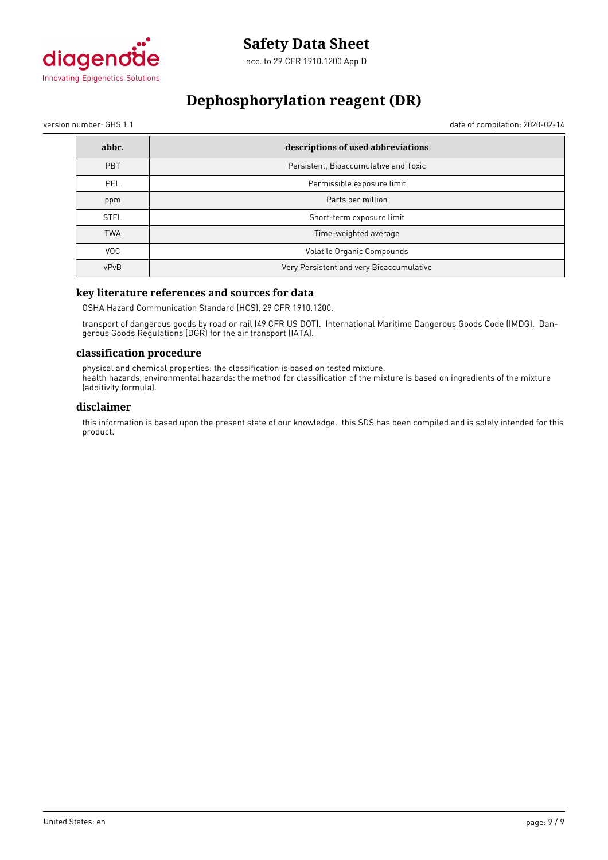

# **Dephosphorylation reagent (DR)**

version number: GHS 1.1 date of compilation: 2020-02-14

| abbr.       | descriptions of used abbreviations       |
|-------------|------------------------------------------|
| <b>PBT</b>  | Persistent, Bioaccumulative and Toxic    |
| PEL         | Permissible exposure limit               |
| ppm         | Parts per million                        |
| <b>STEL</b> | Short-term exposure limit                |
| <b>TWA</b>  | Time-weighted average                    |
| VOC.        | Volatile Organic Compounds               |
| vPvB        | Very Persistent and very Bioaccumulative |

# **key literature references and sources for data**

OSHA Hazard Communication Standard (HCS), 29 CFR 1910.1200.

transport of dangerous goods by road or rail (49 CFR US DOT). International Maritime Dangerous Goods Code (IMDG). Dangerous Goods Regulations (DGR) for the air transport (IATA).

#### **classification procedure**

physical and chemical properties: the classification is based on tested mixture. health hazards, environmental hazards: the method for classification of the mixture is based on ingredients of the mixture (additivity formula).

### **disclaimer**

this information is based upon the present state of our knowledge. this SDS has been compiled and is solely intended for this product.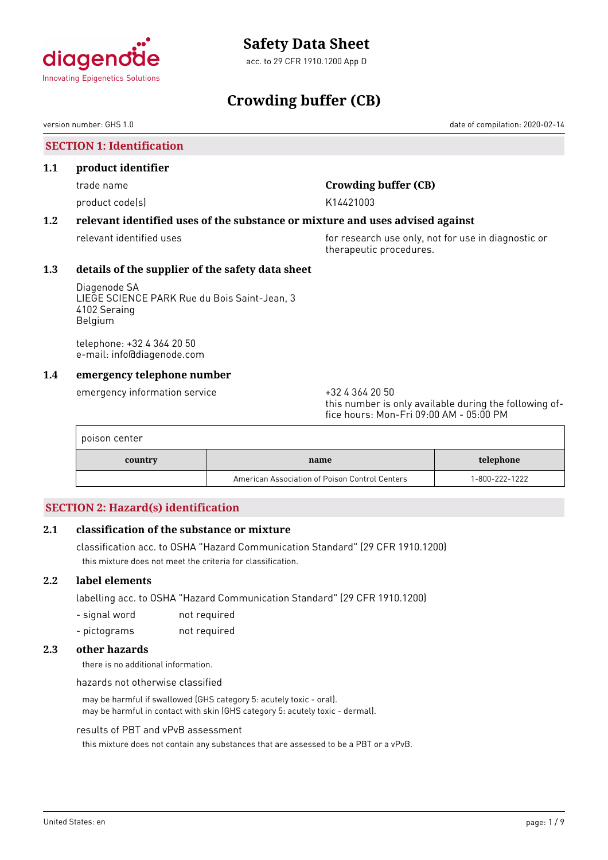<span id="page-18-0"></span>

acc. to 29 CFR 1910.1200 App D

# **Crowding buffer (CB)**

version number: GHS 1.0 date of compilation: 2020-02-14

# **SECTION 1: Identification**

### **1.1 product identifier**

product code(s) and the control of the K14421003

# trade name **Crowding buffer (CB)**

# **1.2 relevant identified uses of the substance or mixture and uses advised against**

relevant identified uses **for research use only, not for use in diagnostic or** for use in diagnostic or therapeutic procedures.

# **1.3 details of the supplier of the safety data sheet**

Diagenode SA LIEGE SCIENCE PARK Rue du Bois Saint-Jean, 3 4102 Seraing Belgium

telephone: +32 4 364 20 50 e-mail: info@diagenode.com

### **1.4 emergency telephone number**

emergency information service  $+3243642050$ 

this number is only available during the following office hours: Mon-Fri 09:00 AM - 05:00 PM

| poison center |                                                |                |
|---------------|------------------------------------------------|----------------|
| country       | name                                           | telephone      |
|               | American Association of Poison Control Centers | 1-800-222-1222 |

# **SECTION 2: Hazard(s) identification**

# **2.1 classification of the substance or mixture**

classification acc. to OSHA "Hazard Communication Standard" (29 CFR 1910.1200) this mixture does not meet the criteria for classification.

# **2.2 label elements**

labelling acc. to OSHA "Hazard Communication Standard" (29 CFR 1910.1200)

- signal word not required
- pictograms not required

### **2.3 other hazards**

there is no additional information.

hazards not otherwise classified

may be harmful if swallowed (GHS category 5: acutely toxic - oral). may be harmful in contact with skin (GHS category 5: acutely toxic - dermal).

#### results of PBT and vPvB assessment

this mixture does not contain any substances that are assessed to be a PBT or a vPvB.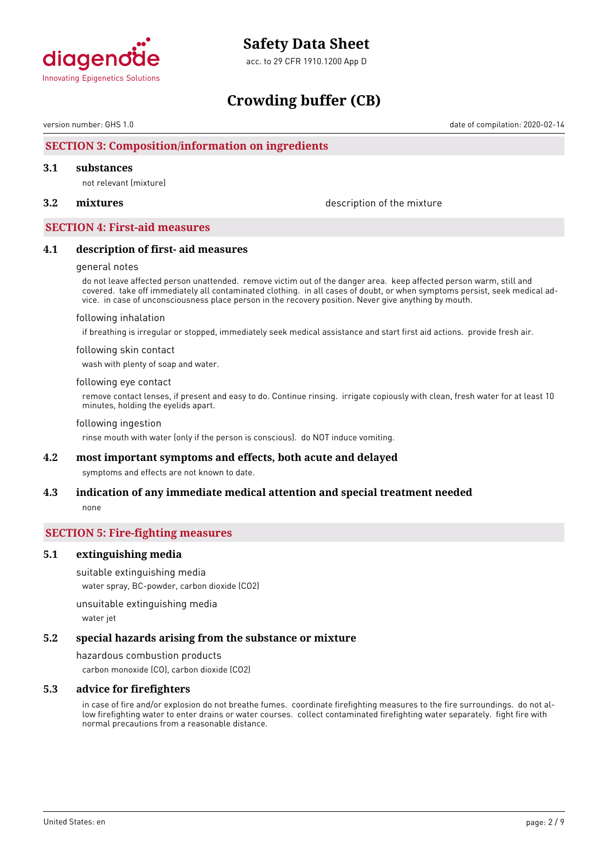

acc. to 29 CFR 1910.1200 App D

# **Crowding buffer (CB)**

version number: GHS 1.0 date of compilation: 2020-02-14

# **SECTION 3: Composition/information on ingredients**

#### **3.1 substances**

not relevant (mixture)

**3.2 mixtures** description of the mixture

#### **SECTION 4: First-aid measures**

#### **4.1 description of first- aid measures**

#### general notes

do not leave affected person unattended. remove victim out of the danger area. keep affected person warm, still and covered. take off immediately all contaminated clothing. in all cases of doubt, or when symptoms persist, seek medical advice. in case of unconsciousness place person in the recovery position. Never give anything by mouth.

#### following inhalation

if breathing is irregular or stopped, immediately seek medical assistance and start first aid actions. provide fresh air.

#### following skin contact

wash with plenty of soap and water.

#### following eye contact

remove contact lenses, if present and easy to do. Continue rinsing. irrigate copiously with clean, fresh water for at least 10 minutes, holding the eyelids apart.

#### following ingestion

rinse mouth with water (only if the person is conscious). do NOT induce vomiting.

### **4.2 most important symptoms and effects, both acute and delayed**

symptoms and effects are not known to date.

# **4.3 indication of any immediate medical attention and special treatment needed** none

#### **SECTION 5: Fire-fighting measures**

### **5.1 extinguishing media**

suitable extinguishing media

water spray, BC-powder, carbon dioxide (CO2)

unsuitable extinguishing media

water jet

#### **5.2 special hazards arising from the substance or mixture**

hazardous combustion products carbon monoxide (CO), carbon dioxide (CO2)

### **5.3 advice for firefighters**

in case of fire and/or explosion do not breathe fumes. coordinate firefighting measures to the fire surroundings. do not allow firefighting water to enter drains or water courses. collect contaminated firefighting water separately. fight fire with normal precautions from a reasonable distance.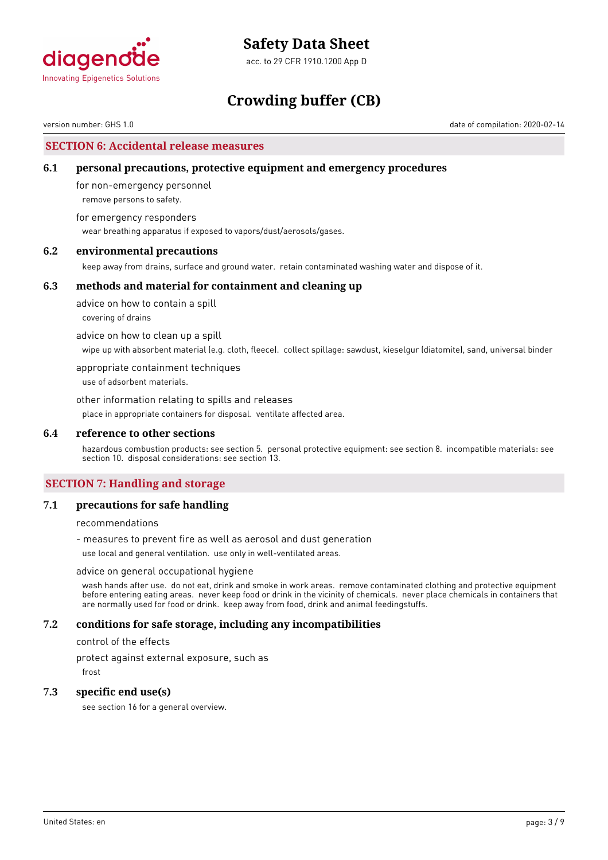

acc. to 29 CFR 1910.1200 App D

# **Crowding buffer (CB)**

version number: GHS 1.0 date of compilation: 2020-02-14

### **SECTION 6: Accidental release measures**

### **6.1 personal precautions, protective equipment and emergency procedures**

for non-emergency personnel remove persons to safety.

for emergency responders wear breathing apparatus if exposed to vapors/dust/aerosols/gases.

### **6.2 environmental precautions**

keep away from drains, surface and ground water. retain contaminated washing water and dispose of it.

#### **6.3 methods and material for containment and cleaning up**

advice on how to contain a spill covering of drains

advice on how to clean up a spill

wipe up with absorbent material (e.g. cloth, fleece). collect spillage: sawdust, kieselgur (diatomite), sand, universal binder

appropriate containment techniques

use of adsorbent materials.

other information relating to spills and releases place in appropriate containers for disposal. ventilate affected area.

#### **6.4 reference to other sections**

hazardous combustion products: see section 5. personal protective equipment: see section 8. incompatible materials: see section 10. disposal considerations: see section 13.

# **SECTION 7: Handling and storage**

### **7.1 precautions for safe handling**

recommendations

- measures to prevent fire as well as aerosol and dust generation

use local and general ventilation. use only in well-ventilated areas.

#### advice on general occupational hygiene

wash hands after use. do not eat, drink and smoke in work areas. remove contaminated clothing and protective equipment before entering eating areas. never keep food or drink in the vicinity of chemicals. never place chemicals in containers that are normally used for food or drink. keep away from food, drink and animal feedingstuffs.

### **7.2 conditions for safe storage, including any incompatibilities**

control of the effects

protect against external exposure, such as

frost

#### **7.3 specific end use(s)**

see section 16 for a general overview.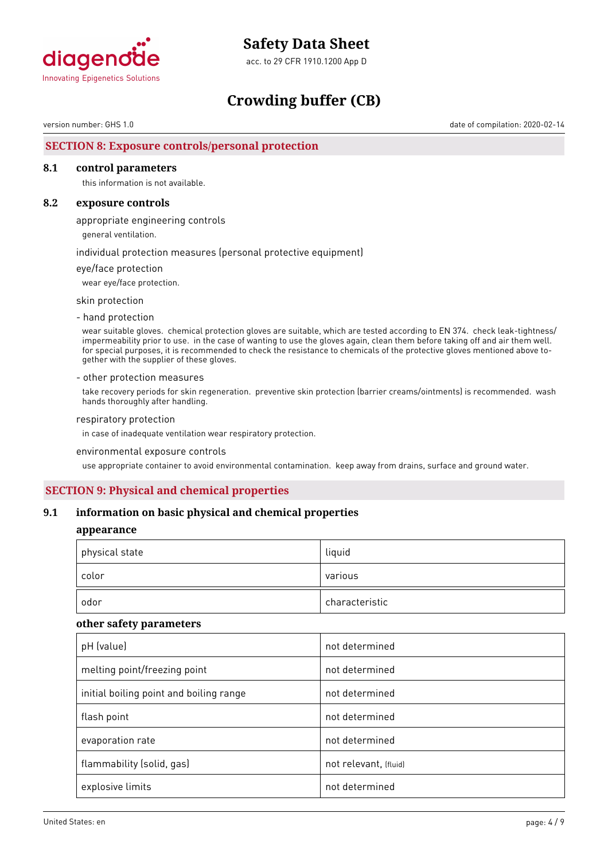

acc. to 29 CFR 1910.1200 App D

# **Crowding buffer (CB)**

version number: GHS 1.0 date of compilation: 2020-02-14

# **SECTION 8: Exposure controls/personal protection**

#### **8.1 control parameters**

this information is not available.

### **8.2 exposure controls**

appropriate engineering controls

general ventilation.

individual protection measures (personal protective equipment)

eye/face protection

wear eye/face protection.

skin protection

- hand protection

wear suitable gloves. chemical protection gloves are suitable, which are tested according to EN 374. check leak-tightness/ impermeability prior to use. in the case of wanting to use the gloves again, clean them before taking off and air them well. for special purposes, it is recommended to check the resistance to chemicals of the protective gloves mentioned above together with the supplier of these gloves.

#### - other protection measures

take recovery periods for skin regeneration. preventive skin protection (barrier creams/ointments) is recommended. wash hands thoroughly after handling.

#### respiratory protection

in case of inadequate ventilation wear respiratory protection.

#### environmental exposure controls

use appropriate container to avoid environmental contamination. keep away from drains, surface and ground water.

# **SECTION 9: Physical and chemical properties**

#### **9.1 information on basic physical and chemical properties**

#### **appearance**

| physical state | liquid         |
|----------------|----------------|
| color          | various        |
| odor           | characteristic |

#### **other safety parameters**

| pH (value)                              | not determined        |
|-----------------------------------------|-----------------------|
| melting point/freezing point            | not determined        |
| initial boiling point and boiling range | not determined        |
| flash point                             | not determined        |
| evaporation rate                        | not determined        |
| flammability (solid, gas)               | not relevant, (fluid) |
| explosive limits                        | not determined        |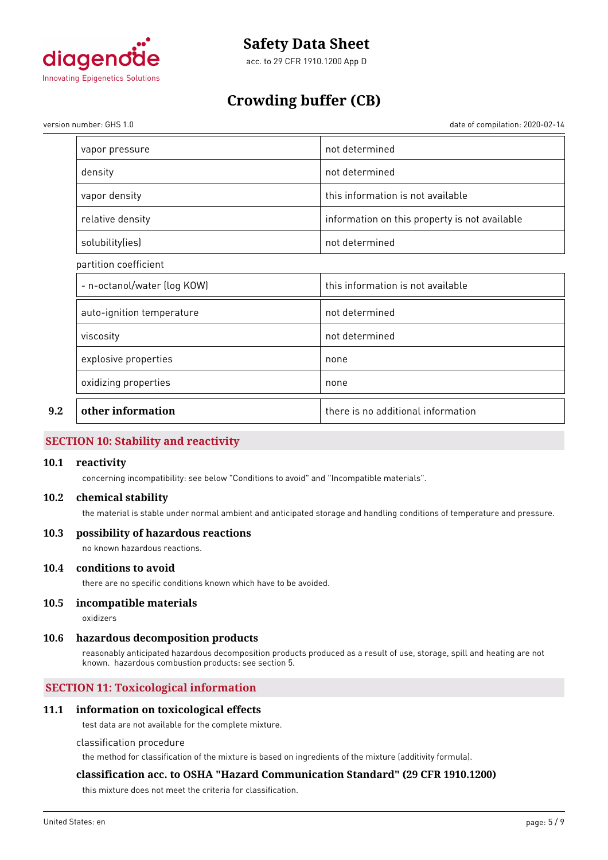

acc. to 29 CFR 1910.1200 App D

# **Crowding buffer (CB)**

version number: GHS 1.0 date of compilation: 2020-02-14

|     | vapor pressure              | not determined                                |
|-----|-----------------------------|-----------------------------------------------|
|     | density                     | not determined                                |
|     | vapor density               | this information is not available             |
|     | relative density            | information on this property is not available |
|     | solubility(ies)             | not determined                                |
|     | partition coefficient       |                                               |
|     | - n-octanol/water (log KOW) | this information is not available             |
|     | auto-ignition temperature   | not determined                                |
|     | viscosity                   | not determined                                |
|     | explosive properties        | none                                          |
|     | oxidizing properties        | none                                          |
| 9.2 | other information           | there is no additional information            |

# **SECTION 10: Stability and reactivity**

#### **10.1 reactivity**

concerning incompatibility: see below "Conditions to avoid" and "Incompatible materials".

# **10.2 chemical stability**

the material is stable under normal ambient and anticipated storage and handling conditions of temperature and pressure.

### **10.3 possibility of hazardous reactions**

no known hazardous reactions.

### **10.4 conditions to avoid**

there are no specific conditions known which have to be avoided.

# **10.5 incompatible materials**

oxidizers

#### **10.6 hazardous decomposition products**

reasonably anticipated hazardous decomposition products produced as a result of use, storage, spill and heating are not known. hazardous combustion products: see section 5.

# **SECTION 11: Toxicological information**

### **11.1 information on toxicological effects**

test data are not available for the complete mixture.

#### classification procedure

the method for classification of the mixture is based on ingredients of the mixture (additivity formula).

# **classification acc. to OSHA "Hazard Communication Standard" (29 CFR 1910.1200)**

this mixture does not meet the criteria for classification.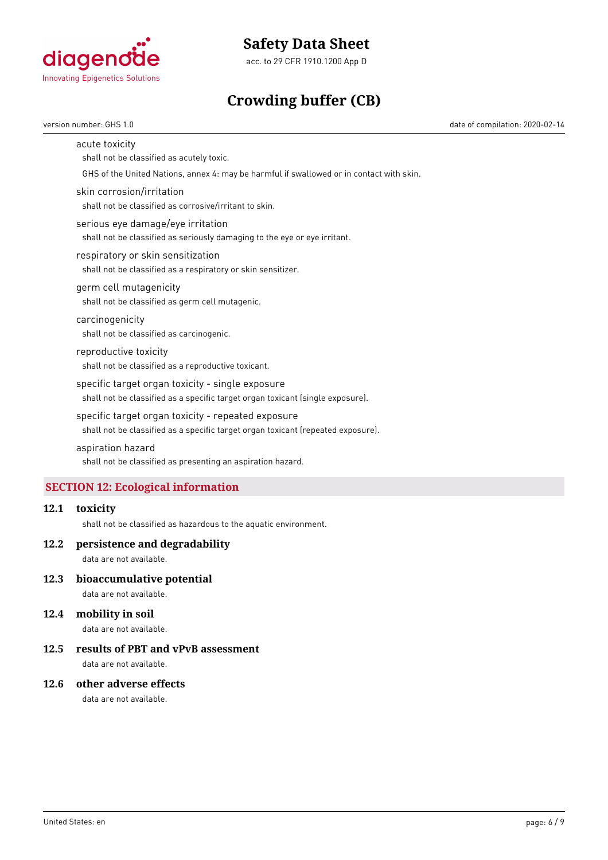

acc. to 29 CFR 1910.1200 App D

# **Crowding buffer (CB)**

version number: GHS 1.0 date of compilation: 2020-02-14

#### acute toxicity

shall not be classified as acutely toxic.

GHS of the United Nations, annex 4: may be harmful if swallowed or in contact with skin.

#### skin corrosion/irritation

shall not be classified as corrosive/irritant to skin.

#### serious eye damage/eye irritation

shall not be classified as seriously damaging to the eye or eye irritant.

#### respiratory or skin sensitization

shall not be classified as a respiratory or skin sensitizer.

### germ cell mutagenicity

shall not be classified as germ cell mutagenic.

# carcinogenicity

shall not be classified as carcinogenic.

# reproductive toxicity shall not be classified as a reproductive toxicant.

specific target organ toxicity - single exposure shall not be classified as a specific target organ toxicant (single exposure).

#### specific target organ toxicity - repeated exposure

shall not be classified as a specific target organ toxicant (repeated exposure).

# aspiration hazard

shall not be classified as presenting an aspiration hazard.

# **SECTION 12: Ecological information**

# **12.1 toxicity**

shall not be classified as hazardous to the aquatic environment.

#### **12.2 persistence and degradability**

data are not available.

### **12.3 bioaccumulative potential**

data are not available.

#### **12.4 mobility in soil**

data are not available.

# **12.5 results of PBT and vPvB assessment**

data are not available.

#### **12.6 other adverse effects**

data are not available.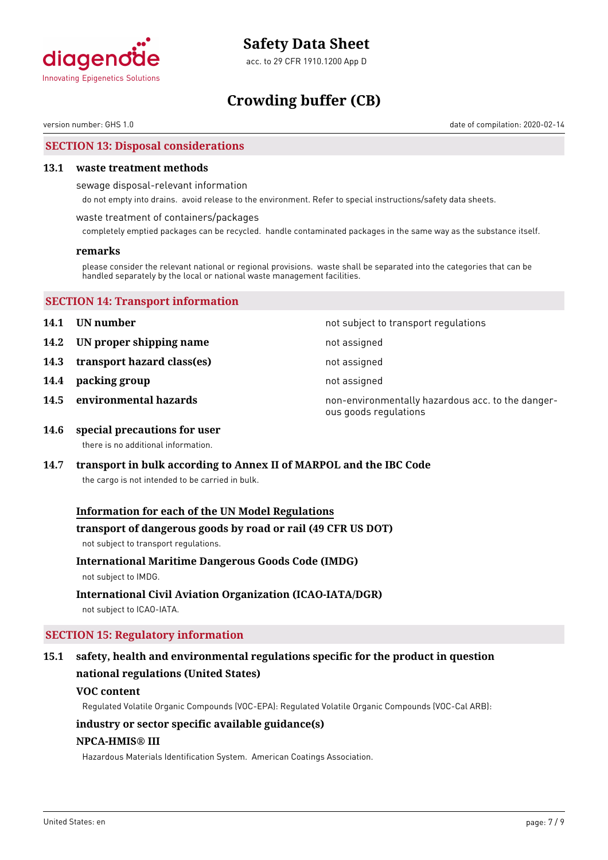

acc. to 29 CFR 1910.1200 App D

# **Crowding buffer (CB)**

version number: GHS 1.0 date of compilation: 2020-02-14

### **SECTION 13: Disposal considerations**

#### **13.1 waste treatment methods**

sewage disposal-relevant information

do not empty into drains. avoid release to the environment. Refer to special instructions/safety data sheets.

#### waste treatment of containers/packages

completely emptied packages can be recycled. handle contaminated packages in the same way as the substance itself.

#### **remarks**

please consider the relevant national or regional provisions. waste shall be separated into the categories that can be handled separately by the local or national waste management facilities.

| <b>SECTION 14: Transport information</b> |  |
|------------------------------------------|--|
|------------------------------------------|--|

- 
- **14.2 UN proper shipping name** not assigned
- **14.3 transport hazard class(es)** not assigned
- **14.4 packing group not assigned**
- 

**14.1 UN number 14.1 UN** number

- 
- 
- 

**14.5 environmental hazards non-environmentally hazardous acc. to the danger**ous goods regulations

**14.6 special precautions for user** there is no additional information.

# **14.7 transport in bulk according to Annex II of MARPOL and the IBC Code**

the cargo is not intended to be carried in bulk.

### **Information for each of the UN Model Regulations**

#### **transport of dangerous goods by road or rail (49 CFR US DOT)**

not subject to transport regulations.

### **International Maritime Dangerous Goods Code (IMDG)**

not subject to IMDG.

#### **International Civil Aviation Organization (ICAO-IATA/DGR)**

not subject to ICAO-IATA.

# **SECTION 15: Regulatory information**

# **15.1 safety, health and environmental regulations specific for the product in question national regulations (United States)**

#### **VOC content**

Regulated Volatile Organic Compounds (VOC-EPA): Regulated Volatile Organic Compounds (VOC-Cal ARB):

#### **industry or sector specific available guidance(s)**

#### **NPCA-HMIS® III**

Hazardous Materials Identification System. American Coatings Association.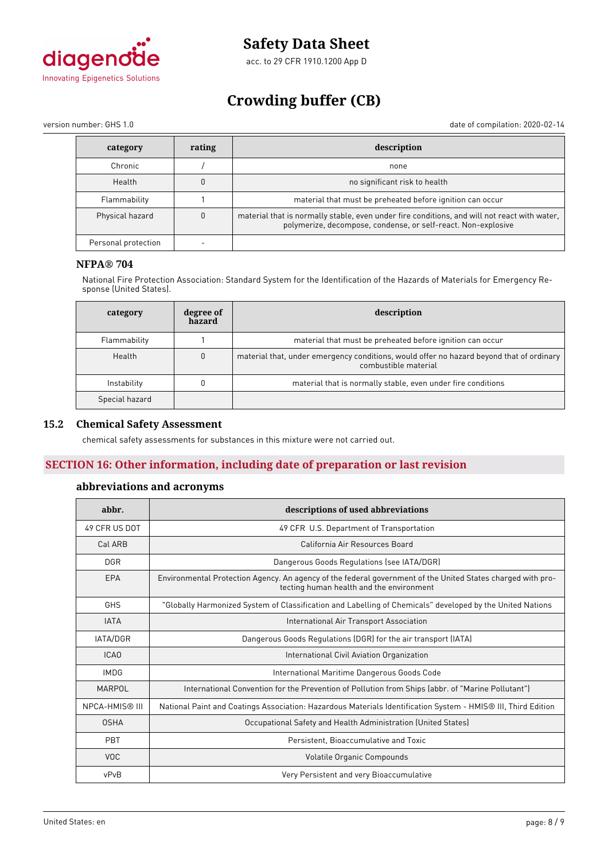

acc. to 29 CFR 1910.1200 App D

# **Crowding buffer (CB)**

version number: GHS 1.0 date of compilation: 2020-02-14

| category            | rating | description                                                                                                                                                   |
|---------------------|--------|---------------------------------------------------------------------------------------------------------------------------------------------------------------|
| Chronic             |        | none                                                                                                                                                          |
| Health              |        | no significant risk to health                                                                                                                                 |
| Flammability        |        | material that must be preheated before ignition can occur                                                                                                     |
| Physical hazard     |        | material that is normally stable, even under fire conditions, and will not react with water,<br>polymerize, decompose, condense, or self-react. Non-explosive |
| Personal protection |        |                                                                                                                                                               |

# **NFPA® 704**

National Fire Protection Association: Standard System for the Identification of the Hazards of Materials for Emergency Response (United States).

| category       | degree of<br>hazard | description                                                                                                      |  |
|----------------|---------------------|------------------------------------------------------------------------------------------------------------------|--|
| Flammability   |                     | material that must be preheated before ignition can occur                                                        |  |
| Health         | $\theta$            | material that, under emergency conditions, would offer no hazard beyond that of ordinary<br>combustible material |  |
| Instability    |                     | material that is normally stable, even under fire conditions                                                     |  |
| Special hazard |                     |                                                                                                                  |  |

### **15.2 Chemical Safety Assessment**

chemical safety assessments for substances in this mixture were not carried out.

# **SECTION 16: Other information, including date of preparation or last revision**

# **abbreviations and acronyms**

| abbr.                 | descriptions of used abbreviations                                                                                                                      |
|-----------------------|---------------------------------------------------------------------------------------------------------------------------------------------------------|
| 49 CFR US DOT         | 49 CFR U.S. Department of Transportation                                                                                                                |
| Cal ARB               | California Air Resources Board                                                                                                                          |
| <b>DGR</b>            | Dangerous Goods Regulations (see IATA/DGR)                                                                                                              |
| EPA                   | Environmental Protection Agency. An agency of the federal government of the United States charged with pro-<br>tecting human health and the environment |
| GHS                   | "Globally Harmonized System of Classification and Labelling of Chemicals" developed by the United Nations                                               |
| <b>IATA</b>           | International Air Transport Association                                                                                                                 |
| IATA/DGR              | Dangerous Goods Regulations (DGR) for the air transport (IATA)                                                                                          |
| ICA <sub>0</sub>      | International Civil Aviation Organization                                                                                                               |
| <b>IMDG</b>           | International Maritime Dangerous Goods Code                                                                                                             |
| MARPOL                | International Convention for the Prevention of Pollution from Ships (abbr. of "Marine Pollutant")                                                       |
| <b>NPCA-HMIS® III</b> | National Paint and Coatings Association: Hazardous Materials Identification System - HMIS® III, Third Edition                                           |
| <b>OSHA</b>           | Occupational Safety and Health Administration (United States)                                                                                           |
| PBT                   | Persistent, Bioaccumulative and Toxic                                                                                                                   |
| <b>VOC</b>            | Volatile Organic Compounds                                                                                                                              |
| vPvB                  | Very Persistent and very Bioaccumulative                                                                                                                |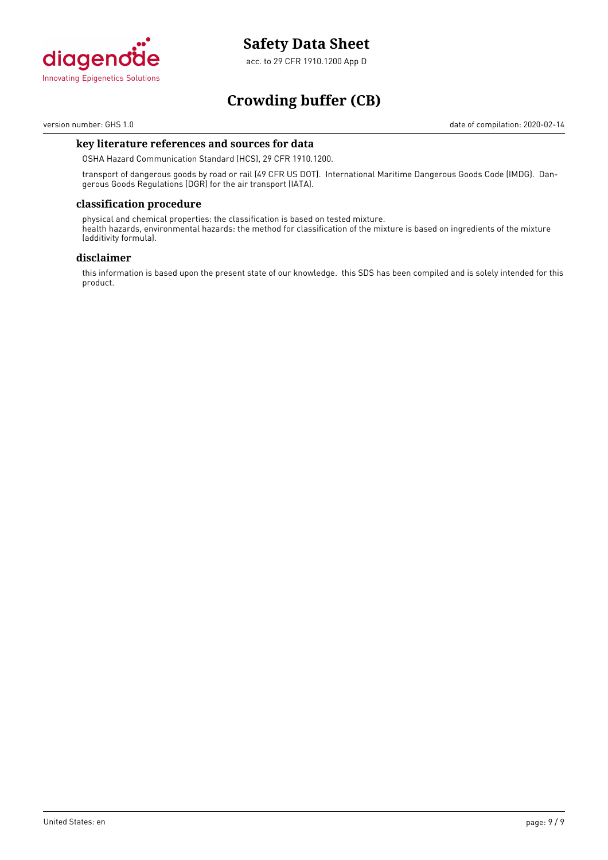

acc. to 29 CFR 1910.1200 App D

# **Crowding buffer (CB)**

version number: GHS 1.0 date of compilation: 2020-02-14

### **key literature references and sources for data**

OSHA Hazard Communication Standard (HCS), 29 CFR 1910.1200.

transport of dangerous goods by road or rail (49 CFR US DOT). International Maritime Dangerous Goods Code (IMDG). Dangerous Goods Regulations (DGR) for the air transport (IATA).

# **classification procedure**

physical and chemical properties: the classification is based on tested mixture. health hazards, environmental hazards: the method for classification of the mixture is based on ingredients of the mixture (additivity formula).

#### **disclaimer**

this information is based upon the present state of our knowledge. this SDS has been compiled and is solely intended for this product.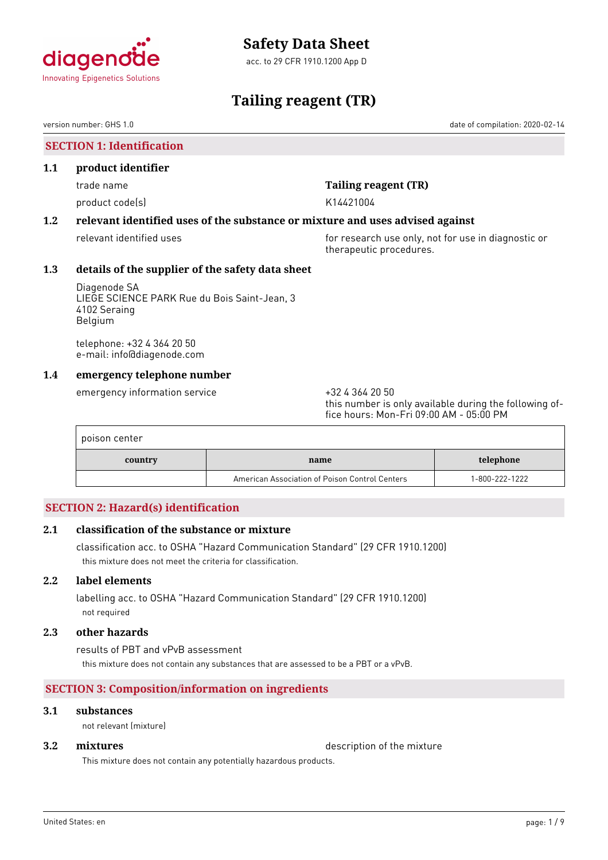

# <span id="page-27-0"></span>agenc **Innovating Epigenetics Solutions**

# **Tailing reagent (TR)**

version number: GHS 1.0 date of compilation: 2020-02-14

# **SECTION 1: Identification**

### **1.1 product identifier**

product code(s) and the control of the K14421004

# trade name **Tailing reagent (TR)**

# **1.2 relevant identified uses of the substance or mixture and uses advised against**

relevant identified uses **for research use only, not for use in diagnostic or** for use in diagnostic or therapeutic procedures.

# **1.3 details of the supplier of the safety data sheet**

Diagenode SA LIEGE SCIENCE PARK Rue du Bois Saint-Jean, 3 4102 Seraing Belgium

telephone: +32 4 364 20 50 e-mail: info@diagenode.com

# **1.4 emergency telephone number**

emergency information service  $+3243642050$ 

this number is only available during the following office hours: Mon-Fri 09:00 AM - 05:00 PM

| poison center |                                                |                |
|---------------|------------------------------------------------|----------------|
| country       | name                                           | telephone      |
|               | American Association of Poison Control Centers | 1-800-222-1222 |

# **SECTION 2: Hazard(s) identification**

# **2.1 classification of the substance or mixture**

classification acc. to OSHA "Hazard Communication Standard" (29 CFR 1910.1200) this mixture does not meet the criteria for classification.

# **2.2 label elements**

labelling acc. to OSHA "Hazard Communication Standard" (29 CFR 1910.1200) not required

# **2.3 other hazards**

results of PBT and vPvB assessment this mixture does not contain any substances that are assessed to be a PBT or a vPvB.

# **SECTION 3: Composition/information on ingredients**

# **3.1 substances**

not relevant (mixture)

**3.2 <b>mixtures** description of the mixture

This mixture does not contain any potentially hazardous products.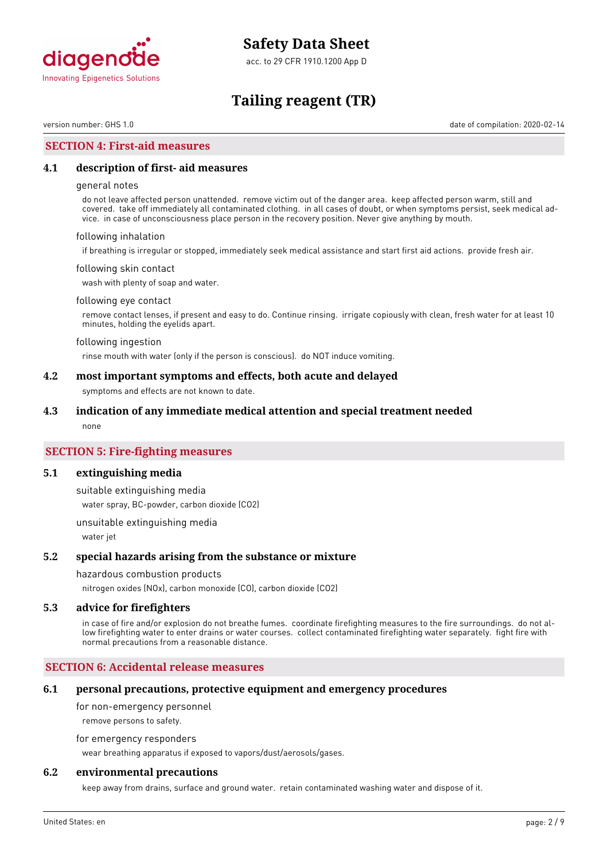

acc. to 29 CFR 1910.1200 App D

# **Tailing reagent (TR)**

version number: GHS 1.0 date of compilation: 2020-02-14

### **SECTION 4: First-aid measures**

### **4.1 description of first- aid measures**

#### general notes

do not leave affected person unattended. remove victim out of the danger area. keep affected person warm, still and covered. take off immediately all contaminated clothing. in all cases of doubt, or when symptoms persist, seek medical advice. in case of unconsciousness place person in the recovery position. Never give anything by mouth.

#### following inhalation

if breathing is irregular or stopped, immediately seek medical assistance and start first aid actions. provide fresh air.

#### following skin contact

wash with plenty of soap and water.

#### following eye contact

remove contact lenses, if present and easy to do. Continue rinsing. irrigate copiously with clean, fresh water for at least 10 minutes, holding the eyelids apart.

#### following ingestion

rinse mouth with water (only if the person is conscious). do NOT induce vomiting.

### **4.2 most important symptoms and effects, both acute and delayed**

symptoms and effects are not known to date.

#### **4.3 indication of any immediate medical attention and special treatment needed**

none

### **SECTION 5: Fire-fighting measures**

#### **5.1 extinguishing media**

suitable extinguishing media water spray, BC-powder, carbon dioxide (CO2)

unsuitable extinguishing media water jet

#### **5.2 special hazards arising from the substance or mixture**

#### hazardous combustion products

nitrogen oxides (NOx), carbon monoxide (CO), carbon dioxide (CO2)

#### **5.3 advice for firefighters**

in case of fire and/or explosion do not breathe fumes. coordinate firefighting measures to the fire surroundings. do not allow firefighting water to enter drains or water courses. collect contaminated firefighting water separately. fight fire with normal precautions from a reasonable distance.

### **SECTION 6: Accidental release measures**

#### **6.1 personal precautions, protective equipment and emergency procedures**

for non-emergency personnel

remove persons to safety.

for emergency responders

wear breathing apparatus if exposed to vapors/dust/aerosols/gases.

### **6.2 environmental precautions**

keep away from drains, surface and ground water. retain contaminated washing water and dispose of it.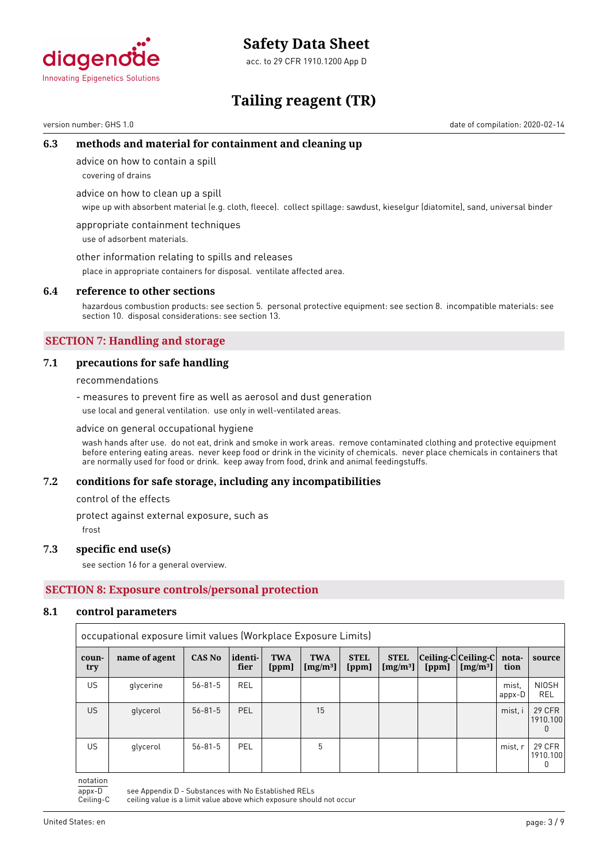



# **Tailing reagent (TR)**

version number: GHS 1.0 date of compilation: 2020-02-14

# **6.3 methods and material for containment and cleaning up**

advice on how to contain a spill

covering of drains

advice on how to clean up a spill

wipe up with absorbent material (e.g. cloth, fleece). collect spillage: sawdust, kieselgur (diatomite), sand, universal binder

appropriate containment techniques use of adsorbent materials.

other information relating to spills and releases

place in appropriate containers for disposal. ventilate affected area.

#### **6.4 reference to other sections**

hazardous combustion products: see section 5. personal protective equipment: see section 8. incompatible materials: see section 10. disposal considerations: see section 13.

# **SECTION 7: Handling and storage**

### **7.1 precautions for safe handling**

recommendations

- measures to prevent fire as well as aerosol and dust generation use local and general ventilation. use only in well-ventilated areas.

advice on general occupational hygiene

wash hands after use. do not eat, drink and smoke in work areas. remove contaminated clothing and protective equipment before entering eating areas. never keep food or drink in the vicinity of chemicals. never place chemicals in containers that are normally used for food or drink. keep away from food, drink and animal feedingstuffs.

#### **7.2 conditions for safe storage, including any incompatibilities**

control of the effects

protect against external exposure, such as

frost

#### **7.3 specific end use(s)**

see section 16 for a general overview.

# **SECTION 8: Exposure controls/personal protection**

#### **8.1 control parameters**

|              | occupational exposure limit values (Workplace Exposure Limits) |               |                 |                     |                           |                      |                           |                                  |                      |                 |                                           |
|--------------|----------------------------------------------------------------|---------------|-----------------|---------------------|---------------------------|----------------------|---------------------------|----------------------------------|----------------------|-----------------|-------------------------------------------|
| coun-<br>try | name of agent                                                  | <b>CAS No</b> | identi-<br>fier | <b>TWA</b><br>[ppm] | <b>TWA</b><br>[ $mg/m3$ ] | <b>STEL</b><br>[ppm] | <b>STEL</b><br>$[mg/m^3]$ | $ Ceiling-C Ceiling-C $<br>[ppm] | [mg/m <sup>3</sup> ] | nota-<br>tion   | source                                    |
| <b>US</b>    | glycerine                                                      | $56 - 81 - 5$ | <b>REL</b>      |                     |                           |                      |                           |                                  |                      | mist.<br>appx-D | <b>NIOSH</b><br><b>REL</b>                |
| <b>US</b>    | glycerol                                                       | $56 - 81 - 5$ | <b>PEL</b>      |                     | 15                        |                      |                           |                                  |                      | mist, i         | <b>29 CFR</b><br>1910.100<br><sup>0</sup> |
| US.          | glycerol                                                       | $56 - 81 - 5$ | <b>PEL</b>      |                     | 5                         |                      |                           |                                  |                      | mist, r         | <b>29 CFR</b><br>1910.100<br>0            |

notation

appx-D see Appendix D - Substances with No Established RELs<br>Ceiling-C ceiling value is a limit value above which exposure shou ceiling value is a limit value above which exposure should not occur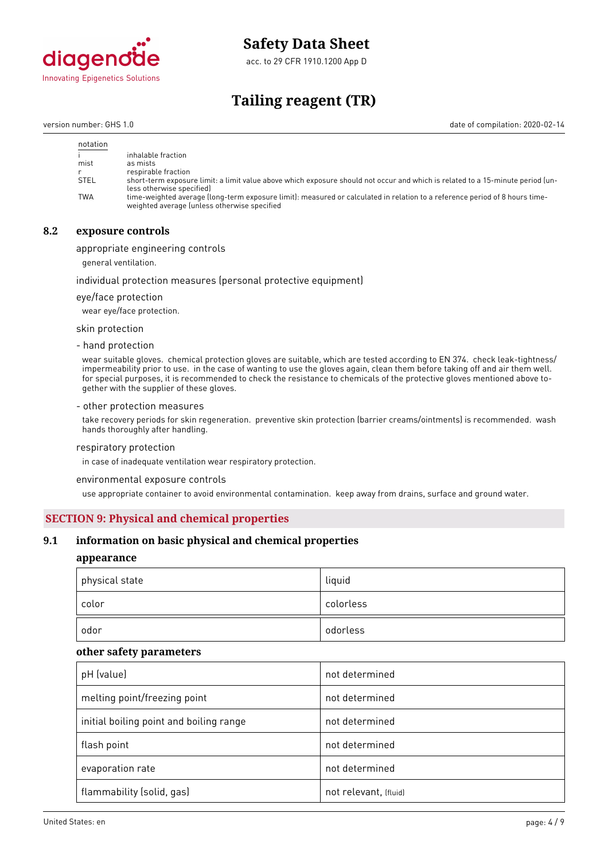

acc. to 29 CFR 1910.1200 App D

# **Tailing reagent (TR)**

version number: GHS 1.0 date of compilation: 2020-02-14

| notation    |                                                                                                                                                                             |
|-------------|-----------------------------------------------------------------------------------------------------------------------------------------------------------------------------|
|             | inhalable fraction                                                                                                                                                          |
| mist        | as mists                                                                                                                                                                    |
|             | respirable fraction                                                                                                                                                         |
| <b>STEL</b> | short-term exposure limit: a limit value above which exposure should not occur and which is related to a 15-minute period (un-<br>less otherwise specified)                 |
| <b>TWA</b>  | time-weighted average (long-term exposure limit): measured or calculated in relation to a reference period of 8 hours time-<br>weighted average (unless otherwise specified |

# **8.2 exposure controls**

appropriate engineering controls

general ventilation.

#### individual protection measures (personal protective equipment)

eye/face protection

wear eye/face protection.

skin protection

- hand protection

wear suitable gloves. chemical protection gloves are suitable, which are tested according to EN 374. check leak-tightness/ impermeability prior to use. in the case of wanting to use the gloves again, clean them before taking off and air them well. for special purposes, it is recommended to check the resistance to chemicals of the protective gloves mentioned above together with the supplier of these gloves.

#### - other protection measures

take recovery periods for skin regeneration. preventive skin protection (barrier creams/ointments) is recommended. wash hands thoroughly after handling.

#### respiratory protection

in case of inadequate ventilation wear respiratory protection.

environmental exposure controls

use appropriate container to avoid environmental contamination. keep away from drains, surface and ground water.

### **SECTION 9: Physical and chemical properties**

### **9.1 information on basic physical and chemical properties**

### **appearance**

| physical state |       | liquid    |
|----------------|-------|-----------|
|                | color | colorless |
|                | odor  | odorless  |

#### **other safety parameters**

| pH (value)                              | not determined        |
|-----------------------------------------|-----------------------|
| melting point/freezing point            | not determined        |
| initial boiling point and boiling range | not determined        |
| flash point                             | not determined        |
| evaporation rate                        | not determined        |
| flammability (solid, gas)               | not relevant, (fluid) |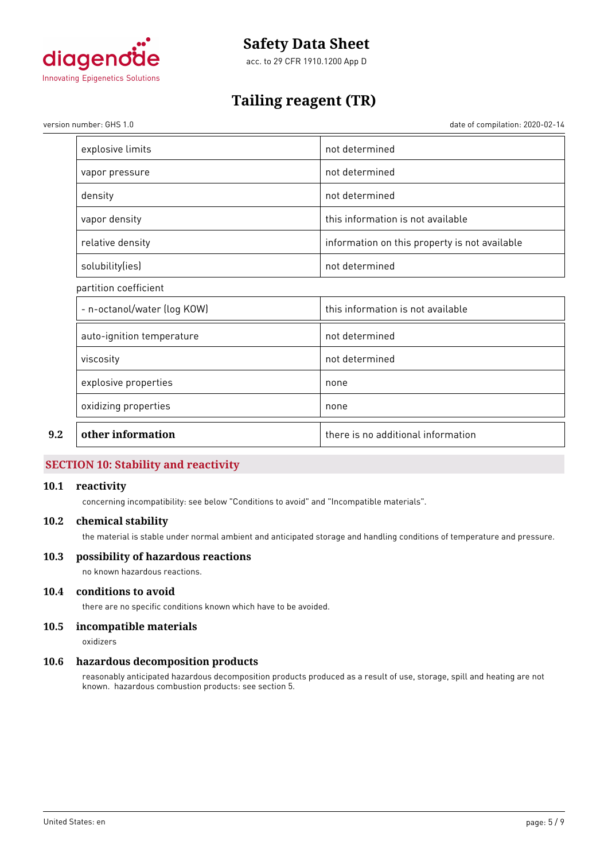

acc. to 29 CFR 1910.1200 App D

# **Tailing reagent (TR)**

version number: GHS 1.0 date of compilation: 2020-02-14

| other information           | there is no additional information            |
|-----------------------------|-----------------------------------------------|
| oxidizing properties        | none                                          |
| explosive properties        | none                                          |
| viscosity                   | not determined                                |
| auto-ignition temperature   | not determined                                |
| - n-octanol/water (log KOW) | this information is not available             |
| partition coefficient       |                                               |
| solubility(ies)             | not determined                                |
| relative density            | information on this property is not available |
| vapor density               | this information is not available             |
| density                     | not determined                                |
| vapor pressure              | not determined                                |
| explosive limits            | not determined                                |

# **SECTION 10: Stability and reactivity**

### **10.1 reactivity**

concerning incompatibility: see below "Conditions to avoid" and "Incompatible materials".

### **10.2 chemical stability**

the material is stable under normal ambient and anticipated storage and handling conditions of temperature and pressure.

### **10.3 possibility of hazardous reactions**

no known hazardous reactions.

# **10.4 conditions to avoid**

there are no specific conditions known which have to be avoided.

# **10.5 incompatible materials**

oxidizers

#### **10.6 hazardous decomposition products**

reasonably anticipated hazardous decomposition products produced as a result of use, storage, spill and heating are not known. hazardous combustion products: see section 5.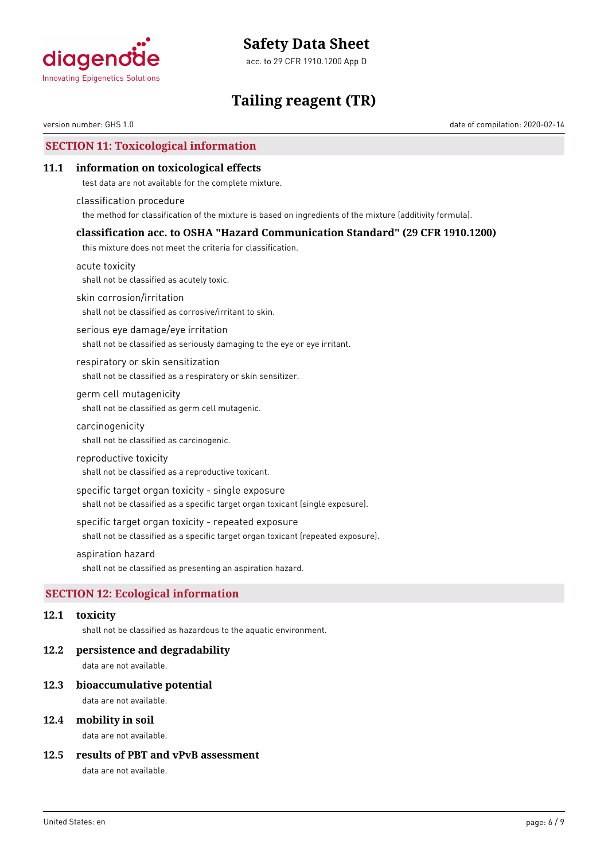



# **Tailing reagent (TR)**

version number: GHS 1.0 date of compilation: 2020-02-14

# **SECTION 11: Toxicological information**

### **11.1 information on toxicological effects**

test data are not available for the complete mixture.

classification procedure the method for classification of the mixture is based on ingredients of the mixture (additivity formula).

### **classification acc. to OSHA "Hazard Communication Standard" (29 CFR 1910.1200)**

this mixture does not meet the criteria for classification.

acute toxicity shall not be classified as acutely toxic.

skin corrosion/irritation

shall not be classified as corrosive/irritant to skin.

serious eye damage/eye irritation shall not be classified as seriously damaging to the eye or eye irritant.

respiratory or skin sensitization shall not be classified as a respiratory or skin sensitizer.

### germ cell mutagenicity shall not be classified as germ cell mutagenic.

carcinogenicity

shall not be classified as carcinogenic.

#### reproductive toxicity

shall not be classified as a reproductive toxicant.

specific target organ toxicity - single exposure

shall not be classified as a specific target organ toxicant (single exposure).

#### specific target organ toxicity - repeated exposure

shall not be classified as a specific target organ toxicant (repeated exposure).

### aspiration hazard

shall not be classified as presenting an aspiration hazard.

# **SECTION 12: Ecological information**

### **12.1 toxicity**

shall not be classified as hazardous to the aquatic environment.

#### **12.2 persistence and degradability**

data are not available.

#### **12.3 bioaccumulative potential**

data are not available.

### **12.4 mobility in soil**

data are not available.

### **12.5 results of PBT and vPvB assessment**

data are not available.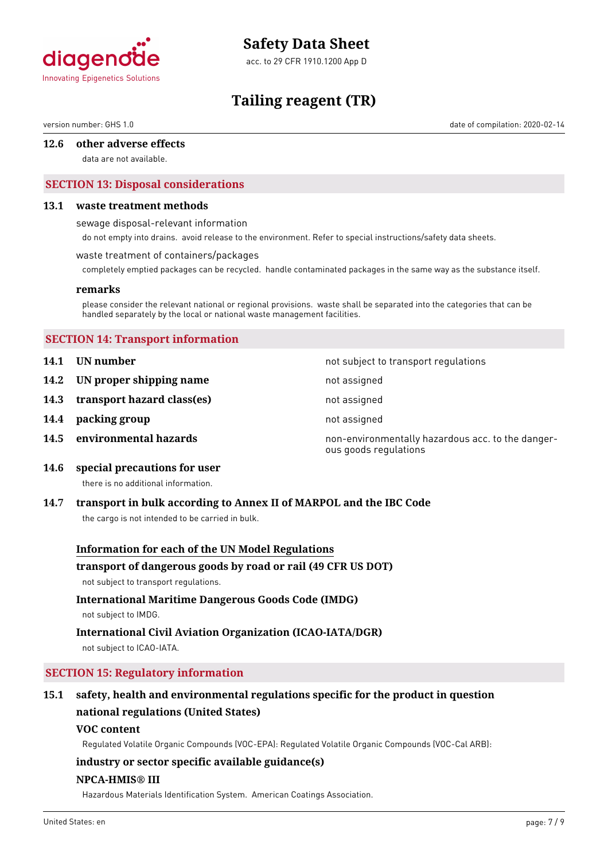

acc. to 29 CFR 1910.1200 App D

# **Tailing reagent (TR)**

version number: GHS 1.0 date of compilation: 2020-02-14

### **12.6 other adverse effects**

data are not available.

# **SECTION 13: Disposal considerations**

#### **13.1 waste treatment methods**

sewage disposal-relevant information

do not empty into drains. avoid release to the environment. Refer to special instructions/safety data sheets.

#### waste treatment of containers/packages

completely emptied packages can be recycled. handle contaminated packages in the same way as the substance itself.

#### **remarks**

please consider the relevant national or regional provisions. waste shall be separated into the categories that can be handled separately by the local or national waste management facilities.

### **SECTION 14: Transport information**

- **14.1 UN number 14.1 UN** number
- **14.2 IN proper shipping name** not assigned
- 14.3 **transport hazard class(es)** not assigned
- **14.4 packing group not assigned**
- 

**14.5 environmental hazards non-environmentally hazardous acc. to the danger**ous goods regulations

**14.6 special precautions for user**

there is no additional information.

#### **14.7 transport in bulk according to Annex II of MARPOL and the IBC Code**

the cargo is not intended to be carried in bulk.

#### **Information for each of the UN Model Regulations**

#### **transport of dangerous goods by road or rail (49 CFR US DOT)**

not subject to transport regulations.

# **International Maritime Dangerous Goods Code (IMDG)**

not subject to IMDG.

# **International Civil Aviation Organization (ICAO-IATA/DGR)**

not subject to ICAO-IATA.

# **SECTION 15: Regulatory information**

# **15.1 safety, health and environmental regulations specific for the product in question national regulations (United States)**

#### **VOC content**

Regulated Volatile Organic Compounds (VOC-EPA): Regulated Volatile Organic Compounds (VOC-Cal ARB):

#### **industry or sector specific available guidance(s)**

### **NPCA-HMIS® III**

Hazardous Materials Identification System. American Coatings Association.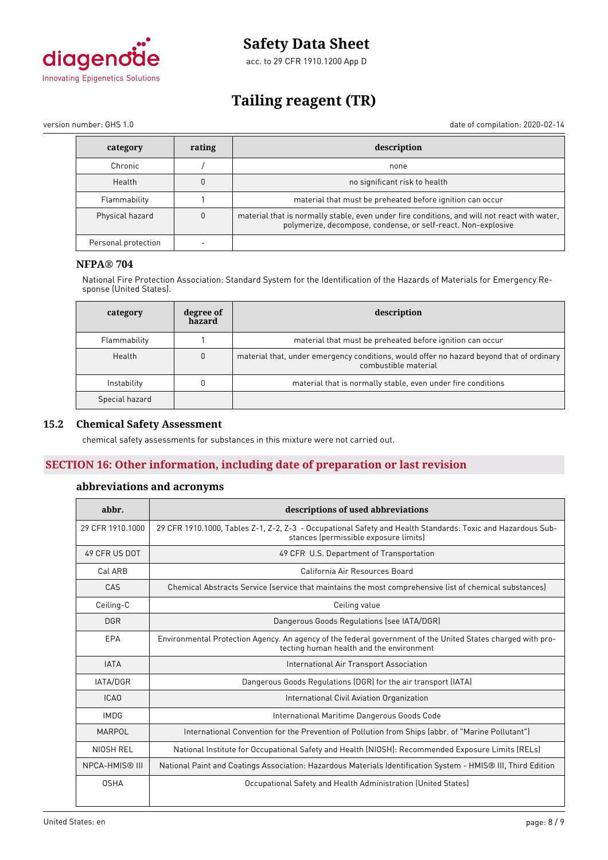

acc. to 29 CFR 1910.1200 App D

# **Tailing reagent (TR)**

version number: GHS 1.0 date of compilation: 2020-02-14

| category            | rating | description                                                                                                                                                   |
|---------------------|--------|---------------------------------------------------------------------------------------------------------------------------------------------------------------|
| Chronic             |        | none                                                                                                                                                          |
| Health              |        | no significant risk to health                                                                                                                                 |
| Flammability        |        | material that must be preheated before ignition can occur                                                                                                     |
| Physical hazard     |        | material that is normally stable, even under fire conditions, and will not react with water,<br>polymerize, decompose, condense, or self-react. Non-explosive |
| Personal protection |        |                                                                                                                                                               |

# **NFPA® 704**

National Fire Protection Association: Standard System for the Identification of the Hazards of Materials for Emergency Response (United States).

| category       | degree of<br>hazard | description                                                                                                      |  |
|----------------|---------------------|------------------------------------------------------------------------------------------------------------------|--|
| Flammability   |                     | material that must be preheated before ignition can occur                                                        |  |
| Health         | $\theta$            | material that, under emergency conditions, would offer no hazard beyond that of ordinary<br>combustible material |  |
| Instability    |                     | material that is normally stable, even under fire conditions                                                     |  |
| Special hazard |                     |                                                                                                                  |  |

### **15.2 Chemical Safety Assessment**

chemical safety assessments for substances in this mixture were not carried out.

# **SECTION 16: Other information, including date of preparation or last revision**

# **abbreviations and acronyms**

| abbr.                 | descriptions of used abbreviations                                                                                                                      |
|-----------------------|---------------------------------------------------------------------------------------------------------------------------------------------------------|
| 29 CFR 1910, 1000     | 29 CFR 1910.1000, Tables Z-1, Z-2, Z-3 - Occupational Safety and Health Standards: Toxic and Hazardous Sub-<br>stances (permissible exposure limits)    |
| 49 CFR US DOT         | 49 CFR U.S. Department of Transportation                                                                                                                |
| Cal ARB               | California Air Resources Board                                                                                                                          |
| CAS                   | Chemical Abstracts Service (service that maintains the most comprehensive list of chemical substances)                                                  |
| Ceiling-C             | Ceiling value                                                                                                                                           |
| <b>DGR</b>            | Dangerous Goods Regulations (see IATA/DGR)                                                                                                              |
| EPA                   | Environmental Protection Agency. An agency of the federal government of the United States charged with pro-<br>tecting human health and the environment |
| <b>IATA</b>           | International Air Transport Association                                                                                                                 |
| <b>IATA/DGR</b>       | Dangerous Goods Regulations (DGR) for the air transport (IATA)                                                                                          |
| <b>ICAO</b>           | International Civil Aviation Organization                                                                                                               |
| <b>IMDG</b>           | International Maritime Dangerous Goods Code                                                                                                             |
| MARPOL                | International Convention for the Prevention of Pollution from Ships (abbr. of "Marine Pollutant")                                                       |
| NIOSH REL             | National Institute for Occupational Safety and Health (NIOSH): Recommended Exposure Limits (RELs)                                                       |
| <b>NPCA-HMIS® III</b> | National Paint and Coatings Association: Hazardous Materials Identification System - HMIS® III, Third Edition                                           |
| <b>OSHA</b>           | Occupational Safety and Health Administration (United States)                                                                                           |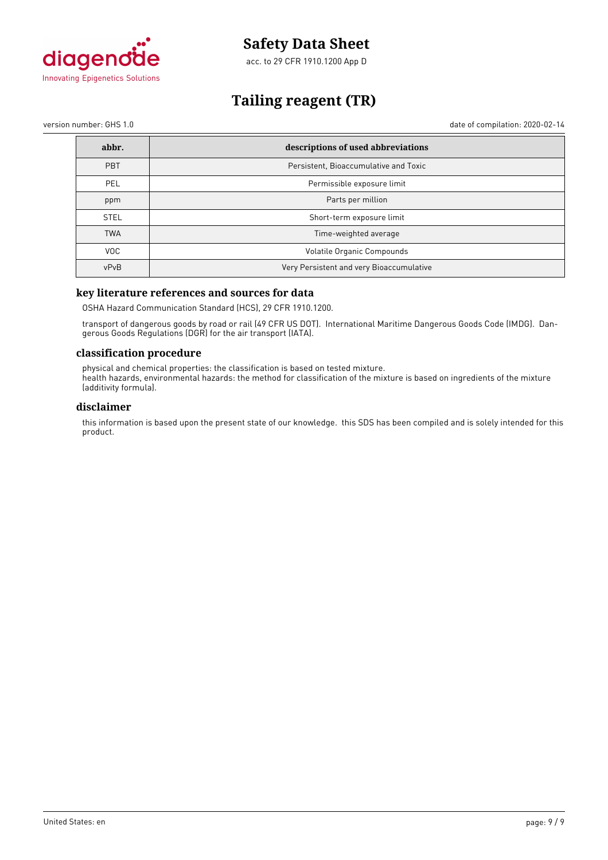

acc. to 29 CFR 1910.1200 App D

# **Tailing reagent (TR)**

version number: GHS 1.0 date of compilation: 2020-02-14

| abbr.       | descriptions of used abbreviations       |
|-------------|------------------------------------------|
| PBT         | Persistent, Bioaccumulative and Toxic    |
| <b>PEL</b>  | Permissible exposure limit               |
| ppm         | Parts per million                        |
| <b>STEL</b> | Short-term exposure limit                |
| <b>TWA</b>  | Time-weighted average                    |
| <b>VOC</b>  | Volatile Organic Compounds               |
| vPvB        | Very Persistent and very Bioaccumulative |

# **key literature references and sources for data**

OSHA Hazard Communication Standard (HCS), 29 CFR 1910.1200.

transport of dangerous goods by road or rail (49 CFR US DOT). International Maritime Dangerous Goods Code (IMDG). Dangerous Goods Regulations (DGR) for the air transport (IATA).

#### **classification procedure**

physical and chemical properties: the classification is based on tested mixture. health hazards, environmental hazards: the method for classification of the mixture is based on ingredients of the mixture (additivity formula).

### **disclaimer**

this information is based upon the present state of our knowledge. this SDS has been compiled and is solely intended for this product.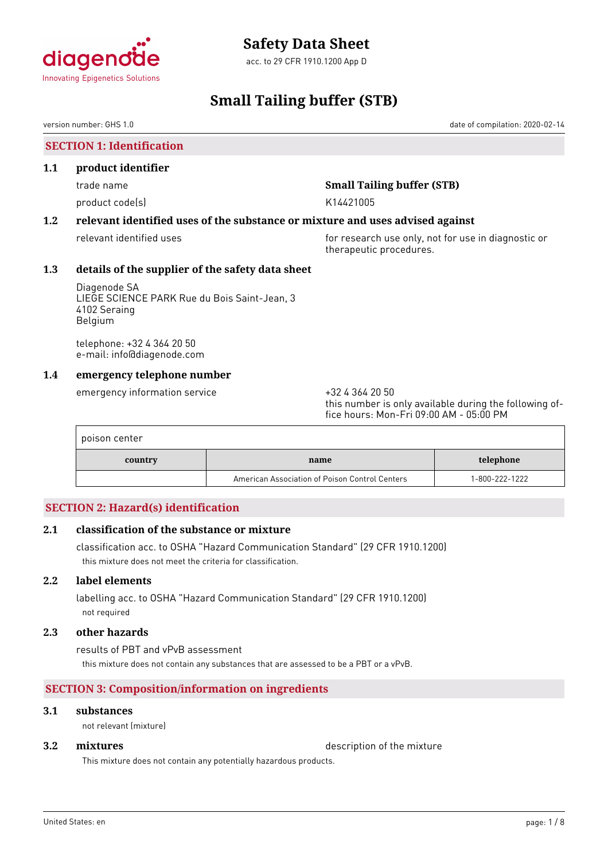

acc. to 29 CFR 1910.1200 App D

# **Small Tailing buffer (STB)**

version number: GHS 1.0 date of compilation: 2020-02-14

**SECTION 1: Identification**

### **1.1 product identifier**

# trade name **Small Tailing buffer (STB)**

product code(s) and the control of the K14421005

# **1.2 relevant identified uses of the substance or mixture and uses advised against**

relevant identified uses **for research use only, not for use in diagnostic or** for use in diagnostic or therapeutic procedures.

# **1.3 details of the supplier of the safety data sheet**

Diagenode SA LIEGE SCIENCE PARK Rue du Bois Saint-Jean, 3 4102 Seraing Belgium

telephone: +32 4 364 20 50 e-mail: info@diagenode.com

# **1.4 emergency telephone number**

emergency information service  $+3243642050$ 

this number is only available during the following office hours: Mon-Fri 09:00 AM - 05:00 PM

| poison center |                                                |                |
|---------------|------------------------------------------------|----------------|
| country       | name                                           | telephone      |
|               | American Association of Poison Control Centers | 1-800-222-1222 |

# **SECTION 2: Hazard(s) identification**

# **2.1 classification of the substance or mixture**

classification acc. to OSHA "Hazard Communication Standard" (29 CFR 1910.1200) this mixture does not meet the criteria for classification.

# **2.2 label elements**

labelling acc. to OSHA "Hazard Communication Standard" (29 CFR 1910.1200) not required

### **2.3 other hazards**

results of PBT and vPvB assessment this mixture does not contain any substances that are assessed to be a PBT or a vPvB.

# **SECTION 3: Composition/information on ingredients**

### **3.1 substances**

not relevant (mixture)

**3.2 <b>mixtures** description of the mixture

This mixture does not contain any potentially hazardous products.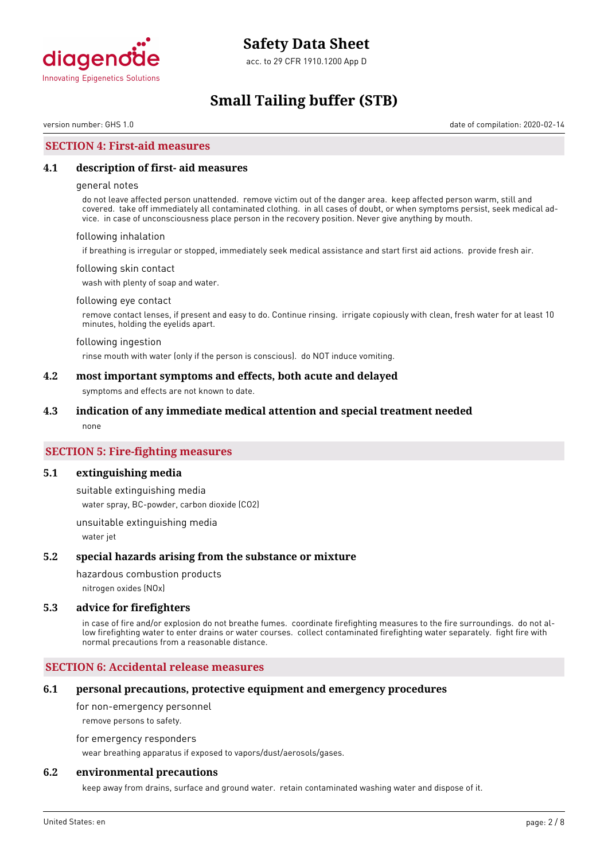

acc. to 29 CFR 1910.1200 App D

# **Small Tailing buffer (STB)**

version number: GHS 1.0 date of compilation: 2020-02-14

### **SECTION 4: First-aid measures**

#### **4.1 description of first- aid measures**

#### general notes

do not leave affected person unattended. remove victim out of the danger area. keep affected person warm, still and covered. take off immediately all contaminated clothing. in all cases of doubt, or when symptoms persist, seek medical advice. in case of unconsciousness place person in the recovery position. Never give anything by mouth.

#### following inhalation

if breathing is irregular or stopped, immediately seek medical assistance and start first aid actions. provide fresh air.

#### following skin contact

wash with plenty of soap and water.

#### following eye contact

remove contact lenses, if present and easy to do. Continue rinsing. irrigate copiously with clean, fresh water for at least 10 minutes, holding the eyelids apart.

#### following ingestion

rinse mouth with water (only if the person is conscious). do NOT induce vomiting.

### **4.2 most important symptoms and effects, both acute and delayed**

symptoms and effects are not known to date.

#### **4.3 indication of any immediate medical attention and special treatment needed**

none

## **SECTION 5: Fire-fighting measures**

#### **5.1 extinguishing media**

suitable extinguishing media water spray, BC-powder, carbon dioxide (CO2)

unsuitable extinguishing media water jet

#### **5.2 special hazards arising from the substance or mixture**

hazardous combustion products

nitrogen oxides (NOx)

#### **5.3 advice for firefighters**

in case of fire and/or explosion do not breathe fumes. coordinate firefighting measures to the fire surroundings. do not allow firefighting water to enter drains or water courses. collect contaminated firefighting water separately. fight fire with normal precautions from a reasonable distance.

### **SECTION 6: Accidental release measures**

#### **6.1 personal precautions, protective equipment and emergency procedures**

for non-emergency personnel

remove persons to safety.

for emergency responders

wear breathing apparatus if exposed to vapors/dust/aerosols/gases.

### **6.2 environmental precautions**

keep away from drains, surface and ground water. retain contaminated washing water and dispose of it.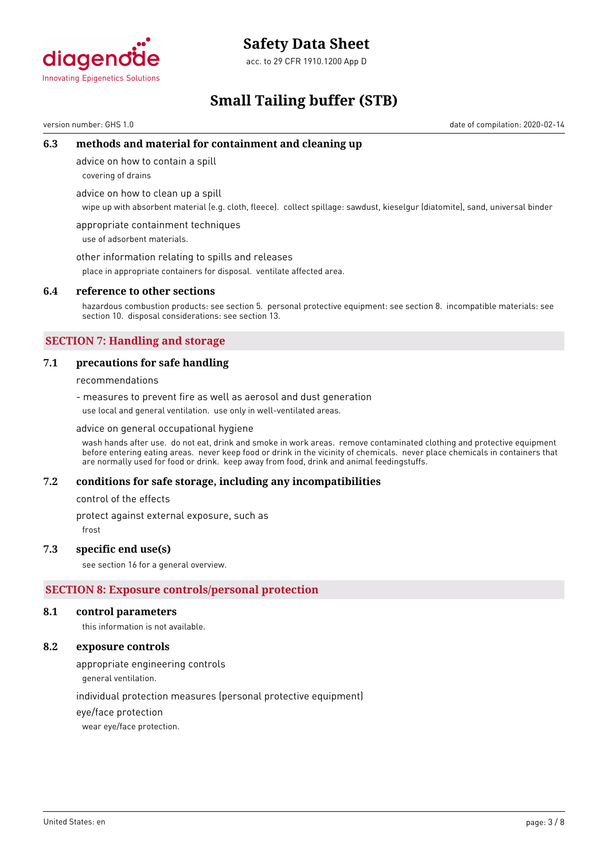

acc. to 29 CFR 1910.1200 App D

# **Small Tailing buffer (STB)**

version number: GHS 1.0 date of compilation: 2020-02-14

# **6.3 methods and material for containment and cleaning up**

advice on how to contain a spill

covering of drains

advice on how to clean up a spill

wipe up with absorbent material (e.g. cloth, fleece). collect spillage: sawdust, kieselgur (diatomite), sand, universal binder

appropriate containment techniques use of adsorbent materials.

other information relating to spills and releases

place in appropriate containers for disposal. ventilate affected area.

### **6.4 reference to other sections**

hazardous combustion products: see section 5. personal protective equipment: see section 8. incompatible materials: see section 10. disposal considerations: see section 13.

# **SECTION 7: Handling and storage**

### **7.1 precautions for safe handling**

recommendations

- measures to prevent fire as well as aerosol and dust generation use local and general ventilation. use only in well-ventilated areas.

advice on general occupational hygiene

wash hands after use. do not eat, drink and smoke in work areas. remove contaminated clothing and protective equipment before entering eating areas. never keep food or drink in the vicinity of chemicals. never place chemicals in containers that are normally used for food or drink. keep away from food, drink and animal feedingstuffs.

#### **7.2 conditions for safe storage, including any incompatibilities**

control of the effects

protect against external exposure, such as

frost

#### **7.3 specific end use(s)**

see section 16 for a general overview.

# **SECTION 8: Exposure controls/personal protection**

#### **8.1 control parameters**

this information is not available.

## **8.2 exposure controls**

appropriate engineering controls

general ventilation.

individual protection measures (personal protective equipment)

eye/face protection

wear eye/face protection.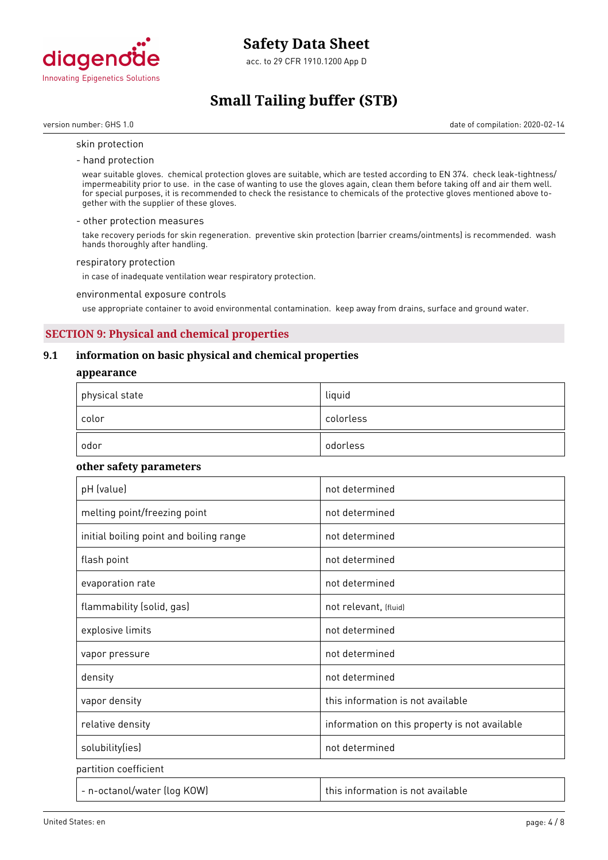

acc. to 29 CFR 1910.1200 App D

# **Small Tailing buffer (STB)**

version number: GHS 1.0 date of compilation: 2020-02-14

#### skin protection

- hand protection

wear suitable gloves. chemical protection gloves are suitable, which are tested according to EN 374. check leak-tightness/ impermeability prior to use. in the case of wanting to use the gloves again, clean them before taking off and air them well. for special purposes, it is recommended to check the resistance to chemicals of the protective gloves mentioned above together with the supplier of these gloves.

#### - other protection measures

take recovery periods for skin regeneration. preventive skin protection (barrier creams/ointments) is recommended. wash hands thoroughly after handling.

#### respiratory protection

in case of inadequate ventilation wear respiratory protection.

environmental exposure controls

use appropriate container to avoid environmental contamination. keep away from drains, surface and ground water.

# **SECTION 9: Physical and chemical properties**

# **9.1 information on basic physical and chemical properties**

#### **appearance**

| $^\mathrm{+}$ physical state | liquid    |
|------------------------------|-----------|
| color                        | colorless |
| odor                         | odorless  |

### **other safety parameters**

| pH (value)                              | not determined                                |
|-----------------------------------------|-----------------------------------------------|
| melting point/freezing point            | not determined                                |
| initial boiling point and boiling range | not determined                                |
| flash point                             | not determined                                |
| evaporation rate                        | not determined                                |
| flammability (solid, gas)               | not relevant, (fluid)                         |
| explosive limits                        | not determined                                |
| vapor pressure                          | not determined                                |
| density                                 | not determined                                |
| vapor density                           | this information is not available             |
| relative density                        | information on this property is not available |
| solubility(ies)                         | not determined                                |
| partition coefficient                   |                                               |
| - n-octanol/water (log KOW)             | this information is not available             |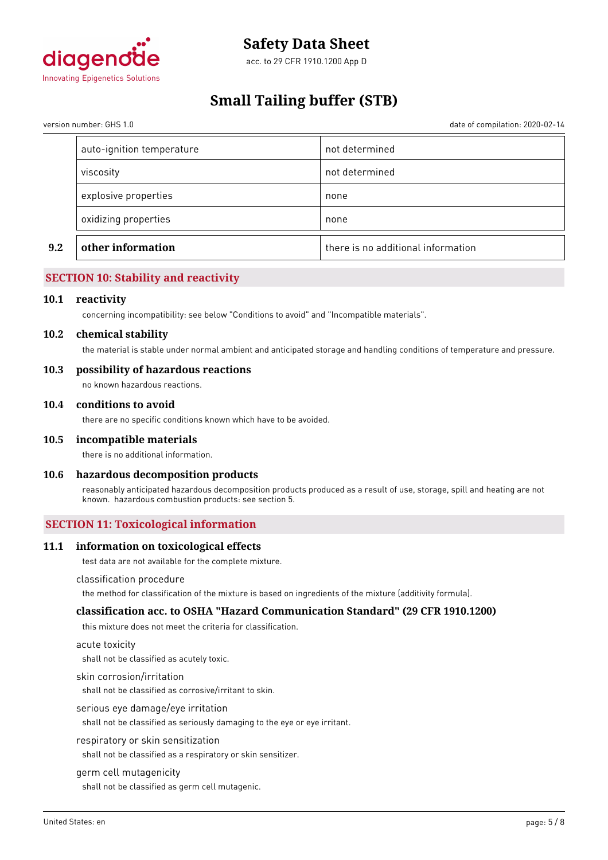

acc. to 29 CFR 1910.1200 App D

# **Small Tailing buffer (STB)**

date of compilation: 2020-02-14

| oxidizing properties      | none           |
|---------------------------|----------------|
| explosive properties      | none           |
| viscosity                 | not determined |
| auto-ignition temperature | not determined |

# **SECTION 10: Stability and reactivity**

#### **10.1 reactivity**

concerning incompatibility: see below "Conditions to avoid" and "Incompatible materials".

#### **10.2 chemical stability**

the material is stable under normal ambient and anticipated storage and handling conditions of temperature and pressure.

### **10.3 possibility of hazardous reactions**

no known hazardous reactions.

### **10.4 conditions to avoid**

there are no specific conditions known which have to be avoided.

#### **10.5 incompatible materials**

there is no additional information.

# **10.6 hazardous decomposition products**

reasonably anticipated hazardous decomposition products produced as a result of use, storage, spill and heating are not known. hazardous combustion products: see section 5.

# **SECTION 11: Toxicological information**

#### **11.1 information on toxicological effects**

test data are not available for the complete mixture.

#### classification procedure

the method for classification of the mixture is based on ingredients of the mixture (additivity formula).

#### **classification acc. to OSHA "Hazard Communication Standard" (29 CFR 1910.1200)**

this mixture does not meet the criteria for classification.

#### acute toxicity

shall not be classified as acutely toxic.

#### skin corrosion/irritation

shall not be classified as corrosive/irritant to skin.

#### serious eye damage/eye irritation

shall not be classified as seriously damaging to the eye or eye irritant.

#### respiratory or skin sensitization

shall not be classified as a respiratory or skin sensitizer.

#### germ cell mutagenicity

shall not be classified as germ cell mutagenic.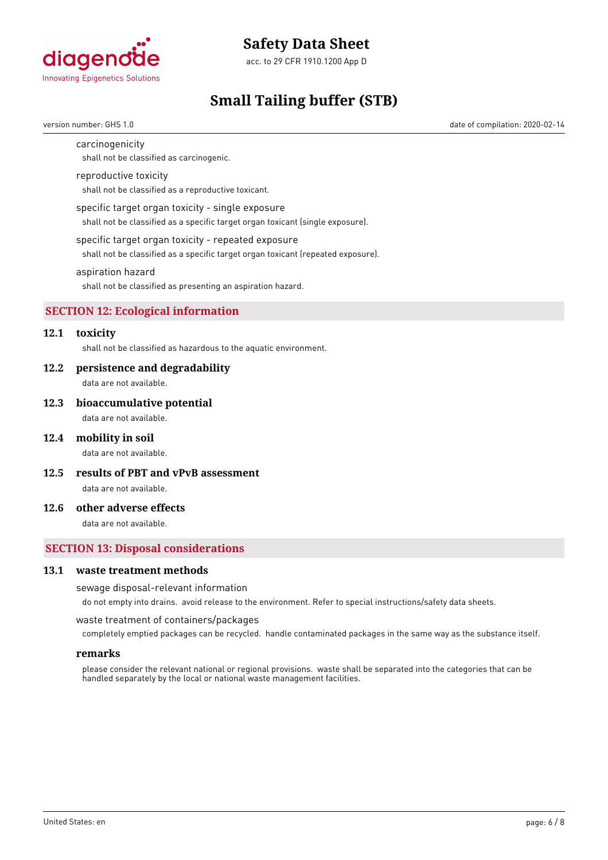

acc. to 29 CFR 1910.1200 App D

# **Small Tailing buffer (STB)**

version number: GHS 1.0 date of compilation: 2020-02-14

#### carcinogenicity

shall not be classified as carcinogenic.

#### reproductive toxicity

shall not be classified as a reproductive toxicant.

#### specific target organ toxicity - single exposure

shall not be classified as a specific target organ toxicant (single exposure).

#### specific target organ toxicity - repeated exposure

shall not be classified as a specific target organ toxicant (repeated exposure).

#### aspiration hazard

shall not be classified as presenting an aspiration hazard.

# **SECTION 12: Ecological information**

# **12.1 toxicity**

shall not be classified as hazardous to the aquatic environment.

#### **12.2 persistence and degradability**

data are not available.

#### **12.3 bioaccumulative potential**

data are not available.

#### **12.4 mobility in soil**

data are not available.

**12.5 results of PBT and vPvB assessment**

data are not available.

## **12.6 other adverse effects**

data are not available.

### **SECTION 13: Disposal considerations**

### **13.1 waste treatment methods**

#### sewage disposal-relevant information

do not empty into drains. avoid release to the environment. Refer to special instructions/safety data sheets.

waste treatment of containers/packages

completely emptied packages can be recycled. handle contaminated packages in the same way as the substance itself.

#### **remarks**

please consider the relevant national or regional provisions. waste shall be separated into the categories that can be handled separately by the local or national waste management facilities.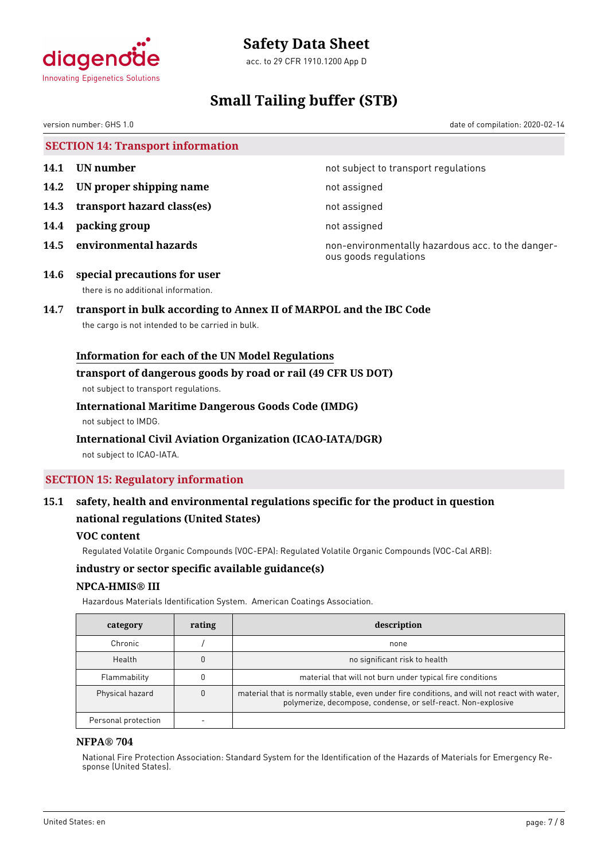

acc. to 29 CFR 1910.1200 App D

# **Small Tailing buffer (STB)**

version number: GHS 1.0 date of compilation: 2020-02-14

**SECTION 14: Transport information**

- 
- **14.2 IN proper shipping name** not assigned
- **14.3 transport hazard class(es)** not assigned
- **14.4 packing group not assigned**
- 

**14.1 UN number 14.1 UN** number

**14.5 environmental hazards non-environmentally hazardous acc. to the danger**ous goods regulations

**14.6 special precautions for user** there is no additional information.

# **14.7 transport in bulk according to Annex II of MARPOL and the IBC Code**

the cargo is not intended to be carried in bulk.

# **Information for each of the UN Model Regulations**

### **transport of dangerous goods by road or rail (49 CFR US DOT)**

not subject to transport regulations.

# **International Maritime Dangerous Goods Code (IMDG)**

not subject to IMDG.

# **International Civil Aviation Organization (ICAO-IATA/DGR)**

not subject to ICAO-IATA.

# **SECTION 15: Regulatory information**

# **15.1 safety, health and environmental regulations specific for the product in question national regulations (United States)**

# **VOC content**

Regulated Volatile Organic Compounds (VOC-EPA): Regulated Volatile Organic Compounds (VOC-Cal ARB):

# **industry or sector specific available guidance(s)**

# **NPCA-HMIS® III**

Hazardous Materials Identification System. American Coatings Association.

| category            | rating | description                                                                                                                                                   |
|---------------------|--------|---------------------------------------------------------------------------------------------------------------------------------------------------------------|
| Chronic             |        | none                                                                                                                                                          |
| Health              |        | no significant risk to health                                                                                                                                 |
| Flammability        |        | material that will not burn under typical fire conditions                                                                                                     |
| Physical hazard     |        | material that is normally stable, even under fire conditions, and will not react with water,<br>polymerize, decompose, condense, or self-react. Non-explosive |
| Personal protection |        |                                                                                                                                                               |

# **NFPA® 704**

National Fire Protection Association: Standard System for the Identification of the Hazards of Materials for Emergency Response (United States).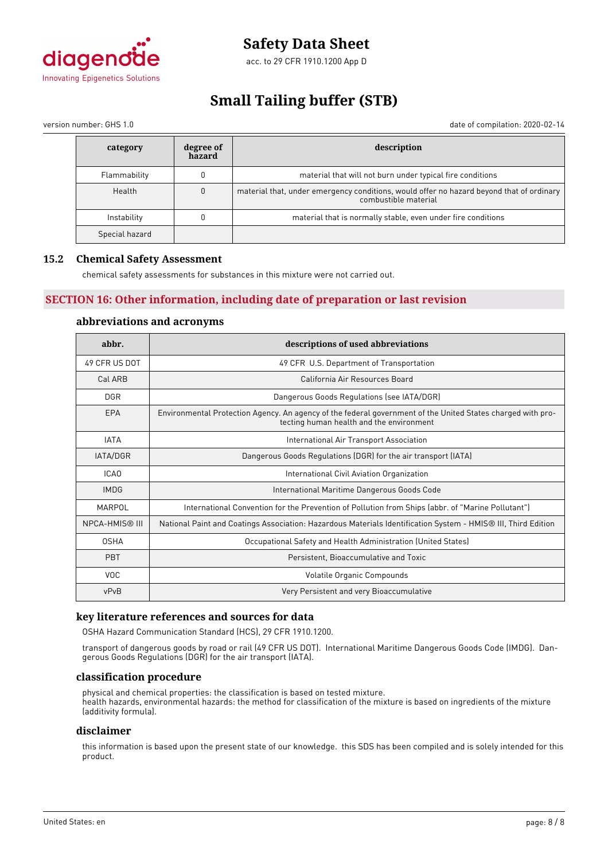

acc. to 29 CFR 1910.1200 App D

# **Small Tailing buffer (STB)**

version number: GHS 1.0 date of compilation: 2020-02-14

| category       | degree of<br>hazard | description                                                                                                      |  |
|----------------|---------------------|------------------------------------------------------------------------------------------------------------------|--|
| Flammability   |                     | material that will not burn under typical fire conditions                                                        |  |
| Health         | 0                   | material that, under emergency conditions, would offer no hazard beyond that of ordinary<br>combustible material |  |
| Instability    |                     | material that is normally stable, even under fire conditions                                                     |  |
| Special hazard |                     |                                                                                                                  |  |

# **15.2 Chemical Safety Assessment**

chemical safety assessments for substances in this mixture were not carried out.

# **SECTION 16: Other information, including date of preparation or last revision**

# **abbreviations and acronyms**

| abbr.                 | descriptions of used abbreviations                                                                                                                      |
|-----------------------|---------------------------------------------------------------------------------------------------------------------------------------------------------|
| 49 CFR US DOT         | 49 CFR U.S. Department of Transportation                                                                                                                |
| Cal ARB               | California Air Resources Board                                                                                                                          |
| <b>DGR</b>            | Dangerous Goods Regulations (see IATA/DGR)                                                                                                              |
| EPA                   | Environmental Protection Agency. An agency of the federal government of the United States charged with pro-<br>tecting human health and the environment |
| <b>IATA</b>           | International Air Transport Association                                                                                                                 |
| IATA/DGR              | Dangerous Goods Regulations (DGR) for the air transport (IATA)                                                                                          |
| ICA <sub>0</sub>      | International Civil Aviation Organization                                                                                                               |
| <b>IMDG</b>           | International Maritime Dangerous Goods Code                                                                                                             |
| MARPOL                | International Convention for the Prevention of Pollution from Ships (abbr. of "Marine Pollutant")                                                       |
| <b>NPCA-HMIS® III</b> | National Paint and Coatings Association: Hazardous Materials Identification System - HMIS® III, Third Edition                                           |
| <b>OSHA</b>           | Occupational Safety and Health Administration (United States)                                                                                           |
| <b>PBT</b>            | Persistent, Bioaccumulative and Toxic                                                                                                                   |
| <b>VOC</b>            | Volatile Organic Compounds                                                                                                                              |
| vPvB                  | Very Persistent and very Bioaccumulative                                                                                                                |

# **key literature references and sources for data**

OSHA Hazard Communication Standard (HCS), 29 CFR 1910.1200.

transport of dangerous goods by road or rail (49 CFR US DOT). International Maritime Dangerous Goods Code (IMDG). Dangerous Goods Regulations (DGR) for the air transport (IATA).

#### **classification procedure**

physical and chemical properties: the classification is based on tested mixture. health hazards, environmental hazards: the method for classification of the mixture is based on ingredients of the mixture (additivity formula).

### **disclaimer**

this information is based upon the present state of our knowledge. this SDS has been compiled and is solely intended for this product.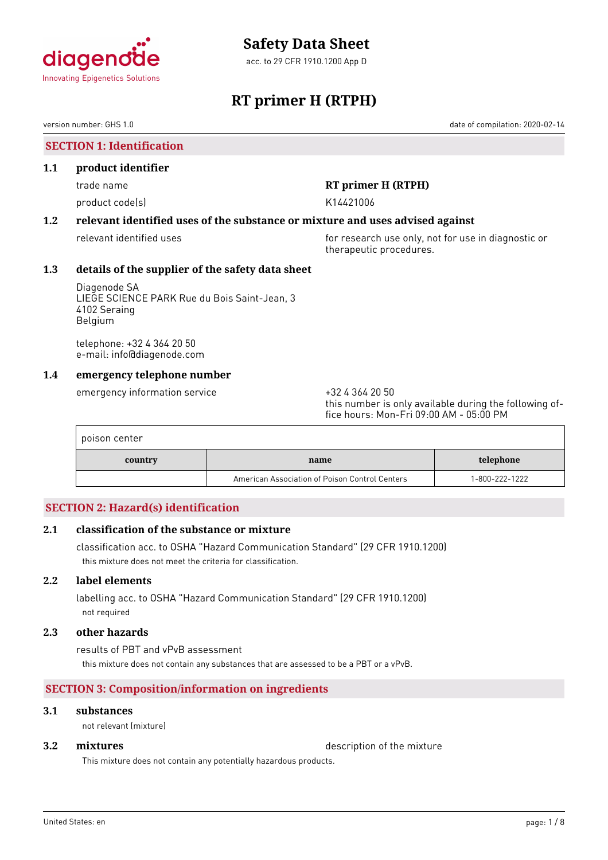

acc. to 29 CFR 1910.1200 App D

# **RT primer H (RTPH)**

version number: GHS 1.0 date of compilation: 2020-02-14

# **SECTION 1: Identification**

### **1.1 product identifier**

product code(s) and the control of the K14421006

# trade name **RT primer H (RTPH)**

# **1.2 relevant identified uses of the substance or mixture and uses advised against**

relevant identified uses **for research use only, not for use in diagnostic or** for use in diagnostic or therapeutic procedures.

# **1.3 details of the supplier of the safety data sheet**

Diagenode SA LIEGE SCIENCE PARK Rue du Bois Saint-Jean, 3 4102 Seraing Belgium

telephone: +32 4 364 20 50 e-mail: info@diagenode.com

# **1.4 emergency telephone number**

emergency information service  $+3243642050$ 

this number is only available during the following office hours: Mon-Fri 09:00 AM - 05:00 PM

| poison center |                                                |                |
|---------------|------------------------------------------------|----------------|
| country       | name                                           | telephone      |
|               | American Association of Poison Control Centers | 1-800-222-1222 |

# **SECTION 2: Hazard(s) identification**

# **2.1 classification of the substance or mixture**

classification acc. to OSHA "Hazard Communication Standard" (29 CFR 1910.1200) this mixture does not meet the criteria for classification.

# **2.2 label elements**

labelling acc. to OSHA "Hazard Communication Standard" (29 CFR 1910.1200) not required

### **2.3 other hazards**

results of PBT and vPvB assessment this mixture does not contain any substances that are assessed to be a PBT or a vPvB.

# **SECTION 3: Composition/information on ingredients**

# **3.1 substances**

not relevant (mixture)

**3.2 <b>mixtures** description of the mixture

This mixture does not contain any potentially hazardous products.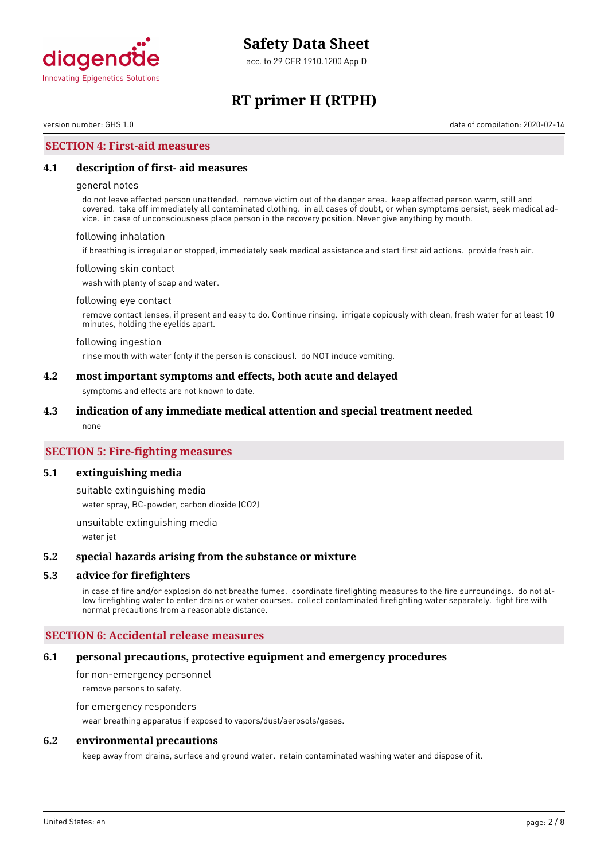

acc. to 29 CFR 1910.1200 App D

# **RT primer H (RTPH)**

version number: GHS 1.0 date of compilation: 2020-02-14

### **SECTION 4: First-aid measures**

#### **4.1 description of first- aid measures**

#### general notes

do not leave affected person unattended. remove victim out of the danger area. keep affected person warm, still and covered. take off immediately all contaminated clothing. in all cases of doubt, or when symptoms persist, seek medical advice. in case of unconsciousness place person in the recovery position. Never give anything by mouth.

#### following inhalation

if breathing is irregular or stopped, immediately seek medical assistance and start first aid actions. provide fresh air.

#### following skin contact

wash with plenty of soap and water.

#### following eye contact

remove contact lenses, if present and easy to do. Continue rinsing. irrigate copiously with clean, fresh water for at least 10 minutes, holding the eyelids apart.

#### following ingestion

rinse mouth with water (only if the person is conscious). do NOT induce vomiting.

#### **4.2 most important symptoms and effects, both acute and delayed**

symptoms and effects are not known to date.

#### **4.3 indication of any immediate medical attention and special treatment needed**

none

## **SECTION 5: Fire-fighting measures**

#### **5.1 extinguishing media**

suitable extinguishing media

water spray, BC-powder, carbon dioxide (CO2)

unsuitable extinguishing media

water jet

#### **5.2 special hazards arising from the substance or mixture**

#### **5.3 advice for firefighters**

in case of fire and/or explosion do not breathe fumes. coordinate firefighting measures to the fire surroundings. do not allow firefighting water to enter drains or water courses. collect contaminated firefighting water separately. fight fire with normal precautions from a reasonable distance.

### **SECTION 6: Accidental release measures**

#### **6.1 personal precautions, protective equipment and emergency procedures**

for non-emergency personnel remove persons to safety.

#### for emergency responders

wear breathing apparatus if exposed to vapors/dust/aerosols/gases.

### **6.2 environmental precautions**

keep away from drains, surface and ground water. retain contaminated washing water and dispose of it.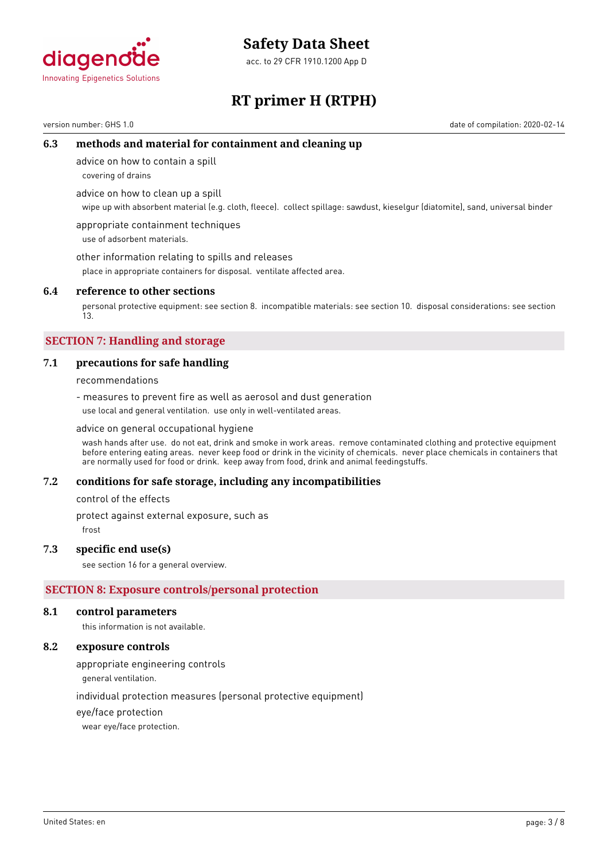

acc. to 29 CFR 1910.1200 App D



# **RT primer H (RTPH)**

version number: GHS 1.0 date of compilation: 2020-02-14

# **6.3 methods and material for containment and cleaning up**

advice on how to contain a spill

covering of drains

advice on how to clean up a spill

wipe up with absorbent material (e.g. cloth, fleece). collect spillage: sawdust, kieselgur (diatomite), sand, universal binder

appropriate containment techniques use of adsorbent materials.

other information relating to spills and releases

place in appropriate containers for disposal. ventilate affected area.

## **6.4 reference to other sections**

personal protective equipment: see section 8. incompatible materials: see section 10. disposal considerations: see section 13.

# **SECTION 7: Handling and storage**

# **7.1 precautions for safe handling**

recommendations

- measures to prevent fire as well as aerosol and dust generation use local and general ventilation. use only in well-ventilated areas.

#### advice on general occupational hygiene

wash hands after use. do not eat, drink and smoke in work areas. remove contaminated clothing and protective equipment before entering eating areas. never keep food or drink in the vicinity of chemicals. never place chemicals in containers that are normally used for food or drink. keep away from food, drink and animal feedingstuffs.

# **7.2 conditions for safe storage, including any incompatibilities**

control of the effects

protect against external exposure, such as

frost

# **7.3 specific end use(s)**

see section 16 for a general overview.

# **SECTION 8: Exposure controls/personal protection**

#### **8.1 control parameters**

this information is not available.

## **8.2 exposure controls**

appropriate engineering controls

general ventilation.

individual protection measures (personal protective equipment)

eye/face protection

wear eye/face protection.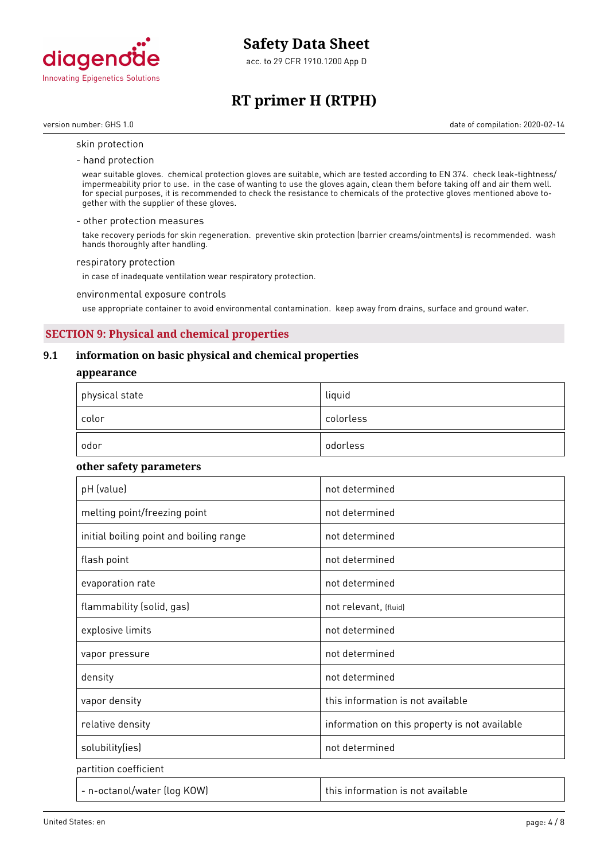

acc. to 29 CFR 1910.1200 App D

# **RT primer H (RTPH)**

version number: GHS 1.0 date of compilation: 2020-02-14

#### skin protection

- hand protection

wear suitable gloves. chemical protection gloves are suitable, which are tested according to EN 374. check leak-tightness/ impermeability prior to use. in the case of wanting to use the gloves again, clean them before taking off and air them well. for special purposes, it is recommended to check the resistance to chemicals of the protective gloves mentioned above together with the supplier of these gloves.

#### - other protection measures

take recovery periods for skin regeneration. preventive skin protection (barrier creams/ointments) is recommended. wash hands thoroughly after handling.

#### respiratory protection

in case of inadequate ventilation wear respiratory protection.

#### environmental exposure controls

use appropriate container to avoid environmental contamination. keep away from drains, surface and ground water.

# **SECTION 9: Physical and chemical properties**

## **9.1 information on basic physical and chemical properties**

#### **appearance**

| $^\mathrm{+}$ physical state | liquid    |
|------------------------------|-----------|
| color                        | colorless |
| odor                         | odorless  |

### **other safety parameters**

| pH (value)                              | not determined                                |
|-----------------------------------------|-----------------------------------------------|
| melting point/freezing point            | not determined                                |
| initial boiling point and boiling range | not determined                                |
| flash point                             | not determined                                |
| evaporation rate                        | not determined                                |
| flammability (solid, gas)               | not relevant, (fluid)                         |
| explosive limits                        | not determined                                |
| vapor pressure                          | not determined                                |
| density                                 | not determined                                |
| vapor density                           | this information is not available             |
| relative density                        | information on this property is not available |
| solubility(ies)                         | not determined                                |
| partition coefficient                   |                                               |
| - n-octanol/water (log KOW)             | this information is not available             |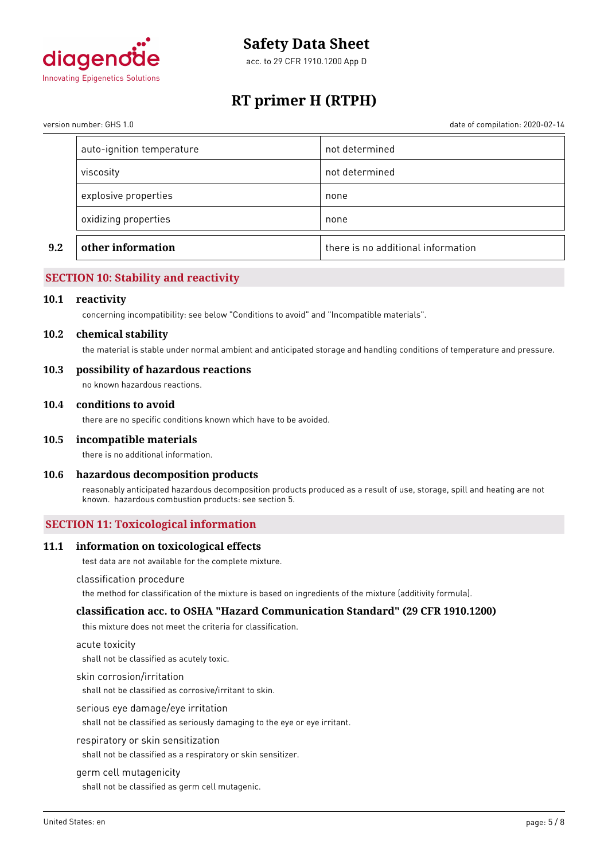

acc. to 29 CFR 1910.1200 App D

# **RT primer H (RTPH)**

date of compilation: 2020-02-14

| version number: GHS 1.0 |  |  |
|-------------------------|--|--|
|                         |  |  |

| 9.2 | other information         | there is no additional information |
|-----|---------------------------|------------------------------------|
|     | oxidizing properties      | none                               |
|     | explosive properties      | none                               |
|     | viscosity                 | not determined                     |
|     | auto-ignition temperature | not determined                     |

# **SECTION 10: Stability and reactivity**

#### **10.1 reactivity**

concerning incompatibility: see below "Conditions to avoid" and "Incompatible materials".

#### **10.2 chemical stability**

the material is stable under normal ambient and anticipated storage and handling conditions of temperature and pressure.

#### **10.3 possibility of hazardous reactions**

no known hazardous reactions.

#### **10.4 conditions to avoid**

there are no specific conditions known which have to be avoided.

#### **10.5 incompatible materials**

there is no additional information.

### **10.6 hazardous decomposition products**

reasonably anticipated hazardous decomposition products produced as a result of use, storage, spill and heating are not known. hazardous combustion products: see section 5.

# **SECTION 11: Toxicological information**

#### **11.1 information on toxicological effects**

test data are not available for the complete mixture.

#### classification procedure

the method for classification of the mixture is based on ingredients of the mixture (additivity formula).

### **classification acc. to OSHA "Hazard Communication Standard" (29 CFR 1910.1200)**

this mixture does not meet the criteria for classification.

#### acute toxicity

shall not be classified as acutely toxic.

#### skin corrosion/irritation

shall not be classified as corrosive/irritant to skin.

#### serious eye damage/eye irritation

shall not be classified as seriously damaging to the eye or eye irritant.

#### respiratory or skin sensitization

shall not be classified as a respiratory or skin sensitizer.

#### germ cell mutagenicity

shall not be classified as germ cell mutagenic.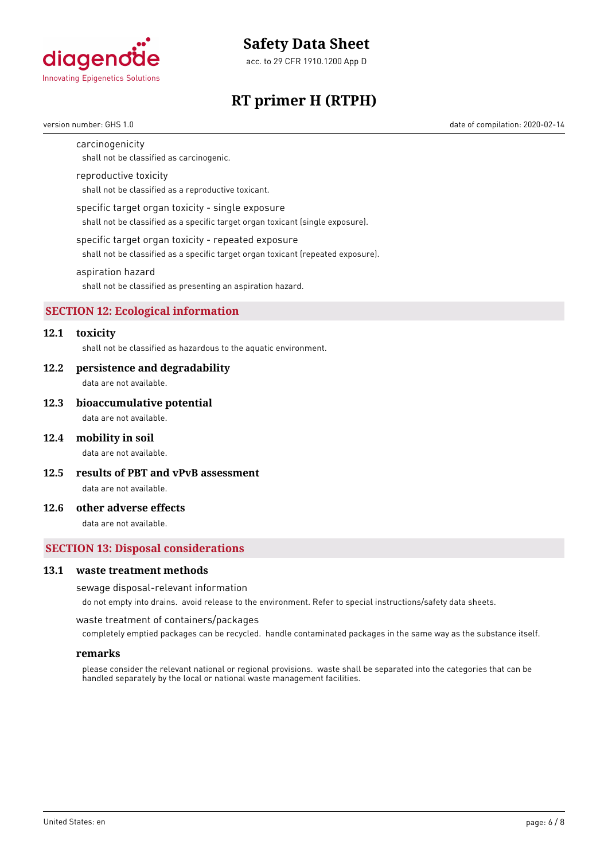

acc. to 29 CFR 1910.1200 App D

# **RT primer H (RTPH)**

version number: GHS 1.0 date of compilation: 2020-02-14

#### carcinogenicity

shall not be classified as carcinogenic.

#### reproductive toxicity

shall not be classified as a reproductive toxicant.

#### specific target organ toxicity - single exposure

shall not be classified as a specific target organ toxicant (single exposure).

#### specific target organ toxicity - repeated exposure

shall not be classified as a specific target organ toxicant (repeated exposure).

#### aspiration hazard

shall not be classified as presenting an aspiration hazard.

#### **SECTION 12: Ecological information**

# **12.1 toxicity**

shall not be classified as hazardous to the aquatic environment.

#### **12.2 persistence and degradability**

data are not available.

#### **12.3 bioaccumulative potential**

data are not available.

#### **12.4 mobility in soil**

data are not available.

**12.5 results of PBT and vPvB assessment**

data are not available.

## **12.6 other adverse effects**

data are not available.

### **SECTION 13: Disposal considerations**

#### **13.1 waste treatment methods**

#### sewage disposal-relevant information

do not empty into drains. avoid release to the environment. Refer to special instructions/safety data sheets.

waste treatment of containers/packages

completely emptied packages can be recycled. handle contaminated packages in the same way as the substance itself.

#### **remarks**

please consider the relevant national or regional provisions. waste shall be separated into the categories that can be handled separately by the local or national waste management facilities.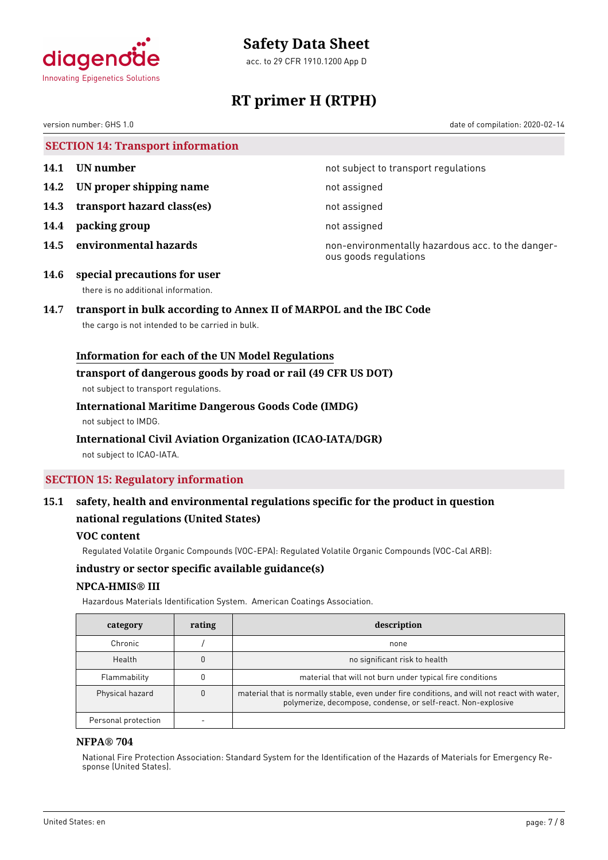

acc. to 29 CFR 1910.1200 App D



# **RT primer H (RTPH)**

version number: GHS 1.0 date of compilation: 2020-02-14

# **SECTION 14: Transport information**

- 
- **14.2 IN proper shipping name** not assigned
- **14.3 transport hazard class(es)** not assigned
- **14.4 packing group not assigned**
- 

**14.1 UN number 14.1 UN** number

**14.5 environmental hazards non-environmentally hazardous acc. to the danger**ous goods regulations

**14.6 special precautions for user** there is no additional information.

# **14.7 transport in bulk according to Annex II of MARPOL and the IBC Code**

the cargo is not intended to be carried in bulk.

# **Information for each of the UN Model Regulations**

### **transport of dangerous goods by road or rail (49 CFR US DOT)**

not subject to transport regulations.

# **International Maritime Dangerous Goods Code (IMDG)**

not subject to IMDG.

# **International Civil Aviation Organization (ICAO-IATA/DGR)**

not subject to ICAO-IATA.

# **SECTION 15: Regulatory information**

# **15.1 safety, health and environmental regulations specific for the product in question national regulations (United States)**

# **VOC content**

Regulated Volatile Organic Compounds (VOC-EPA): Regulated Volatile Organic Compounds (VOC-Cal ARB):

# **industry or sector specific available guidance(s)**

# **NPCA-HMIS® III**

Hazardous Materials Identification System. American Coatings Association.

| category            | rating | description                                                                                                                                                   |
|---------------------|--------|---------------------------------------------------------------------------------------------------------------------------------------------------------------|
| Chronic             |        | none                                                                                                                                                          |
| Health              |        | no significant risk to health                                                                                                                                 |
| Flammability        |        | material that will not burn under typical fire conditions                                                                                                     |
| Physical hazard     |        | material that is normally stable, even under fire conditions, and will not react with water,<br>polymerize, decompose, condense, or self-react. Non-explosive |
| Personal protection |        |                                                                                                                                                               |

# **NFPA® 704**

National Fire Protection Association: Standard System for the Identification of the Hazards of Materials for Emergency Response (United States).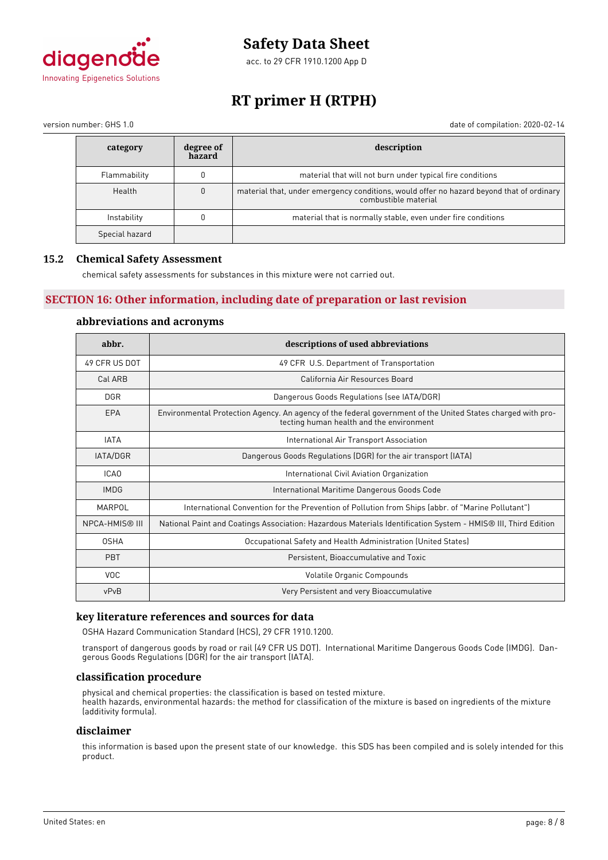

acc. to 29 CFR 1910.1200 App D

# **RT primer H (RTPH)**

version number: GHS 1.0 date of compilation: 2020-02-14

| category       | degree of<br>hazard | description                                                                                                      |
|----------------|---------------------|------------------------------------------------------------------------------------------------------------------|
| Flammability   |                     | material that will not burn under typical fire conditions                                                        |
| Health         | 0                   | material that, under emergency conditions, would offer no hazard beyond that of ordinary<br>combustible material |
| Instability    |                     | material that is normally stable, even under fire conditions                                                     |
| Special hazard |                     |                                                                                                                  |

# **15.2 Chemical Safety Assessment**

chemical safety assessments for substances in this mixture were not carried out.

# **SECTION 16: Other information, including date of preparation or last revision**

### **abbreviations and acronyms**

| abbr.                                                                                                                                                          | descriptions of used abbreviations                                                                            |  |  |
|----------------------------------------------------------------------------------------------------------------------------------------------------------------|---------------------------------------------------------------------------------------------------------------|--|--|
| 49 CFR US DOT                                                                                                                                                  | 49 CFR U.S. Department of Transportation                                                                      |  |  |
| Cal ARB                                                                                                                                                        | California Air Resources Board                                                                                |  |  |
| <b>DGR</b>                                                                                                                                                     | Dangerous Goods Regulations (see IATA/DGR)                                                                    |  |  |
| EPA<br>Environmental Protection Agency. An agency of the federal government of the United States charged with pro-<br>tecting human health and the environment |                                                                                                               |  |  |
| <b>IATA</b>                                                                                                                                                    | International Air Transport Association                                                                       |  |  |
| IATA/DGR                                                                                                                                                       | Dangerous Goods Regulations (DGR) for the air transport (IATA)                                                |  |  |
| ICA <sub>0</sub>                                                                                                                                               | International Civil Aviation Organization                                                                     |  |  |
| <b>IMDG</b>                                                                                                                                                    | International Maritime Dangerous Goods Code                                                                   |  |  |
| MARPOL<br>International Convention for the Prevention of Pollution from Ships (abbr. of "Marine Pollutant")                                                    |                                                                                                               |  |  |
| <b>NPCA-HMIS® III</b>                                                                                                                                          | National Paint and Coatings Association: Hazardous Materials Identification System - HMIS® III, Third Edition |  |  |
| <b>OSHA</b>                                                                                                                                                    | Occupational Safety and Health Administration (United States)                                                 |  |  |
| <b>PBT</b>                                                                                                                                                     | Persistent, Bioaccumulative and Toxic                                                                         |  |  |
| <b>VOC</b>                                                                                                                                                     | Volatile Organic Compounds                                                                                    |  |  |
| vPvB                                                                                                                                                           | Very Persistent and very Bioaccumulative                                                                      |  |  |

# **key literature references and sources for data**

OSHA Hazard Communication Standard (HCS), 29 CFR 1910.1200.

transport of dangerous goods by road or rail (49 CFR US DOT). International Maritime Dangerous Goods Code (IMDG). Dangerous Goods Regulations (DGR) for the air transport (IATA).

#### **classification procedure**

physical and chemical properties: the classification is based on tested mixture. health hazards, environmental hazards: the method for classification of the mixture is based on ingredients of the mixture (additivity formula).

### **disclaimer**

this information is based upon the present state of our knowledge. this SDS has been compiled and is solely intended for this product.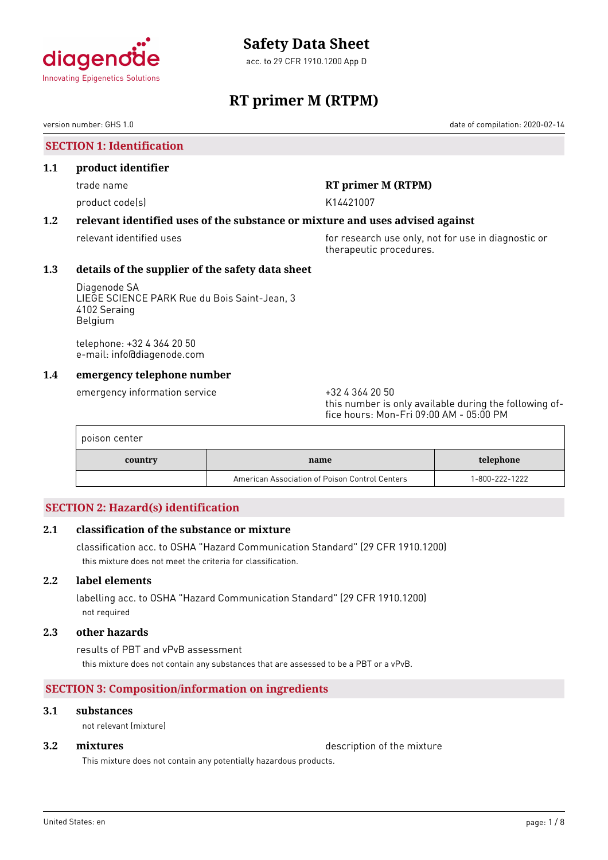

acc. to 29 CFR 1910.1200 App D

# **RT primer M (RTPM)**

version number: GHS 1.0 date of compilation: 2020-02-14

# **SECTION 1: Identification**

### **1.1 product identifier**

product code(s) and the control of the K14421007

# trade name **RT primer M (RTPM)**

# **1.2 relevant identified uses of the substance or mixture and uses advised against**

relevant identified uses **for research use only, not for use in diagnostic or** for use in diagnostic or therapeutic procedures.

### **1.3 details of the supplier of the safety data sheet**

Diagenode SA LIEGE SCIENCE PARK Rue du Bois Saint-Jean, 3 4102 Seraing Belgium

telephone: +32 4 364 20 50 e-mail: info@diagenode.com

# **1.4 emergency telephone number**

emergency information service  $+3243642050$ 

this number is only available during the following office hours: Mon-Fri 09:00 AM - 05:00 PM

| poison center |                                                |                |
|---------------|------------------------------------------------|----------------|
| country       | name                                           | telephone      |
|               | American Association of Poison Control Centers | 1-800-222-1222 |

# **SECTION 2: Hazard(s) identification**

# **2.1 classification of the substance or mixture**

classification acc. to OSHA "Hazard Communication Standard" (29 CFR 1910.1200) this mixture does not meet the criteria for classification.

# **2.2 label elements**

labelling acc. to OSHA "Hazard Communication Standard" (29 CFR 1910.1200) not required

### **2.3 other hazards**

results of PBT and vPvB assessment this mixture does not contain any substances that are assessed to be a PBT or a vPvB.

# **SECTION 3: Composition/information on ingredients**

# **3.1 substances**

not relevant (mixture)

**3.2 <b>mixtures** description of the mixture

This mixture does not contain any potentially hazardous products.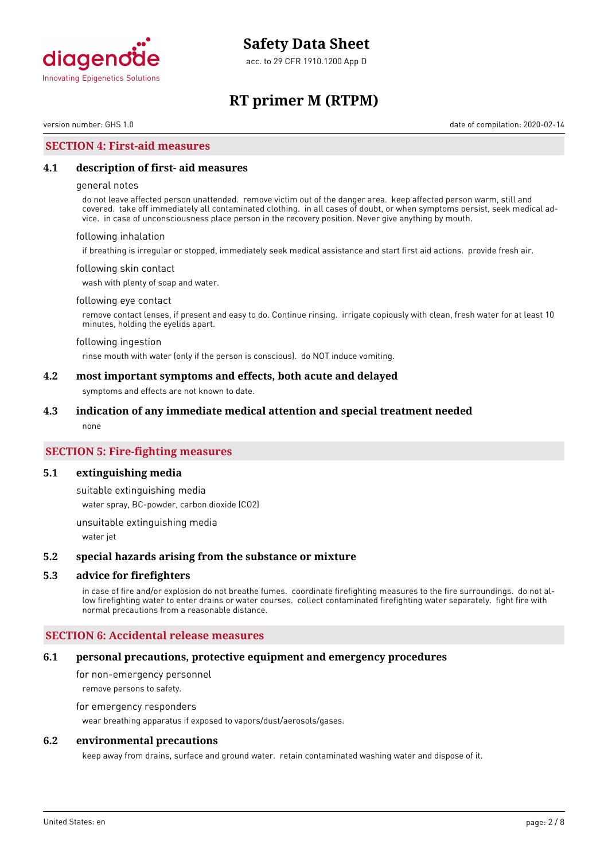

acc. to 29 CFR 1910.1200 App D

# **RT primer M (RTPM)**

version number: GHS 1.0 date of compilation: 2020-02-14

## **SECTION 4: First-aid measures**

### **4.1 description of first- aid measures**

#### general notes

do not leave affected person unattended. remove victim out of the danger area. keep affected person warm, still and covered. take off immediately all contaminated clothing. in all cases of doubt, or when symptoms persist, seek medical advice. in case of unconsciousness place person in the recovery position. Never give anything by mouth.

#### following inhalation

if breathing is irregular or stopped, immediately seek medical assistance and start first aid actions. provide fresh air.

#### following skin contact

wash with plenty of soap and water.

#### following eye contact

remove contact lenses, if present and easy to do. Continue rinsing. irrigate copiously with clean, fresh water for at least 10 minutes, holding the eyelids apart.

#### following ingestion

rinse mouth with water (only if the person is conscious). do NOT induce vomiting.

#### **4.2 most important symptoms and effects, both acute and delayed**

symptoms and effects are not known to date.

#### **4.3 indication of any immediate medical attention and special treatment needed**

none

## **SECTION 5: Fire-fighting measures**

#### **5.1 extinguishing media**

suitable extinguishing media

water spray, BC-powder, carbon dioxide (CO2)

unsuitable extinguishing media

water jet

#### **5.2 special hazards arising from the substance or mixture**

### **5.3 advice for firefighters**

in case of fire and/or explosion do not breathe fumes. coordinate firefighting measures to the fire surroundings. do not allow firefighting water to enter drains or water courses. collect contaminated firefighting water separately. fight fire with normal precautions from a reasonable distance.

#### **SECTION 6: Accidental release measures**

#### **6.1 personal precautions, protective equipment and emergency procedures**

for non-emergency personnel remove persons to safety.

# for emergency responders

wear breathing apparatus if exposed to vapors/dust/aerosols/gases.

### **6.2 environmental precautions**

keep away from drains, surface and ground water. retain contaminated washing water and dispose of it.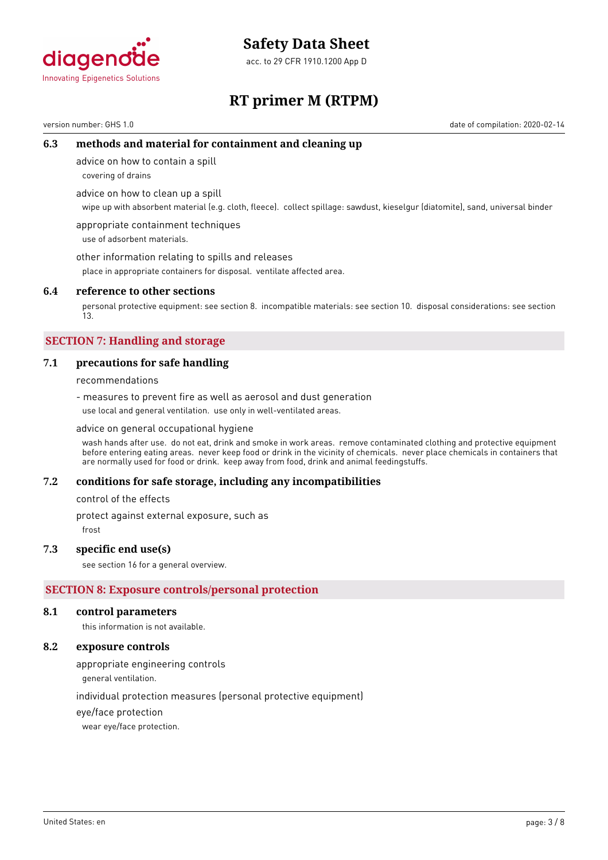

acc. to 29 CFR 1910.1200 App D



# **RT primer M (RTPM)**

version number: GHS 1.0 date of compilation: 2020-02-14

# **6.3 methods and material for containment and cleaning up**

advice on how to contain a spill

covering of drains

advice on how to clean up a spill

wipe up with absorbent material (e.g. cloth, fleece). collect spillage: sawdust, kieselgur (diatomite), sand, universal binder

appropriate containment techniques use of adsorbent materials.

other information relating to spills and releases

place in appropriate containers for disposal. ventilate affected area.

## **6.4 reference to other sections**

personal protective equipment: see section 8. incompatible materials: see section 10. disposal considerations: see section 13.

# **SECTION 7: Handling and storage**

# **7.1 precautions for safe handling**

recommendations

- measures to prevent fire as well as aerosol and dust generation use local and general ventilation. use only in well-ventilated areas.

#### advice on general occupational hygiene

wash hands after use. do not eat, drink and smoke in work areas. remove contaminated clothing and protective equipment before entering eating areas. never keep food or drink in the vicinity of chemicals. never place chemicals in containers that are normally used for food or drink. keep away from food, drink and animal feedingstuffs.

#### **7.2 conditions for safe storage, including any incompatibilities**

control of the effects

protect against external exposure, such as

frost

#### **7.3 specific end use(s)**

see section 16 for a general overview.

# **SECTION 8: Exposure controls/personal protection**

#### **8.1 control parameters**

this information is not available.

## **8.2 exposure controls**

appropriate engineering controls

general ventilation.

individual protection measures (personal protective equipment)

eye/face protection

wear eye/face protection.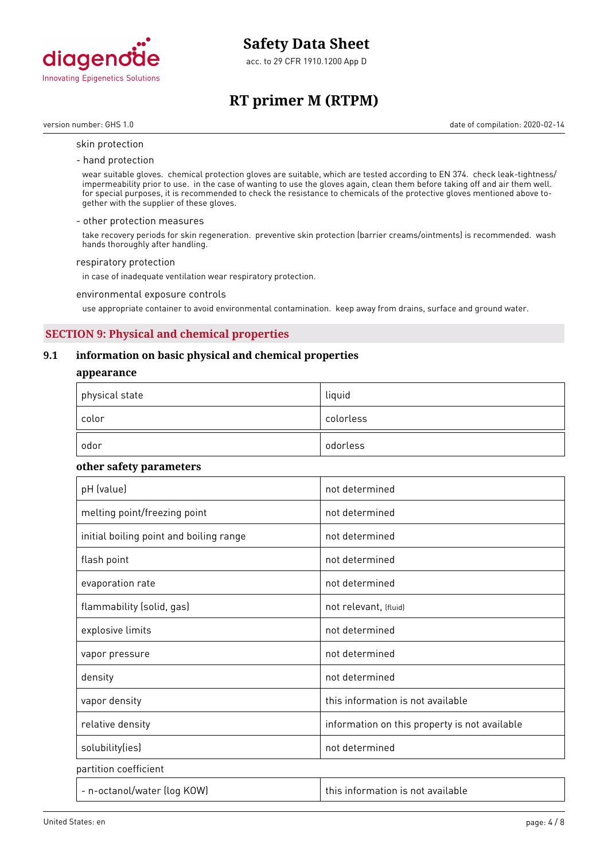

acc. to 29 CFR 1910.1200 App D

# **RT primer M (RTPM)**

version number: GHS 1.0 date of compilation: 2020-02-14

#### skin protection

#### - hand protection

wear suitable gloves. chemical protection gloves are suitable, which are tested according to EN 374. check leak-tightness/ impermeability prior to use. in the case of wanting to use the gloves again, clean them before taking off and air them well. for special purposes, it is recommended to check the resistance to chemicals of the protective gloves mentioned above together with the supplier of these gloves.

#### - other protection measures

take recovery periods for skin regeneration. preventive skin protection (barrier creams/ointments) is recommended. wash hands thoroughly after handling.

#### respiratory protection

in case of inadequate ventilation wear respiratory protection.

#### environmental exposure controls

use appropriate container to avoid environmental contamination. keep away from drains, surface and ground water.

# **SECTION 9: Physical and chemical properties**

## **9.1 information on basic physical and chemical properties**

#### **appearance**

| $^\mathrm{+}$ physical state | liquid    |
|------------------------------|-----------|
| color                        | colorless |
| odor                         | odorless  |

### **other safety parameters**

| pH (value)                              | not determined                                |
|-----------------------------------------|-----------------------------------------------|
| melting point/freezing point            | not determined                                |
| initial boiling point and boiling range | not determined                                |
| flash point                             | not determined                                |
| evaporation rate                        | not determined                                |
| flammability (solid, gas)               | not relevant, (fluid)                         |
| explosive limits                        | not determined                                |
| vapor pressure                          | not determined                                |
| density                                 | not determined                                |
| vapor density                           | this information is not available             |
| relative density                        | information on this property is not available |
| solubility(ies)                         | not determined                                |
| partition coefficient                   |                                               |
| - n-octanol/water (log KOW)             | this information is not available             |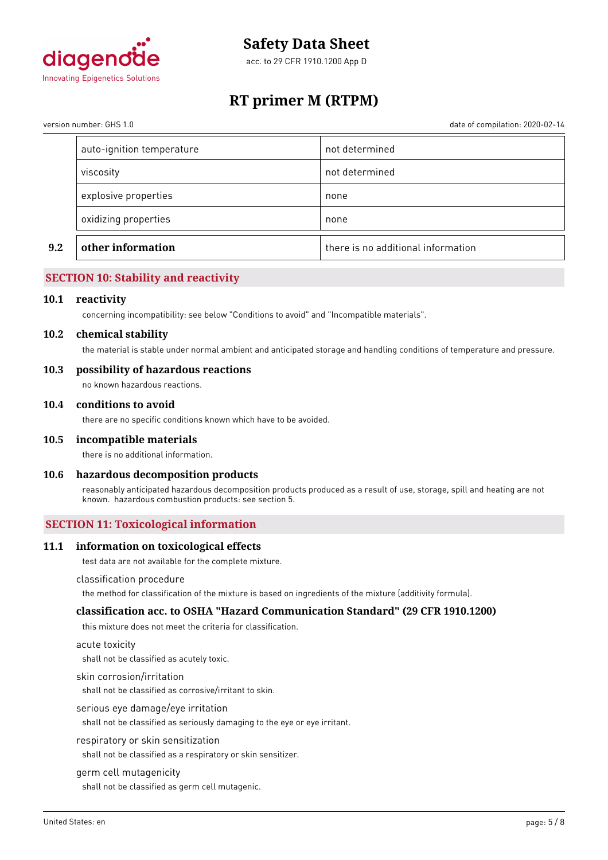

acc. to 29 CFR 1910.1200 App D

# **RT primer M (RTPM)**

date of compilation: 2020-02-14

| version number: GHS 1.0 |  |
|-------------------------|--|
|                         |  |

| oxidizing properties      | none           |
|---------------------------|----------------|
| explosive properties      | none           |
| viscosity                 | not determined |
| auto-ignition temperature | not determined |

# **SECTION 10: Stability and reactivity**

### **10.1 reactivity**

concerning incompatibility: see below "Conditions to avoid" and "Incompatible materials".

#### **10.2 chemical stability**

the material is stable under normal ambient and anticipated storage and handling conditions of temperature and pressure.

### **10.3 possibility of hazardous reactions**

no known hazardous reactions.

### **10.4 conditions to avoid**

there are no specific conditions known which have to be avoided.

#### **10.5 incompatible materials**

there is no additional information.

# **10.6 hazardous decomposition products**

reasonably anticipated hazardous decomposition products produced as a result of use, storage, spill and heating are not known. hazardous combustion products: see section 5.

# **SECTION 11: Toxicological information**

#### **11.1 information on toxicological effects**

test data are not available for the complete mixture.

#### classification procedure

the method for classification of the mixture is based on ingredients of the mixture (additivity formula).

#### **classification acc. to OSHA "Hazard Communication Standard" (29 CFR 1910.1200)**

this mixture does not meet the criteria for classification.

#### acute toxicity

shall not be classified as acutely toxic.

#### skin corrosion/irritation

shall not be classified as corrosive/irritant to skin.

#### serious eye damage/eye irritation

shall not be classified as seriously damaging to the eye or eye irritant.

#### respiratory or skin sensitization

shall not be classified as a respiratory or skin sensitizer.

#### germ cell mutagenicity

shall not be classified as germ cell mutagenic.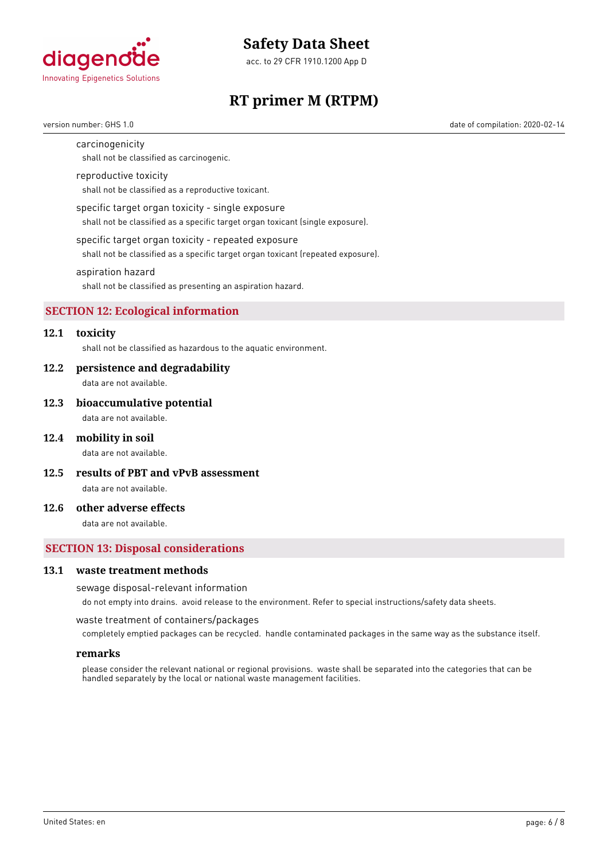

acc. to 29 CFR 1910.1200 App D

# **RT primer M (RTPM)**

version number: GHS 1.0 date of compilation: 2020-02-14

#### carcinogenicity

shall not be classified as carcinogenic.

#### reproductive toxicity

shall not be classified as a reproductive toxicant.

#### specific target organ toxicity - single exposure

shall not be classified as a specific target organ toxicant (single exposure).

#### specific target organ toxicity - repeated exposure

shall not be classified as a specific target organ toxicant (repeated exposure).

#### aspiration hazard

shall not be classified as presenting an aspiration hazard.

#### **SECTION 12: Ecological information**

# **12.1 toxicity**

shall not be classified as hazardous to the aquatic environment.

#### **12.2 persistence and degradability**

data are not available.

#### **12.3 bioaccumulative potential**

data are not available.

#### **12.4 mobility in soil**

data are not available.

**12.5 results of PBT and vPvB assessment**

data are not available.

## **12.6 other adverse effects**

data are not available.

### **SECTION 13: Disposal considerations**

#### **13.1 waste treatment methods**

#### sewage disposal-relevant information

do not empty into drains. avoid release to the environment. Refer to special instructions/safety data sheets.

waste treatment of containers/packages

completely emptied packages can be recycled. handle contaminated packages in the same way as the substance itself.

#### **remarks**

please consider the relevant national or regional provisions. waste shall be separated into the categories that can be handled separately by the local or national waste management facilities.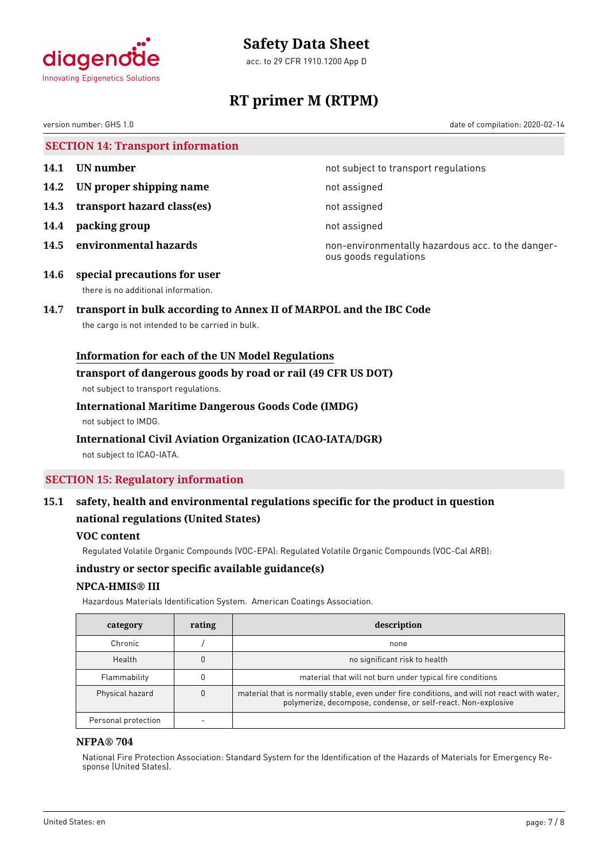

acc. to 29 CFR 1910.1200 App D



# **RT primer M (RTPM)**

version number: GHS 1.0 date of compilation: 2020-02-14

**SECTION 14: Transport information**

- 
- **14.2 IN proper shipping name** not assigned
- **14.3 transport hazard class(es)** not assigned
- **14.4 packing group not assigned**
- 

**14.1 UN number 14.1 UN** number

**14.5 environmental hazards non-environmentally hazardous acc. to the danger**ous goods regulations

**14.6 special precautions for user** there is no additional information.

# **14.7 transport in bulk according to Annex II of MARPOL and the IBC Code**

the cargo is not intended to be carried in bulk.

# **Information for each of the UN Model Regulations**

### **transport of dangerous goods by road or rail (49 CFR US DOT)**

not subject to transport regulations.

# **International Maritime Dangerous Goods Code (IMDG)**

not subject to IMDG.

# **International Civil Aviation Organization (ICAO-IATA/DGR)**

not subject to ICAO-IATA.

# **SECTION 15: Regulatory information**

# **15.1 safety, health and environmental regulations specific for the product in question national regulations (United States)**

# **VOC content**

Regulated Volatile Organic Compounds (VOC-EPA): Regulated Volatile Organic Compounds (VOC-Cal ARB):

# **industry or sector specific available guidance(s)**

# **NPCA-HMIS® III**

Hazardous Materials Identification System. American Coatings Association.

| category            | rating | description                                                                                                                                                   |
|---------------------|--------|---------------------------------------------------------------------------------------------------------------------------------------------------------------|
| Chronic             |        | none                                                                                                                                                          |
| Health              |        | no significant risk to health                                                                                                                                 |
| Flammability        |        | material that will not burn under typical fire conditions                                                                                                     |
| Physical hazard     |        | material that is normally stable, even under fire conditions, and will not react with water,<br>polymerize, decompose, condense, or self-react. Non-explosive |
| Personal protection |        |                                                                                                                                                               |

# **NFPA® 704**

National Fire Protection Association: Standard System for the Identification of the Hazards of Materials for Emergency Response (United States).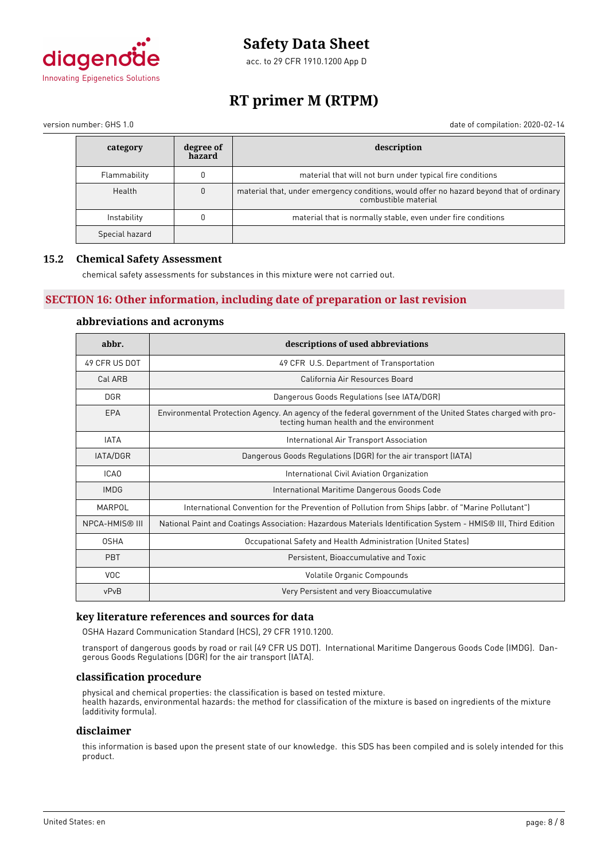

acc. to 29 CFR 1910.1200 App D

# **RT primer M (RTPM)**

version number: GHS 1.0 date of compilation: 2020-02-14

| category       | degree of<br>hazard | description                                                                                                      |
|----------------|---------------------|------------------------------------------------------------------------------------------------------------------|
| Flammability   |                     | material that will not burn under typical fire conditions                                                        |
| Health         | $\Omega$            | material that, under emergency conditions, would offer no hazard beyond that of ordinary<br>combustible material |
| Instability    | 0                   | material that is normally stable, even under fire conditions                                                     |
| Special hazard |                     |                                                                                                                  |

# **15.2 Chemical Safety Assessment**

chemical safety assessments for substances in this mixture were not carried out.

# **SECTION 16: Other information, including date of preparation or last revision**

### **abbreviations and acronyms**

| abbr.                                                                                                                                                          | descriptions of used abbreviations                                                                            |  |  |
|----------------------------------------------------------------------------------------------------------------------------------------------------------------|---------------------------------------------------------------------------------------------------------------|--|--|
| 49 CFR US DOT                                                                                                                                                  | 49 CFR U.S. Department of Transportation                                                                      |  |  |
| Cal ARB                                                                                                                                                        | California Air Resources Board                                                                                |  |  |
| <b>DGR</b>                                                                                                                                                     | Dangerous Goods Regulations (see IATA/DGR)                                                                    |  |  |
| EPA<br>Environmental Protection Agency. An agency of the federal government of the United States charged with pro-<br>tecting human health and the environment |                                                                                                               |  |  |
| <b>IATA</b>                                                                                                                                                    | International Air Transport Association                                                                       |  |  |
| IATA/DGR                                                                                                                                                       | Dangerous Goods Regulations (DGR) for the air transport (IATA)                                                |  |  |
| ICA <sub>0</sub>                                                                                                                                               | International Civil Aviation Organization                                                                     |  |  |
| <b>IMDG</b>                                                                                                                                                    | International Maritime Dangerous Goods Code                                                                   |  |  |
| MARPOL<br>International Convention for the Prevention of Pollution from Ships (abbr. of "Marine Pollutant")                                                    |                                                                                                               |  |  |
| <b>NPCA-HMIS® III</b>                                                                                                                                          | National Paint and Coatings Association: Hazardous Materials Identification System - HMIS® III, Third Edition |  |  |
| <b>OSHA</b>                                                                                                                                                    | Occupational Safety and Health Administration (United States)                                                 |  |  |
| <b>PBT</b>                                                                                                                                                     | Persistent, Bioaccumulative and Toxic                                                                         |  |  |
| <b>VOC</b>                                                                                                                                                     | Volatile Organic Compounds                                                                                    |  |  |
| vPvB                                                                                                                                                           | Very Persistent and very Bioaccumulative                                                                      |  |  |

# **key literature references and sources for data**

OSHA Hazard Communication Standard (HCS), 29 CFR 1910.1200.

transport of dangerous goods by road or rail (49 CFR US DOT). International Maritime Dangerous Goods Code (IMDG). Dangerous Goods Regulations (DGR) for the air transport (IATA).

#### **classification procedure**

physical and chemical properties: the classification is based on tested mixture. health hazards, environmental hazards: the method for classification of the mixture is based on ingredients of the mixture (additivity formula).

### **disclaimer**

this information is based upon the present state of our knowledge. this SDS has been compiled and is solely intended for this product.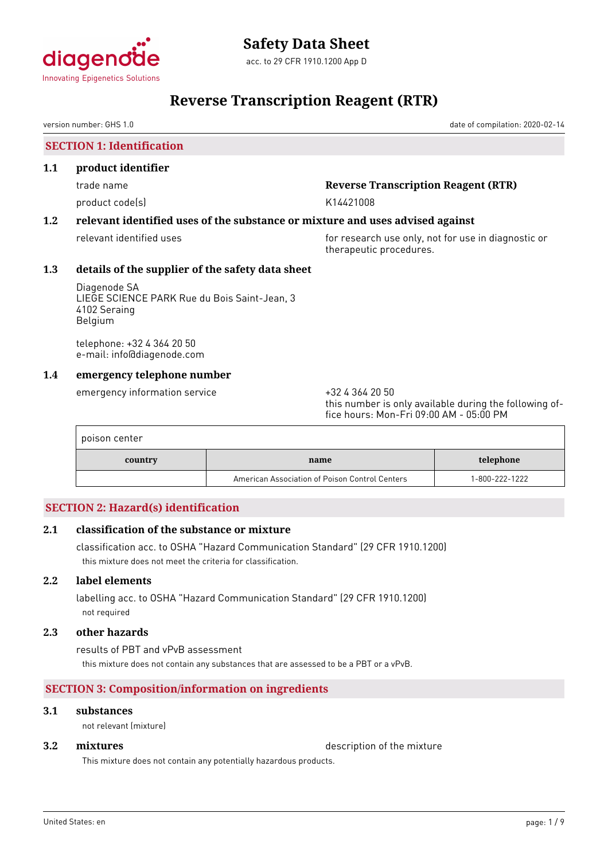

# **Reverse Transcription Reagent (RTR)**

version number: GHS 1.0 date of compilation: 2020-02-14

**SECTION 1: Identification**

#### **1.1 product identifier**

product code(s) and the control of the K14421008

# trade name **Reverse Transcription Reagent (RTR)**

# **1.2 relevant identified uses of the substance or mixture and uses advised against**

relevant identified uses **for research use only, not for use in diagnostic or** therapeutic procedures.

### **1.3 details of the supplier of the safety data sheet**

Diagenode SA LIEGE SCIENCE PARK Rue du Bois Saint-Jean, 3 4102 Seraing Belgium

telephone: +32 4 364 20 50 e-mail: info@diagenode.com

# **1.4 emergency telephone number**

emergency information service  $+3243642050$ 

this number is only available during the following office hours: Mon-Fri 09:00 AM - 05:00 PM

| poison center |                                                |                |  |  |
|---------------|------------------------------------------------|----------------|--|--|
| country       | name                                           | telephone      |  |  |
|               | American Association of Poison Control Centers | 1-800-222-1222 |  |  |

# **SECTION 2: Hazard(s) identification**

# **2.1 classification of the substance or mixture**

classification acc. to OSHA "Hazard Communication Standard" (29 CFR 1910.1200) this mixture does not meet the criteria for classification.

# **2.2 label elements**

labelling acc. to OSHA "Hazard Communication Standard" (29 CFR 1910.1200) not required

### **2.3 other hazards**

results of PBT and vPvB assessment this mixture does not contain any substances that are assessed to be a PBT or a vPvB.

# **SECTION 3: Composition/information on ingredients**

# **3.1 substances**

not relevant (mixture)

**3.2 <b>mixtures** description of the mixture

This mixture does not contain any potentially hazardous products.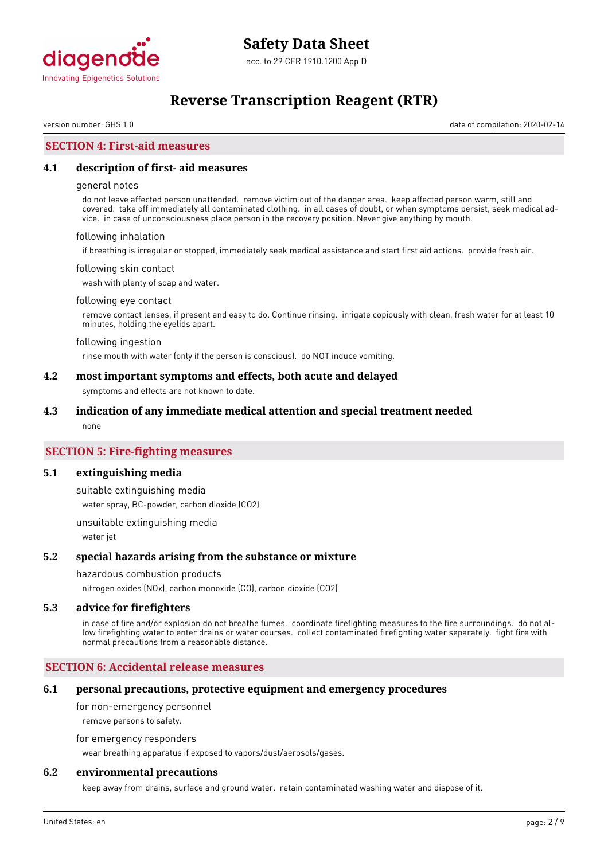

# **Reverse Transcription Reagent (RTR)**

version number: GHS 1.0 date of compilation: 2020-02-14

# **SECTION 4: First-aid measures**

### **4.1 description of first- aid measures**

#### general notes

do not leave affected person unattended. remove victim out of the danger area. keep affected person warm, still and covered. take off immediately all contaminated clothing. in all cases of doubt, or when symptoms persist, seek medical advice. in case of unconsciousness place person in the recovery position. Never give anything by mouth.

#### following inhalation

if breathing is irregular or stopped, immediately seek medical assistance and start first aid actions. provide fresh air.

#### following skin contact

wash with plenty of soap and water.

#### following eye contact

remove contact lenses, if present and easy to do. Continue rinsing. irrigate copiously with clean, fresh water for at least 10 minutes, holding the eyelids apart.

#### following ingestion

rinse mouth with water (only if the person is conscious). do NOT induce vomiting.

### **4.2 most important symptoms and effects, both acute and delayed**

symptoms and effects are not known to date.

#### **4.3 indication of any immediate medical attention and special treatment needed**

none

## **SECTION 5: Fire-fighting measures**

#### **5.1 extinguishing media**

suitable extinguishing media water spray, BC-powder, carbon dioxide (CO2)

unsuitable extinguishing media water jet

#### **5.2 special hazards arising from the substance or mixture**

#### hazardous combustion products

nitrogen oxides (NOx), carbon monoxide (CO), carbon dioxide (CO2)

#### **5.3 advice for firefighters**

in case of fire and/or explosion do not breathe fumes. coordinate firefighting measures to the fire surroundings. do not allow firefighting water to enter drains or water courses. collect contaminated firefighting water separately. fight fire with normal precautions from a reasonable distance.

## **SECTION 6: Accidental release measures**

#### **6.1 personal precautions, protective equipment and emergency procedures**

for non-emergency personnel

remove persons to safety.

for emergency responders

wear breathing apparatus if exposed to vapors/dust/aerosols/gases.

## **6.2 environmental precautions**

keep away from drains, surface and ground water. retain contaminated washing water and dispose of it.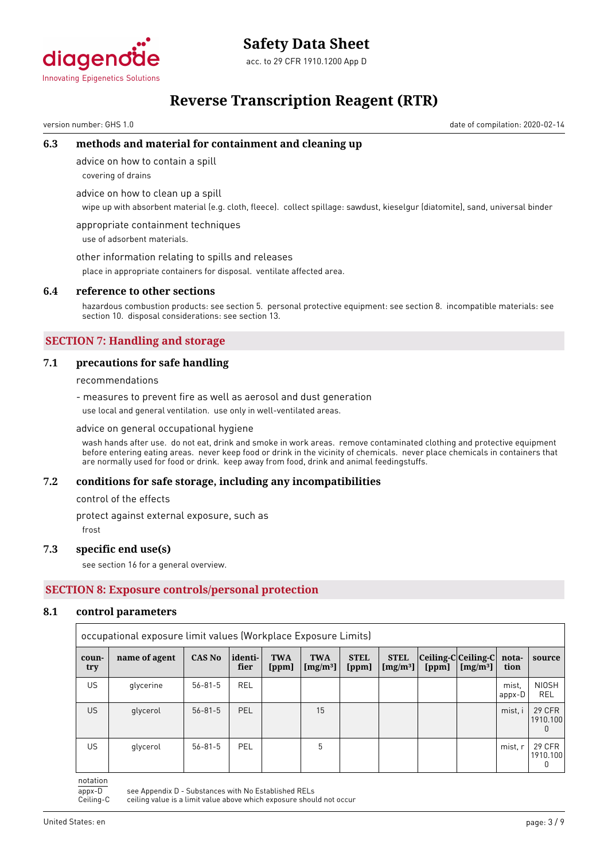

acc. to 29 CFR 1910.1200 App D

# **Reverse Transcription Reagent (RTR)**

version number: GHS 1.0 date of compilation: 2020-02-14

# **6.3 methods and material for containment and cleaning up**

advice on how to contain a spill

covering of drains

advice on how to clean up a spill

wipe up with absorbent material (e.g. cloth, fleece). collect spillage: sawdust, kieselgur (diatomite), sand, universal binder

appropriate containment techniques use of adsorbent materials.

other information relating to spills and releases

place in appropriate containers for disposal. ventilate affected area.

#### **6.4 reference to other sections**

hazardous combustion products: see section 5. personal protective equipment: see section 8. incompatible materials: see section 10. disposal considerations: see section 13.

# **SECTION 7: Handling and storage**

### **7.1 precautions for safe handling**

recommendations

- measures to prevent fire as well as aerosol and dust generation

use local and general ventilation. use only in well-ventilated areas.

#### advice on general occupational hygiene

wash hands after use. do not eat, drink and smoke in work areas. remove contaminated clothing and protective equipment before entering eating areas. never keep food or drink in the vicinity of chemicals. never place chemicals in containers that are normally used for food or drink. keep away from food, drink and animal feedingstuffs.

#### **7.2 conditions for safe storage, including any incompatibilities**

control of the effects

protect against external exposure, such as

frost

#### **7.3 specific end use(s)**

see section 16 for a general overview.

# **SECTION 8: Exposure controls/personal protection**

#### **8.1 control parameters**

|              | occupational exposure limit values (Workplace Exposure Limits) |               |                 |                     |                           |                      |                           |       |                                                                 |                 |                         |
|--------------|----------------------------------------------------------------|---------------|-----------------|---------------------|---------------------------|----------------------|---------------------------|-------|-----------------------------------------------------------------|-----------------|-------------------------|
| coun-<br>try | name of agent                                                  | <b>CAS No</b> | identi-<br>fier | <b>TWA</b><br>[ppm] | <b>TWA</b><br>[ $mg/m3$ ] | <b>STEL</b><br>[ppm] | <b>STEL</b><br>$[mg/m^3]$ | [ppm] | $ Ceiling-C Ceiling-C $ nota-<br>$\lfloor$ [mg/m <sup>3</sup> ] | tion            | source                  |
| US.          | glycerine                                                      | $56 - 81 - 5$ | <b>REL</b>      |                     |                           |                      |                           |       |                                                                 | mist.<br>appx-D | <b>NIOSH</b><br>REL     |
| US.          | glycerol                                                       | $56 - 81 - 5$ | PEL             |                     | 15                        |                      |                           |       |                                                                 | mist, i         | 29 CFR<br>1910.100      |
| US.          | glycerol                                                       | $56 - 81 - 5$ | PEL             |                     | 5                         |                      |                           |       |                                                                 | mist, r         | 29 CFR<br>1910.100<br>0 |

notation

appx-D see Appendix D - Substances with No Established RELs<br>Ceiling-C ceiling value is a limit value above which exposure shou

ceiling value is a limit value above which exposure should not occur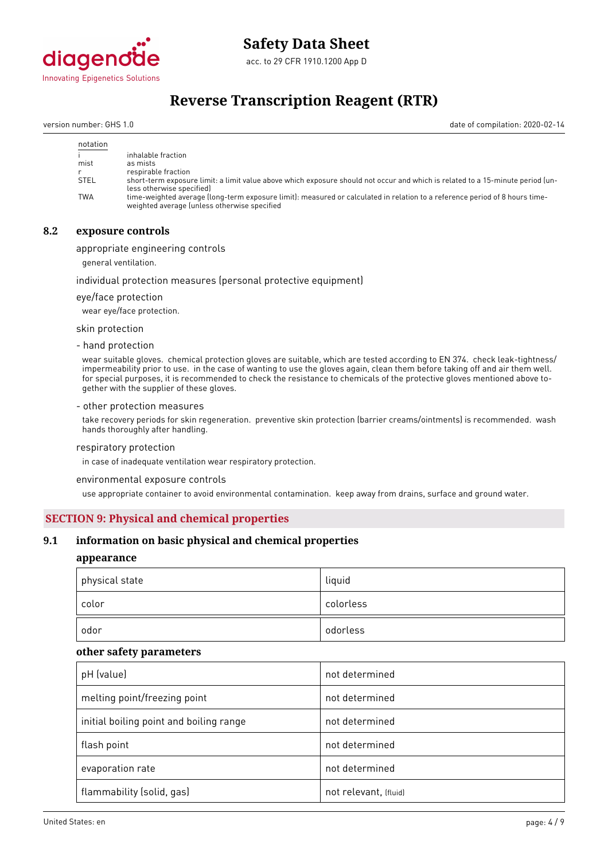

acc. to 29 CFR 1910.1200 App D

# **Reverse Transcription Reagent (RTR)**

version number: GHS 1.0 date of compilation: 2020-02-14

| notation    |                                                                                                                                                                             |
|-------------|-----------------------------------------------------------------------------------------------------------------------------------------------------------------------------|
|             | inhalable fraction                                                                                                                                                          |
| mist        | as mists                                                                                                                                                                    |
|             | respirable fraction                                                                                                                                                         |
| <b>STEL</b> | short-term exposure limit: a limit value above which exposure should not occur and which is related to a 15-minute period (un-<br>less otherwise specified)                 |
| <b>TWA</b>  | time-weighted average (long-term exposure limit): measured or calculated in relation to a reference period of 8 hours time-<br>weighted average (unless otherwise specified |

# **8.2 exposure controls**

appropriate engineering controls

general ventilation.

#### individual protection measures (personal protective equipment)

eye/face protection

wear eye/face protection.

skin protection

- hand protection

wear suitable gloves. chemical protection gloves are suitable, which are tested according to EN 374. check leak-tightness/ impermeability prior to use. in the case of wanting to use the gloves again, clean them before taking off and air them well. for special purposes, it is recommended to check the resistance to chemicals of the protective gloves mentioned above together with the supplier of these gloves.

#### - other protection measures

take recovery periods for skin regeneration. preventive skin protection (barrier creams/ointments) is recommended. wash hands thoroughly after handling.

#### respiratory protection

in case of inadequate ventilation wear respiratory protection.

environmental exposure controls

use appropriate container to avoid environmental contamination. keep away from drains, surface and ground water.

### **SECTION 9: Physical and chemical properties**

### **9.1 information on basic physical and chemical properties**

### **appearance**

| physical state |       | liquid    |
|----------------|-------|-----------|
|                | color | colorless |
|                | odor  | odorless  |

#### **other safety parameters**

| pH (value)                              | not determined        |
|-----------------------------------------|-----------------------|
| melting point/freezing point            | not determined        |
| initial boiling point and boiling range | not determined        |
| flash point                             | not determined        |
| evaporation rate                        | not determined        |
| flammability (solid, gas)               | not relevant, (fluid) |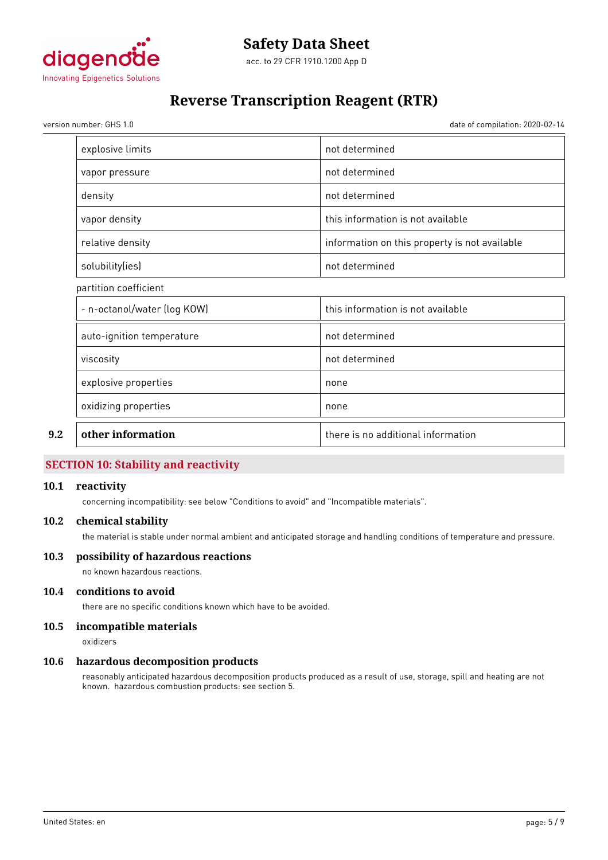

# **Reverse Transcription Reagent (RTR)**

version number: GHS 1.0 date of compilation: 2020-02-14

| other information           | there is no additional information            |
|-----------------------------|-----------------------------------------------|
| oxidizing properties        | none                                          |
| explosive properties        | none                                          |
| viscosity                   | not determined                                |
| auto-ignition temperature   | not determined                                |
| - n-octanol/water (log KOW) | this information is not available             |
| partition coefficient       |                                               |
| solubility(ies)             | not determined                                |
| relative density            | information on this property is not available |
| vapor density               | this information is not available             |
| density                     | not determined                                |
| vapor pressure              | not determined                                |
| explosive limits            | not determined                                |

# **SECTION 10: Stability and reactivity**

## **10.1 reactivity**

concerning incompatibility: see below "Conditions to avoid" and "Incompatible materials".

### **10.2 chemical stability**

the material is stable under normal ambient and anticipated storage and handling conditions of temperature and pressure.

## **10.3 possibility of hazardous reactions**

no known hazardous reactions.

# **10.4 conditions to avoid**

there are no specific conditions known which have to be avoided.

# **10.5 incompatible materials**

oxidizers

#### **10.6 hazardous decomposition products**

reasonably anticipated hazardous decomposition products produced as a result of use, storage, spill and heating are not known. hazardous combustion products: see section 5.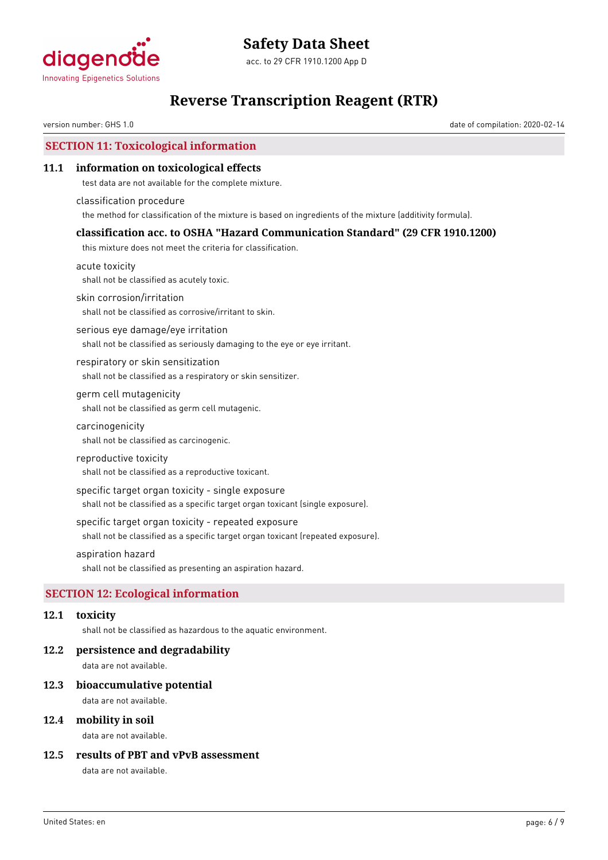

# **Reverse Transcription Reagent (RTR)**

version number: GHS 1.0 date of compilation: 2020-02-14

# **SECTION 11: Toxicological information**

### **11.1 information on toxicological effects**

test data are not available for the complete mixture.

classification procedure the method for classification of the mixture is based on ingredients of the mixture (additivity formula).

### **classification acc. to OSHA "Hazard Communication Standard" (29 CFR 1910.1200)**

this mixture does not meet the criteria for classification.

acute toxicity shall not be classified as acutely toxic.

skin corrosion/irritation

shall not be classified as corrosive/irritant to skin.

serious eye damage/eye irritation shall not be classified as seriously damaging to the eye or eye irritant.

respiratory or skin sensitization shall not be classified as a respiratory or skin sensitizer.

germ cell mutagenicity shall not be classified as germ cell mutagenic.

carcinogenicity

shall not be classified as carcinogenic.

#### reproductive toxicity

shall not be classified as a reproductive toxicant.

specific target organ toxicity - single exposure

shall not be classified as a specific target organ toxicant (single exposure).

#### specific target organ toxicity - repeated exposure

shall not be classified as a specific target organ toxicant (repeated exposure).

#### aspiration hazard

shall not be classified as presenting an aspiration hazard.

# **SECTION 12: Ecological information**

### **12.1 toxicity**

shall not be classified as hazardous to the aquatic environment.

#### **12.2 persistence and degradability**

data are not available.

#### **12.3 bioaccumulative potential**

data are not available.

## **12.4 mobility in soil**

data are not available.

## **12.5 results of PBT and vPvB assessment**

data are not available.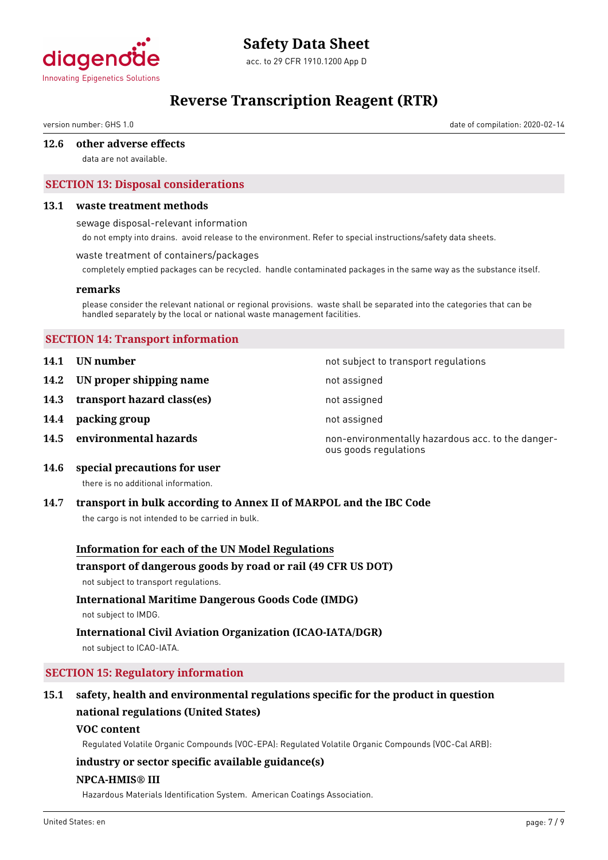

acc. to 29 CFR 1910.1200 App D

# **Reverse Transcription Reagent (RTR)**

version number: GHS 1.0 date of compilation: 2020-02-14

# **12.6 other adverse effects**

data are not available.

# **SECTION 13: Disposal considerations**

# **13.1 waste treatment methods**

sewage disposal-relevant information

do not empty into drains. avoid release to the environment. Refer to special instructions/safety data sheets.

# waste treatment of containers/packages

completely emptied packages can be recycled. handle contaminated packages in the same way as the substance itself.

#### **remarks**

please consider the relevant national or regional provisions. waste shall be separated into the categories that can be handled separately by the local or national waste management facilities.

# **SECTION 14: Transport information**

- **14.1 UN number 14.1 UN** number
- **14.2 IN proper shipping name** not assigned
- **14.3 transport hazard class(es)** not assigned
- **14.4 packing group not assigned**
- 

**14.5 environmental hazards non-environmentally hazardous acc. to the danger**ous goods regulations

**14.6 special precautions for user**

there is no additional information.

# **14.7 transport in bulk according to Annex II of MARPOL and the IBC Code**

the cargo is not intended to be carried in bulk.

# **Information for each of the UN Model Regulations**

# **transport of dangerous goods by road or rail (49 CFR US DOT)**

not subject to transport regulations.

# **International Maritime Dangerous Goods Code (IMDG)**

not subject to IMDG.

# **International Civil Aviation Organization (ICAO-IATA/DGR)**

not subject to ICAO-IATA.

# **SECTION 15: Regulatory information**

# **15.1 safety, health and environmental regulations specific for the product in question national regulations (United States)**

# **VOC content**

Regulated Volatile Organic Compounds (VOC-EPA): Regulated Volatile Organic Compounds (VOC-Cal ARB):

# **industry or sector specific available guidance(s)**

# **NPCA-HMIS® III**

Hazardous Materials Identification System. American Coatings Association.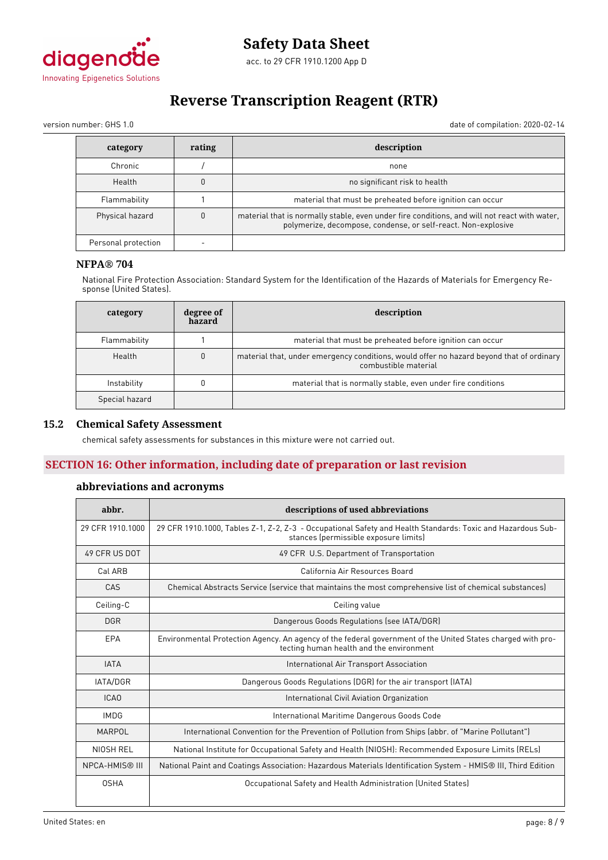

# **Reverse Transcription Reagent (RTR)**

version number: GHS 1.0 date of compilation: 2020-02-14

| category            | rating | description                                                                                                                                                   |
|---------------------|--------|---------------------------------------------------------------------------------------------------------------------------------------------------------------|
| Chronic             |        | none                                                                                                                                                          |
| Health              |        | no significant risk to health                                                                                                                                 |
| Flammability        |        | material that must be preheated before ignition can occur                                                                                                     |
| Physical hazard     |        | material that is normally stable, even under fire conditions, and will not react with water,<br>polymerize, decompose, condense, or self-react. Non-explosive |
| Personal protection |        |                                                                                                                                                               |

# **NFPA® 704**

National Fire Protection Association: Standard System for the Identification of the Hazards of Materials for Emergency Response (United States).

| category       | degree of<br>hazard | description                                                                                                      |  |
|----------------|---------------------|------------------------------------------------------------------------------------------------------------------|--|
| Flammability   |                     | material that must be preheated before ignition can occur                                                        |  |
| Health         | $\mathbf{0}$        | material that, under emergency conditions, would offer no hazard beyond that of ordinary<br>combustible material |  |
| Instability    |                     | material that is normally stable, even under fire conditions                                                     |  |
| Special hazard |                     |                                                                                                                  |  |

## **15.2 Chemical Safety Assessment**

chemical safety assessments for substances in this mixture were not carried out.

# **SECTION 16: Other information, including date of preparation or last revision**

# **abbreviations and acronyms**

| abbr.                 | descriptions of used abbreviations                                                                                                                      |  |
|-----------------------|---------------------------------------------------------------------------------------------------------------------------------------------------------|--|
| 29 CFR 1910, 1000     | 29 CFR 1910.1000, Tables Z-1, Z-2, Z-3 - Occupational Safety and Health Standards: Toxic and Hazardous Sub-<br>stances (permissible exposure limits)    |  |
| 49 CFR US DOT         | 49 CFR U.S. Department of Transportation                                                                                                                |  |
| Cal ARB               | California Air Resources Board                                                                                                                          |  |
| CAS                   | Chemical Abstracts Service (service that maintains the most comprehensive list of chemical substances)                                                  |  |
| Ceiling-C             | Ceiling value                                                                                                                                           |  |
| <b>DGR</b>            | Dangerous Goods Regulations (see IATA/DGR)                                                                                                              |  |
| EPA                   | Environmental Protection Agency. An agency of the federal government of the United States charged with pro-<br>tecting human health and the environment |  |
| <b>IATA</b>           | International Air Transport Association                                                                                                                 |  |
| <b>IATA/DGR</b>       | Dangerous Goods Regulations (DGR) for the air transport (IATA)                                                                                          |  |
| <b>ICAO</b>           | International Civil Aviation Organization                                                                                                               |  |
| <b>IMDG</b>           | International Maritime Dangerous Goods Code                                                                                                             |  |
| MARPOL                | International Convention for the Prevention of Pollution from Ships (abbr. of "Marine Pollutant")                                                       |  |
| NIOSH REL             | National Institute for Occupational Safety and Health (NIOSH): Recommended Exposure Limits (RELs)                                                       |  |
| <b>NPCA-HMIS® III</b> | National Paint and Coatings Association: Hazardous Materials Identification System - HMIS® III, Third Edition                                           |  |
| <b>OSHA</b>           | Occupational Safety and Health Administration (United States)                                                                                           |  |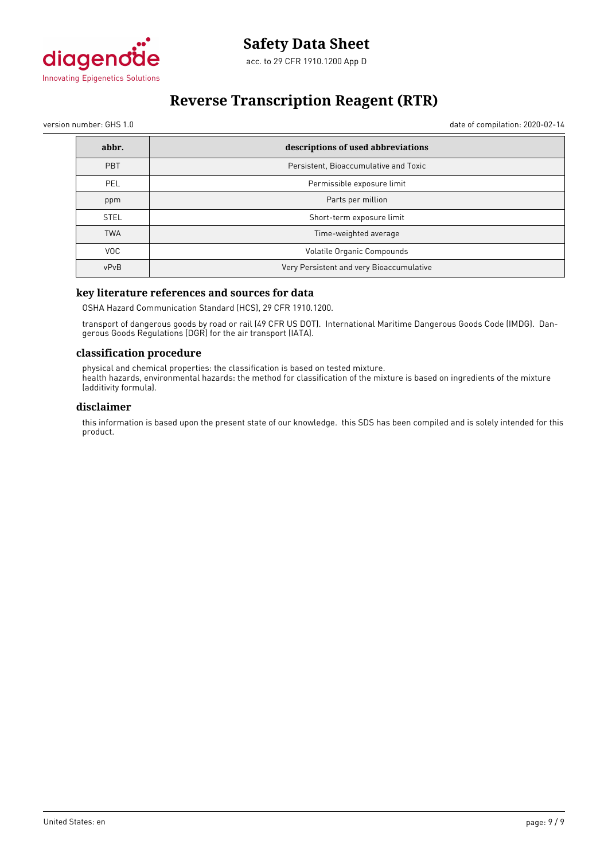

# **Reverse Transcription Reagent (RTR)**

version number: GHS 1.0 date of compilation: 2020-02-14

| abbr.       | descriptions of used abbreviations       |  |
|-------------|------------------------------------------|--|
| <b>PBT</b>  | Persistent, Bioaccumulative and Toxic    |  |
| <b>PEL</b>  | Permissible exposure limit               |  |
| ppm         | Parts per million                        |  |
| <b>STEL</b> | Short-term exposure limit                |  |
| <b>TWA</b>  | Time-weighted average                    |  |
| VOC.        | Volatile Organic Compounds               |  |
| vPvB        | Very Persistent and very Bioaccumulative |  |

### **key literature references and sources for data**

OSHA Hazard Communication Standard (HCS), 29 CFR 1910.1200.

transport of dangerous goods by road or rail (49 CFR US DOT). International Maritime Dangerous Goods Code (IMDG). Dangerous Goods Regulations (DGR) for the air transport (IATA).

#### **classification procedure**

physical and chemical properties: the classification is based on tested mixture. health hazards, environmental hazards: the method for classification of the mixture is based on ingredients of the mixture (additivity formula).

### **disclaimer**

this information is based upon the present state of our knowledge. this SDS has been compiled and is solely intended for this product.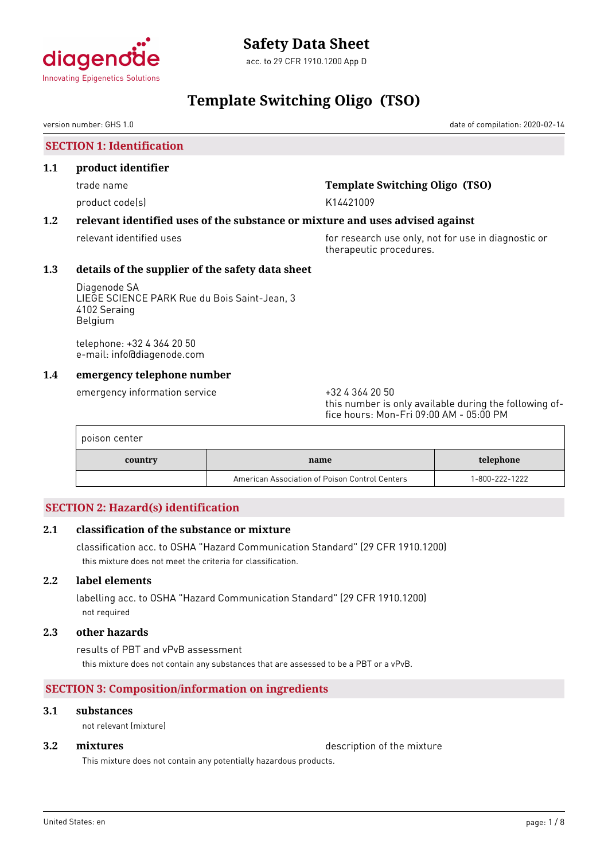

# **Template Switching Oligo (TSO)**

version number: GHS 1.0 date of compilation: 2020-02-14

**SECTION 1: Identification**

#### **1.1 product identifier**

product code(s) and the control of the K14421009

# trade name **Template Switching Oligo (TSO)**

# **1.2 relevant identified uses of the substance or mixture and uses advised against**

relevant identified uses **for research use only, not for use in diagnostic or** therapeutic procedures.

# **1.3 details of the supplier of the safety data sheet**

Diagenode SA LIEGE SCIENCE PARK Rue du Bois Saint-Jean, 3 4102 Seraing Belgium

telephone: +32 4 364 20 50 e-mail: info@diagenode.com

# **1.4 emergency telephone number**

emergency information service  $+3243642050$ 

this number is only available during the following office hours: Mon-Fri 09:00 AM - 05:00 PM

| poison center |                                                |                |  |  |
|---------------|------------------------------------------------|----------------|--|--|
| country       | name                                           | telephone      |  |  |
|               | American Association of Poison Control Centers | 1-800-222-1222 |  |  |

# **SECTION 2: Hazard(s) identification**

# **2.1 classification of the substance or mixture**

classification acc. to OSHA "Hazard Communication Standard" (29 CFR 1910.1200) this mixture does not meet the criteria for classification.

# **2.2 label elements**

labelling acc. to OSHA "Hazard Communication Standard" (29 CFR 1910.1200) not required

### **2.3 other hazards**

results of PBT and vPvB assessment this mixture does not contain any substances that are assessed to be a PBT or a vPvB.

# **SECTION 3: Composition/information on ingredients**

# **3.1 substances**

not relevant (mixture)

**3.2 <b>mixtures** description of the mixture

This mixture does not contain any potentially hazardous products.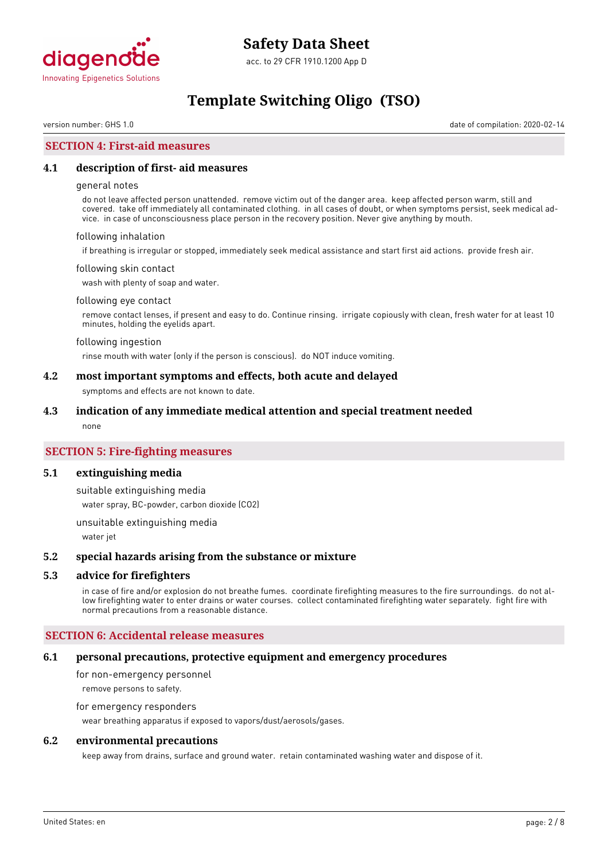

# **Template Switching Oligo (TSO)**

version number: GHS 1.0 date of compilation: 2020-02-14

# **SECTION 4: First-aid measures**

#### **4.1 description of first- aid measures**

#### general notes

do not leave affected person unattended. remove victim out of the danger area. keep affected person warm, still and covered. take off immediately all contaminated clothing. in all cases of doubt, or when symptoms persist, seek medical advice. in case of unconsciousness place person in the recovery position. Never give anything by mouth.

#### following inhalation

if breathing is irregular or stopped, immediately seek medical assistance and start first aid actions. provide fresh air.

#### following skin contact

wash with plenty of soap and water.

#### following eye contact

remove contact lenses, if present and easy to do. Continue rinsing. irrigate copiously with clean, fresh water for at least 10 minutes, holding the eyelids apart.

#### following ingestion

rinse mouth with water (only if the person is conscious). do NOT induce vomiting.

#### **4.2 most important symptoms and effects, both acute and delayed**

symptoms and effects are not known to date.

#### **4.3 indication of any immediate medical attention and special treatment needed**

none

## **SECTION 5: Fire-fighting measures**

#### **5.1 extinguishing media**

suitable extinguishing media

water spray, BC-powder, carbon dioxide (CO2)

unsuitable extinguishing media

water jet

#### **5.2 special hazards arising from the substance or mixture**

### **5.3 advice for firefighters**

in case of fire and/or explosion do not breathe fumes. coordinate firefighting measures to the fire surroundings. do not allow firefighting water to enter drains or water courses. collect contaminated firefighting water separately. fight fire with normal precautions from a reasonable distance.

#### **SECTION 6: Accidental release measures**

#### **6.1 personal precautions, protective equipment and emergency procedures**

for non-emergency personnel remove persons to safety.

# for emergency responders

wear breathing apparatus if exposed to vapors/dust/aerosols/gases.

#### **6.2 environmental precautions**

keep away from drains, surface and ground water. retain contaminated washing water and dispose of it.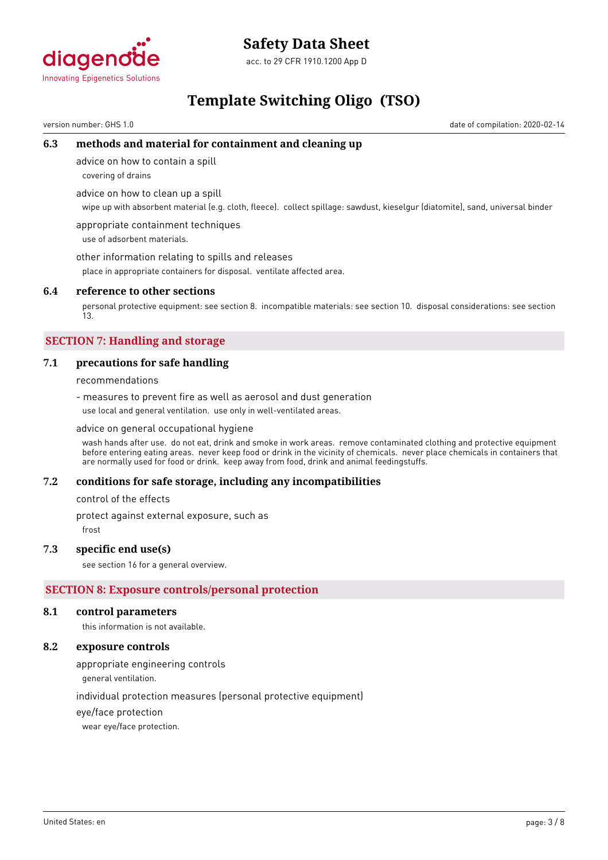

acc. to 29 CFR 1910.1200 App D

# **Template Switching Oligo (TSO)**

version number: GHS 1.0 date of compilation: 2020-02-14

# **6.3 methods and material for containment and cleaning up**

advice on how to contain a spill

covering of drains

advice on how to clean up a spill

wipe up with absorbent material (e.g. cloth, fleece). collect spillage: sawdust, kieselgur (diatomite), sand, universal binder

appropriate containment techniques use of adsorbent materials.

other information relating to spills and releases

place in appropriate containers for disposal. ventilate affected area.

## **6.4 reference to other sections**

personal protective equipment: see section 8. incompatible materials: see section 10. disposal considerations: see section 13.

# **SECTION 7: Handling and storage**

# **7.1 precautions for safe handling**

recommendations

- measures to prevent fire as well as aerosol and dust generation use local and general ventilation. use only in well-ventilated areas.

#### advice on general occupational hygiene

wash hands after use. do not eat, drink and smoke in work areas. remove contaminated clothing and protective equipment before entering eating areas. never keep food or drink in the vicinity of chemicals. never place chemicals in containers that are normally used for food or drink. keep away from food, drink and animal feedingstuffs.

# **7.2 conditions for safe storage, including any incompatibilities**

control of the effects

protect against external exposure, such as

frost

# **7.3 specific end use(s)**

see section 16 for a general overview.

# **SECTION 8: Exposure controls/personal protection**

#### **8.1 control parameters**

this information is not available.

## **8.2 exposure controls**

appropriate engineering controls

general ventilation.

individual protection measures (personal protective equipment)

eye/face protection

wear eye/face protection.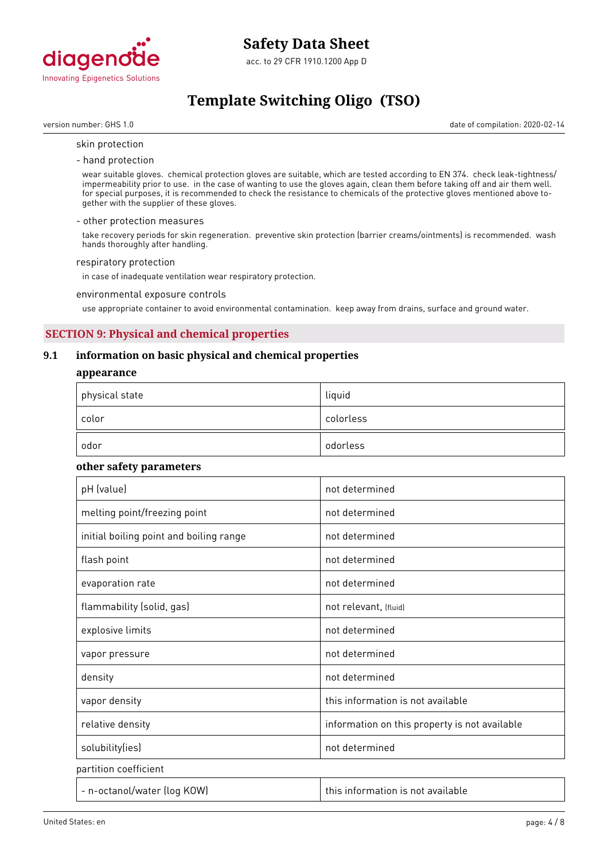

# **Template Switching Oligo (TSO)**

version number: GHS 1.0 date of compilation: 2020-02-14

#### skin protection

- hand protection

wear suitable gloves. chemical protection gloves are suitable, which are tested according to EN 374. check leak-tightness/ impermeability prior to use. in the case of wanting to use the gloves again, clean them before taking off and air them well. for special purposes, it is recommended to check the resistance to chemicals of the protective gloves mentioned above together with the supplier of these gloves.

#### - other protection measures

take recovery periods for skin regeneration. preventive skin protection (barrier creams/ointments) is recommended. wash hands thoroughly after handling.

#### respiratory protection

in case of inadequate ventilation wear respiratory protection.

environmental exposure controls

use appropriate container to avoid environmental contamination. keep away from drains, surface and ground water.

# **SECTION 9: Physical and chemical properties**

## **9.1 information on basic physical and chemical properties**

#### **appearance**

| $^\mathrm{+}$ physical state | liquid    |
|------------------------------|-----------|
| color                        | colorless |
| odor                         | odorless  |

#### **other safety parameters**

| pH (value)                              | not determined                                |
|-----------------------------------------|-----------------------------------------------|
| melting point/freezing point            | not determined                                |
| initial boiling point and boiling range | not determined                                |
| flash point                             | not determined                                |
| evaporation rate                        | not determined                                |
| flammability (solid, gas)               | not relevant, (fluid)                         |
| explosive limits                        | not determined                                |
| vapor pressure                          | not determined                                |
| density                                 | not determined                                |
| vapor density                           | this information is not available             |
| relative density                        | information on this property is not available |
| solubility(ies)                         | not determined                                |
| partition coefficient                   |                                               |
| - n-octanol/water (log KOW)             | this information is not available             |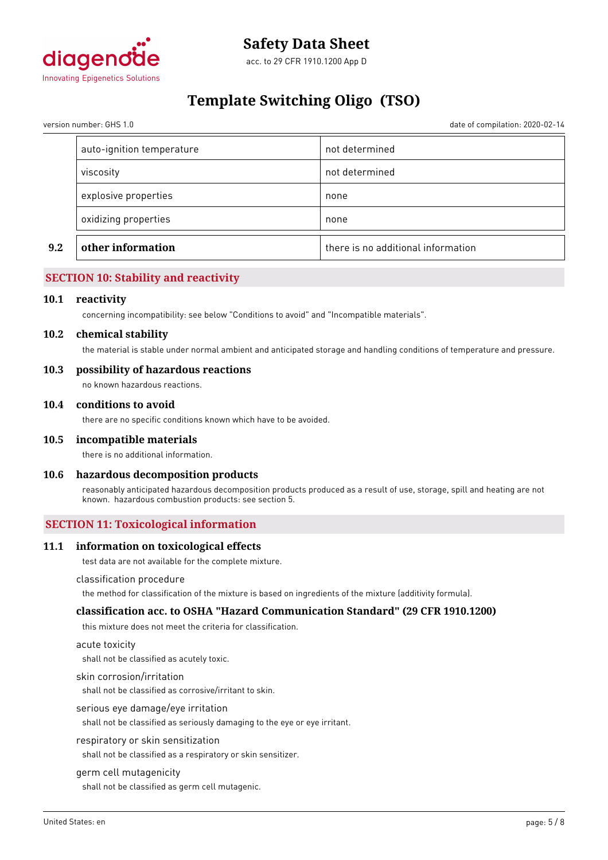

# **Template Switching Oligo (TSO)**

version number: GHS 1.0 date of compilation: 2020-02-14

| 9.2 | other information         | there is no additional information |
|-----|---------------------------|------------------------------------|
|     | oxidizing properties      | none                               |
|     | explosive properties      | none                               |
|     | viscosity                 | not determined                     |
|     | auto-ignition temperature | not determined                     |

# **SECTION 10: Stability and reactivity**

#### **10.1 reactivity**

concerning incompatibility: see below "Conditions to avoid" and "Incompatible materials".

#### **10.2 chemical stability**

the material is stable under normal ambient and anticipated storage and handling conditions of temperature and pressure.

### **10.3 possibility of hazardous reactions**

no known hazardous reactions.

#### **10.4 conditions to avoid**

there are no specific conditions known which have to be avoided.

#### **10.5 incompatible materials**

there is no additional information.

#### **10.6 hazardous decomposition products**

reasonably anticipated hazardous decomposition products produced as a result of use, storage, spill and heating are not known. hazardous combustion products: see section 5.

### **SECTION 11: Toxicological information**

#### **11.1 information on toxicological effects**

test data are not available for the complete mixture.

#### classification procedure

the method for classification of the mixture is based on ingredients of the mixture (additivity formula).

#### **classification acc. to OSHA "Hazard Communication Standard" (29 CFR 1910.1200)**

this mixture does not meet the criteria for classification.

#### acute toxicity

shall not be classified as acutely toxic.

#### skin corrosion/irritation

shall not be classified as corrosive/irritant to skin.

#### serious eye damage/eye irritation

shall not be classified as seriously damaging to the eye or eye irritant.

#### respiratory or skin sensitization

shall not be classified as a respiratory or skin sensitizer.

#### germ cell mutagenicity

shall not be classified as germ cell mutagenic.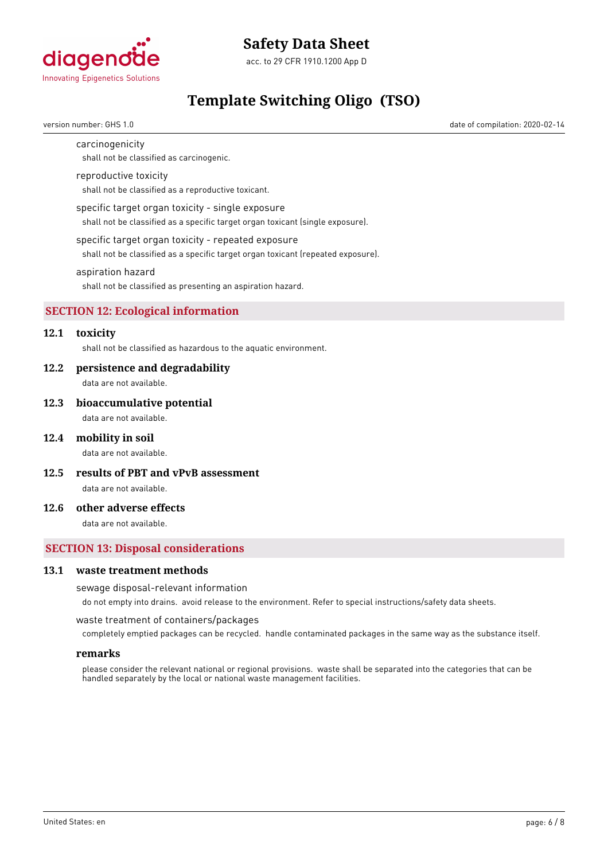

acc. to 29 CFR 1910.1200 App D

# **Template Switching Oligo (TSO)**

version number: GHS 1.0 date of compilation: 2020-02-14

### carcinogenicity

shall not be classified as carcinogenic.

#### reproductive toxicity

shall not be classified as a reproductive toxicant.

#### specific target organ toxicity - single exposure

shall not be classified as a specific target organ toxicant (single exposure).

#### specific target organ toxicity - repeated exposure

shall not be classified as a specific target organ toxicant (repeated exposure).

#### aspiration hazard

shall not be classified as presenting an aspiration hazard.

# **SECTION 12: Ecological information**

# **12.1 toxicity**

shall not be classified as hazardous to the aquatic environment.

#### **12.2 persistence and degradability**

data are not available.

#### **12.3 bioaccumulative potential**

data are not available.

#### **12.4 mobility in soil**

data are not available.

**12.5 results of PBT and vPvB assessment**

data are not available.

# **12.6 other adverse effects**

data are not available.

# **SECTION 13: Disposal considerations**

#### **13.1 waste treatment methods**

#### sewage disposal-relevant information

do not empty into drains. avoid release to the environment. Refer to special instructions/safety data sheets.

waste treatment of containers/packages

completely emptied packages can be recycled. handle contaminated packages in the same way as the substance itself.

#### **remarks**

please consider the relevant national or regional provisions. waste shall be separated into the categories that can be handled separately by the local or national waste management facilities.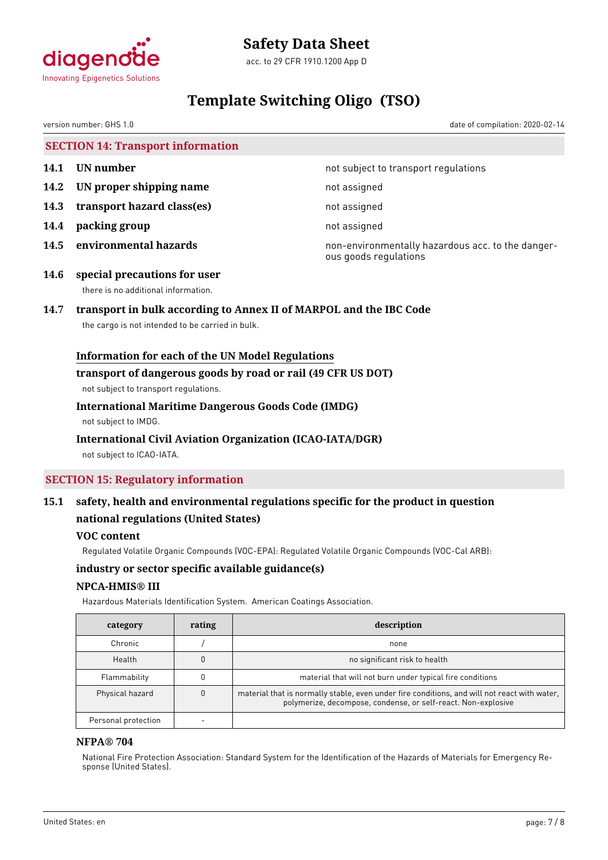

acc. to 29 CFR 1910.1200 App D

# **Template Switching Oligo (TSO)**

version number: GHS 1.0 date of compilation: 2020-02-14

**SECTION 14: Transport information**

- 
- **14.2 IN proper shipping name** not assigned
- **14.3 transport hazard class(es)** not assigned
- **14.4 packing group not assigned**
- 

**14.1 UN number 14.1 UN** number

**14.5 environmental hazards non-environmentally hazardous acc. to the danger**ous goods regulations

**14.6 special precautions for user** there is no additional information.

# **14.7 transport in bulk according to Annex II of MARPOL and the IBC Code**

the cargo is not intended to be carried in bulk.

# **Information for each of the UN Model Regulations**

### **transport of dangerous goods by road or rail (49 CFR US DOT)**

not subject to transport regulations.

# **International Maritime Dangerous Goods Code (IMDG)**

not subject to IMDG.

# **International Civil Aviation Organization (ICAO-IATA/DGR)**

not subject to ICAO-IATA.

# **SECTION 15: Regulatory information**

# **15.1 safety, health and environmental regulations specific for the product in question national regulations (United States)**

# **VOC content**

Regulated Volatile Organic Compounds (VOC-EPA): Regulated Volatile Organic Compounds (VOC-Cal ARB):

# **industry or sector specific available guidance(s)**

# **NPCA-HMIS® III**

Hazardous Materials Identification System. American Coatings Association.

| category            | rating | description                                                                                                                                                   |
|---------------------|--------|---------------------------------------------------------------------------------------------------------------------------------------------------------------|
| Chronic             |        | none                                                                                                                                                          |
| Health              |        | no significant risk to health                                                                                                                                 |
| Flammability        |        | material that will not burn under typical fire conditions                                                                                                     |
| Physical hazard     |        | material that is normally stable, even under fire conditions, and will not react with water,<br>polymerize, decompose, condense, or self-react. Non-explosive |
| Personal protection |        |                                                                                                                                                               |

# **NFPA® 704**

National Fire Protection Association: Standard System for the Identification of the Hazards of Materials for Emergency Response (United States).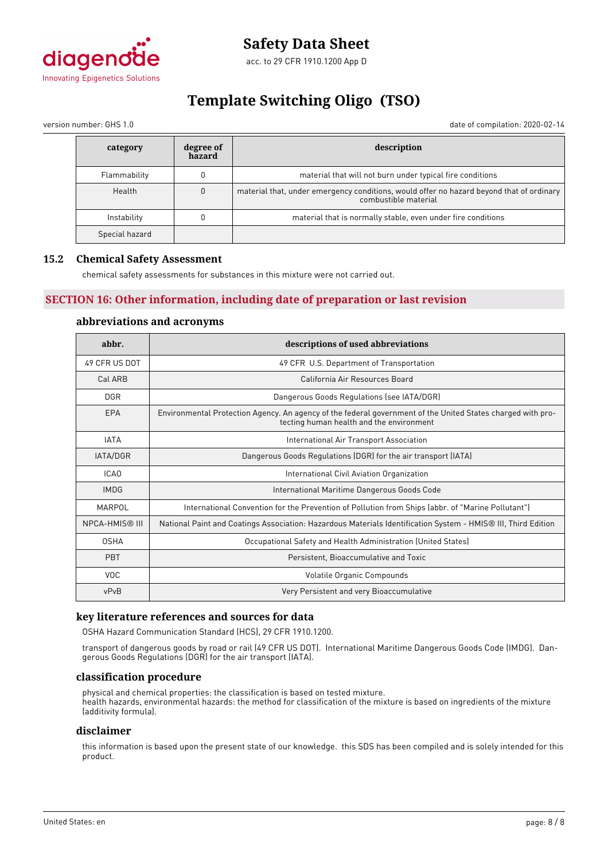

# **Template Switching Oligo (TSO)**

version number: GHS 1.0 date of compilation: 2020-02-14

| category       | degree of<br>hazard | description                                                                                                      |  |
|----------------|---------------------|------------------------------------------------------------------------------------------------------------------|--|
| Flammability   |                     | material that will not burn under typical fire conditions                                                        |  |
| Health         |                     | material that, under emergency conditions, would offer no hazard beyond that of ordinary<br>combustible material |  |
| Instability    |                     | material that is normally stable, even under fire conditions                                                     |  |
| Special hazard |                     |                                                                                                                  |  |

# **15.2 Chemical Safety Assessment**

chemical safety assessments for substances in this mixture were not carried out.

# **SECTION 16: Other information, including date of preparation or last revision**

# **abbreviations and acronyms**

| abbr.                 | descriptions of used abbreviations                                                                                                                      |  |  |
|-----------------------|---------------------------------------------------------------------------------------------------------------------------------------------------------|--|--|
| 49 CFR US DOT         | 49 CFR U.S. Department of Transportation                                                                                                                |  |  |
| Cal ARB               | California Air Resources Board                                                                                                                          |  |  |
| <b>DGR</b>            | Dangerous Goods Regulations (see IATA/DGR)                                                                                                              |  |  |
| EPA                   | Environmental Protection Agency. An agency of the federal government of the United States charged with pro-<br>tecting human health and the environment |  |  |
| <b>IATA</b>           | International Air Transport Association                                                                                                                 |  |  |
| IATA/DGR              | Dangerous Goods Regulations (DGR) for the air transport (IATA)                                                                                          |  |  |
| ICA0                  | International Civil Aviation Organization                                                                                                               |  |  |
| <b>IMDG</b>           | International Maritime Dangerous Goods Code                                                                                                             |  |  |
| MARPOL                | International Convention for the Prevention of Pollution from Ships (abbr. of "Marine Pollutant")                                                       |  |  |
| <b>NPCA-HMIS® III</b> | National Paint and Coatings Association: Hazardous Materials Identification System - HMIS® III, Third Edition                                           |  |  |
| <b>OSHA</b>           | Occupational Safety and Health Administration (United States)                                                                                           |  |  |
| <b>PBT</b>            | Persistent, Bioaccumulative and Toxic                                                                                                                   |  |  |
| <b>VOC</b>            | Volatile Organic Compounds                                                                                                                              |  |  |
| vPvB                  | Very Persistent and very Bioaccumulative                                                                                                                |  |  |

# **key literature references and sources for data**

OSHA Hazard Communication Standard (HCS), 29 CFR 1910.1200.

transport of dangerous goods by road or rail (49 CFR US DOT). International Maritime Dangerous Goods Code (IMDG). Dangerous Goods Regulations (DGR) for the air transport (IATA).

#### **classification procedure**

physical and chemical properties: the classification is based on tested mixture. health hazards, environmental hazards: the method for classification of the mixture is based on ingredients of the mixture (additivity formula).

#### **disclaimer**

this information is based upon the present state of our knowledge. this SDS has been compiled and is solely intended for this product.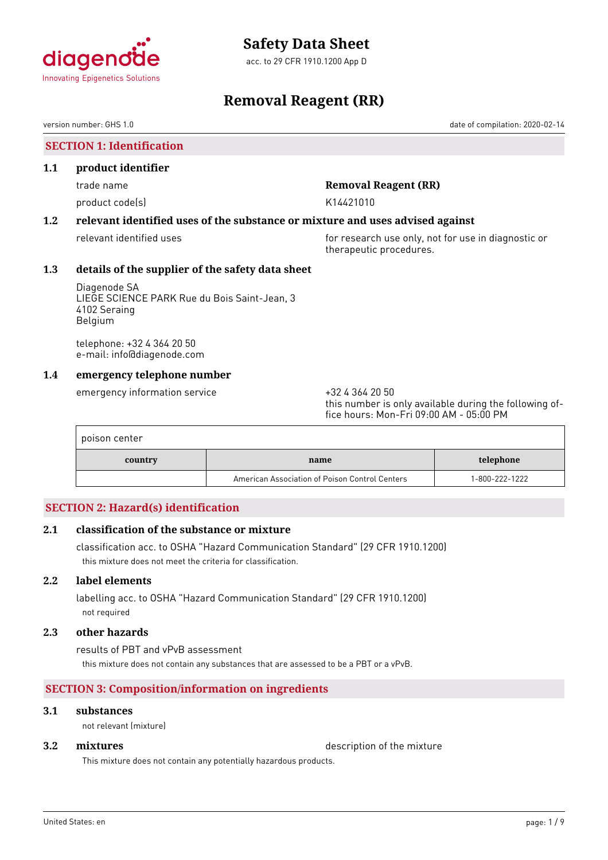

acc. to 29 CFR 1910.1200 App D

# **Removal Reagent (RR)**

version number: GHS 1.0 date of compilation: 2020-02-14

# **SECTION 1: Identification**

### **1.1 product identifier**

product code(s) and the control of the K14421010

# trade name **Removal Reagent (RR)**

# **1.2 relevant identified uses of the substance or mixture and uses advised against**

relevant identified uses **for research use only, not for use in diagnostic or** for use in diagnostic or therapeutic procedures.

# **1.3 details of the supplier of the safety data sheet**

Diagenode SA LIEGE SCIENCE PARK Rue du Bois Saint-Jean, 3 4102 Seraing Belgium

telephone: +32 4 364 20 50 e-mail: info@diagenode.com

# **1.4 emergency telephone number**

emergency information service  $+3243642050$ 

this number is only available during the following office hours: Mon-Fri 09:00 AM - 05:00 PM

| poison center |                                                |                |
|---------------|------------------------------------------------|----------------|
| country       | name                                           | telephone      |
|               | American Association of Poison Control Centers | 1-800-222-1222 |

# **SECTION 2: Hazard(s) identification**

# **2.1 classification of the substance or mixture**

classification acc. to OSHA "Hazard Communication Standard" (29 CFR 1910.1200) this mixture does not meet the criteria for classification.

# **2.2 label elements**

labelling acc. to OSHA "Hazard Communication Standard" (29 CFR 1910.1200) not required

### **2.3 other hazards**

results of PBT and vPvB assessment this mixture does not contain any substances that are assessed to be a PBT or a vPvB.

# **SECTION 3: Composition/information on ingredients**

# **3.1 substances**

not relevant (mixture)

**3.2 <b>mixtures** description of the mixture

This mixture does not contain any potentially hazardous products.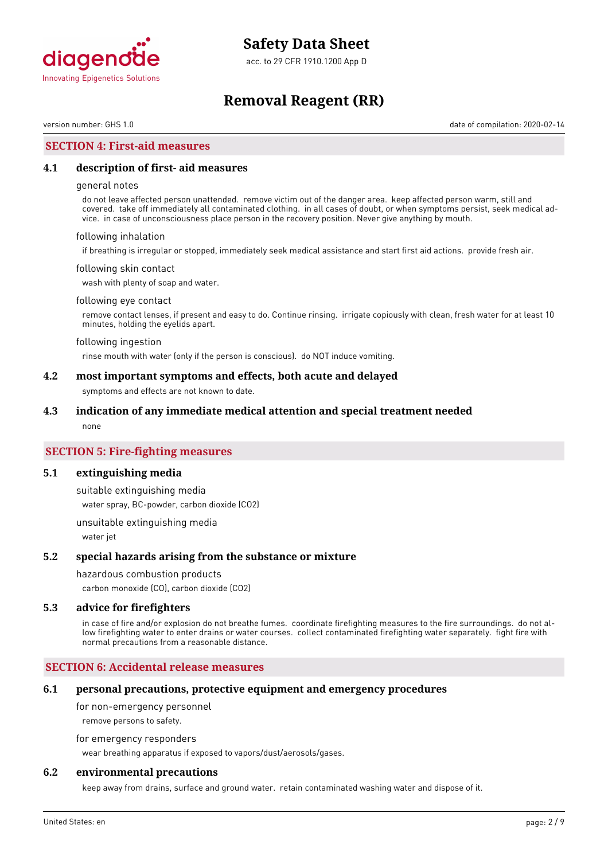

acc. to 29 CFR 1910.1200 App D

# **Removal Reagent (RR)**

version number: GHS 1.0 date of compilation: 2020-02-14

## **SECTION 4: First-aid measures**

### **4.1 description of first- aid measures**

#### general notes

do not leave affected person unattended. remove victim out of the danger area. keep affected person warm, still and covered. take off immediately all contaminated clothing. in all cases of doubt, or when symptoms persist, seek medical advice. in case of unconsciousness place person in the recovery position. Never give anything by mouth.

#### following inhalation

if breathing is irregular or stopped, immediately seek medical assistance and start first aid actions. provide fresh air.

#### following skin contact

wash with plenty of soap and water.

#### following eye contact

remove contact lenses, if present and easy to do. Continue rinsing. irrigate copiously with clean, fresh water for at least 10 minutes, holding the eyelids apart.

#### following ingestion

rinse mouth with water (only if the person is conscious). do NOT induce vomiting.

### **4.2 most important symptoms and effects, both acute and delayed**

symptoms and effects are not known to date.

#### **4.3 indication of any immediate medical attention and special treatment needed**

none

## **SECTION 5: Fire-fighting measures**

#### **5.1 extinguishing media**

suitable extinguishing media water spray, BC-powder, carbon dioxide (CO2)

unsuitable extinguishing media water jet

#### **5.2 special hazards arising from the substance or mixture**

#### hazardous combustion products

carbon monoxide (CO), carbon dioxide (CO2)

#### **5.3 advice for firefighters**

in case of fire and/or explosion do not breathe fumes. coordinate firefighting measures to the fire surroundings. do not allow firefighting water to enter drains or water courses. collect contaminated firefighting water separately. fight fire with normal precautions from a reasonable distance.

### **SECTION 6: Accidental release measures**

#### **6.1 personal precautions, protective equipment and emergency procedures**

for non-emergency personnel

remove persons to safety.

for emergency responders

wear breathing apparatus if exposed to vapors/dust/aerosols/gases.

### **6.2 environmental precautions**

keep away from drains, surface and ground water. retain contaminated washing water and dispose of it.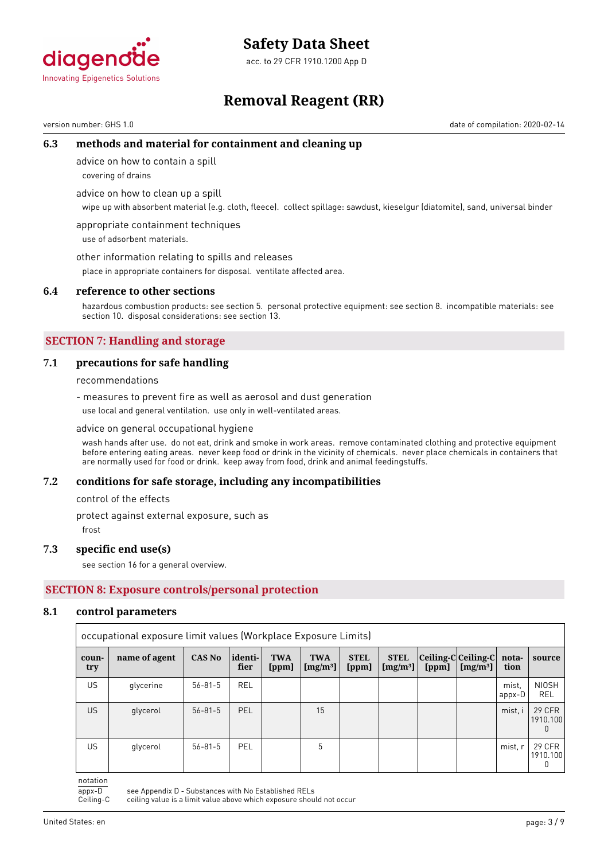

acc. to 29 CFR 1910.1200 App D

# **Removal Reagent (RR)**

version number: GHS 1.0 date of compilation: 2020-02-14

# **6.3 methods and material for containment and cleaning up**

advice on how to contain a spill

covering of drains

advice on how to clean up a spill

wipe up with absorbent material (e.g. cloth, fleece). collect spillage: sawdust, kieselgur (diatomite), sand, universal binder

appropriate containment techniques use of adsorbent materials.

other information relating to spills and releases

place in appropriate containers for disposal. ventilate affected area.

#### **6.4 reference to other sections**

hazardous combustion products: see section 5. personal protective equipment: see section 8. incompatible materials: see section 10. disposal considerations: see section 13.

# **SECTION 7: Handling and storage**

### **7.1 precautions for safe handling**

recommendations

- measures to prevent fire as well as aerosol and dust generation use local and general ventilation. use only in well-ventilated areas.

advice on general occupational hygiene

wash hands after use. do not eat, drink and smoke in work areas. remove contaminated clothing and protective equipment before entering eating areas. never keep food or drink in the vicinity of chemicals. never place chemicals in containers that are normally used for food or drink. keep away from food, drink and animal feedingstuffs.

#### **7.2 conditions for safe storage, including any incompatibilities**

control of the effects

protect against external exposure, such as

frost

#### **7.3 specific end use(s)**

see section 16 for a general overview.

# **SECTION 8: Exposure controls/personal protection**

#### **8.1 control parameters**

|              | occupational exposure limit values (Workplace Exposure Limits) |               |                 |                     |                            |                      |                                     |                                     |            |                 |                                    |
|--------------|----------------------------------------------------------------|---------------|-----------------|---------------------|----------------------------|----------------------|-------------------------------------|-------------------------------------|------------|-----------------|------------------------------------|
| coun-<br>try | name of agent                                                  | <b>CAS No</b> | identi-<br>fier | <b>TWA</b><br>[ppm] | <b>TWA</b><br>[ $mg/m^3$ ] | <b>STEL</b><br>[ppm] | <b>STEL</b><br>[mg/m <sup>3</sup> ] | Ceiling-C Ceiling-C  nota-<br>[ppm] | $[mg/m^3]$ | tion            | source                             |
| <b>US</b>    | glycerine                                                      | $56 - 81 - 5$ | <b>REL</b>      |                     |                            |                      |                                     |                                     |            | mist.<br>appx-D | <b>NIOSH</b><br><b>REL</b>         |
| <b>US</b>    | glycerol                                                       | $56 - 81 - 5$ | <b>PEL</b>      |                     | 15                         |                      |                                     |                                     |            | mist, i         | 29 CFR<br>1910.100<br><sup>n</sup> |
| US.          | glycerol                                                       | $56 - 81 - 5$ | <b>PEL</b>      |                     | 5                          |                      |                                     |                                     |            | mist, r         | 29 CFR<br>1910.100<br>0            |

notation

appx-D see Appendix D - Substances with No Established RELs<br>Ceiling-C ceiling value is a limit value above which exposure shou

ceiling value is a limit value above which exposure should not occur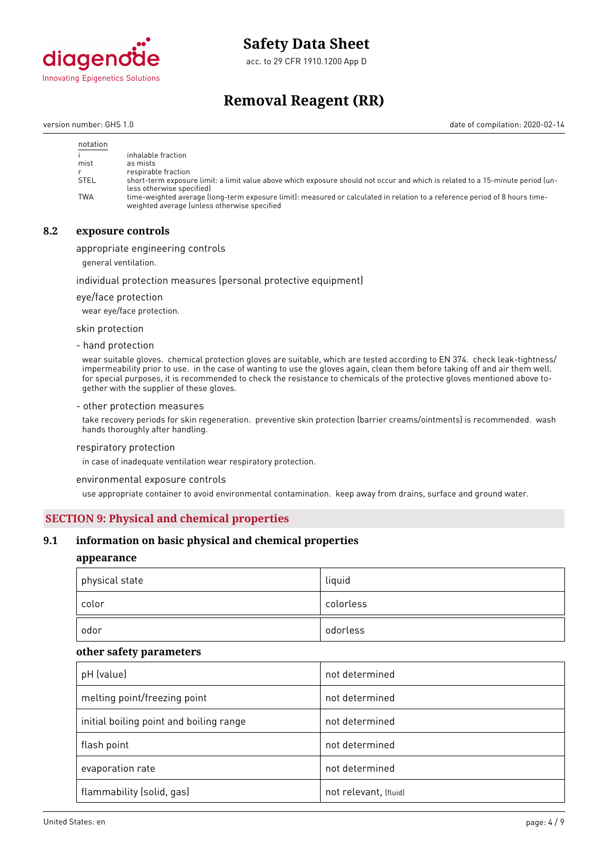

acc. to 29 CFR 1910.1200 App D

# **Removal Reagent (RR)**

version number: GHS 1.0 date of compilation: 2020-02-14

| notation    |                                                                                                                                                                             |
|-------------|-----------------------------------------------------------------------------------------------------------------------------------------------------------------------------|
|             | inhalable fraction                                                                                                                                                          |
| mist        | as mists                                                                                                                                                                    |
|             | respirable fraction                                                                                                                                                         |
| <b>STEL</b> | short-term exposure limit: a limit value above which exposure should not occur and which is related to a 15-minute period (un-<br>less otherwise specified)                 |
| <b>TWA</b>  | time-weighted average (long-term exposure limit): measured or calculated in relation to a reference period of 8 hours time-<br>weighted average (unless otherwise specified |

# **8.2 exposure controls**

appropriate engineering controls

general ventilation.

#### individual protection measures (personal protective equipment)

eye/face protection

wear eye/face protection.

skin protection

- hand protection

wear suitable gloves. chemical protection gloves are suitable, which are tested according to EN 374. check leak-tightness/ impermeability prior to use. in the case of wanting to use the gloves again, clean them before taking off and air them well. for special purposes, it is recommended to check the resistance to chemicals of the protective gloves mentioned above together with the supplier of these gloves.

#### - other protection measures

take recovery periods for skin regeneration. preventive skin protection (barrier creams/ointments) is recommended. wash hands thoroughly after handling.

#### respiratory protection

in case of inadequate ventilation wear respiratory protection.

environmental exposure controls

use appropriate container to avoid environmental contamination. keep away from drains, surface and ground water.

### **SECTION 9: Physical and chemical properties**

### **9.1 information on basic physical and chemical properties**

### **appearance**

| physical state | liquid    |
|----------------|-----------|
| color          | colorless |
| odor           | odorless  |

#### **other safety parameters**

| pH (value)                              | not determined        |
|-----------------------------------------|-----------------------|
| melting point/freezing point            | not determined        |
| initial boiling point and boiling range | not determined        |
| flash point                             | not determined        |
| evaporation rate                        | not determined        |
| flammability (solid, gas)               | not relevant, (fluid) |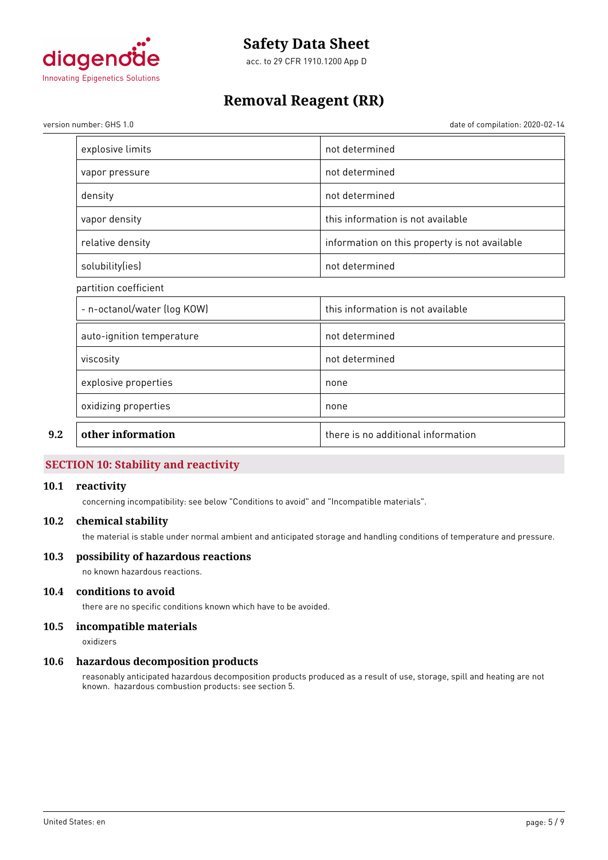

acc. to 29 CFR 1910.1200 App D

# **Removal Reagent (RR)**

version number: GHS 1.0 date of compilation: 2020-02-14

| other information           | there is no additional information            |
|-----------------------------|-----------------------------------------------|
| oxidizing properties        | none                                          |
| explosive properties        | none                                          |
| viscosity                   | not determined                                |
| auto-ignition temperature   | not determined                                |
| - n-octanol/water (log KOW) | this information is not available             |
| partition coefficient       |                                               |
| solubility(ies)             | not determined                                |
| relative density            | information on this property is not available |
| vapor density               | this information is not available             |
| density                     | not determined                                |
| vapor pressure              | not determined                                |
| explosive limits            | not determined                                |

# **SECTION 10: Stability and reactivity**

## **10.1 reactivity**

concerning incompatibility: see below "Conditions to avoid" and "Incompatible materials".

### **10.2 chemical stability**

the material is stable under normal ambient and anticipated storage and handling conditions of temperature and pressure.

## **10.3 possibility of hazardous reactions**

no known hazardous reactions.

# **10.4 conditions to avoid**

there are no specific conditions known which have to be avoided.

# **10.5 incompatible materials**

oxidizers

#### **10.6 hazardous decomposition products**

reasonably anticipated hazardous decomposition products produced as a result of use, storage, spill and heating are not known. hazardous combustion products: see section 5.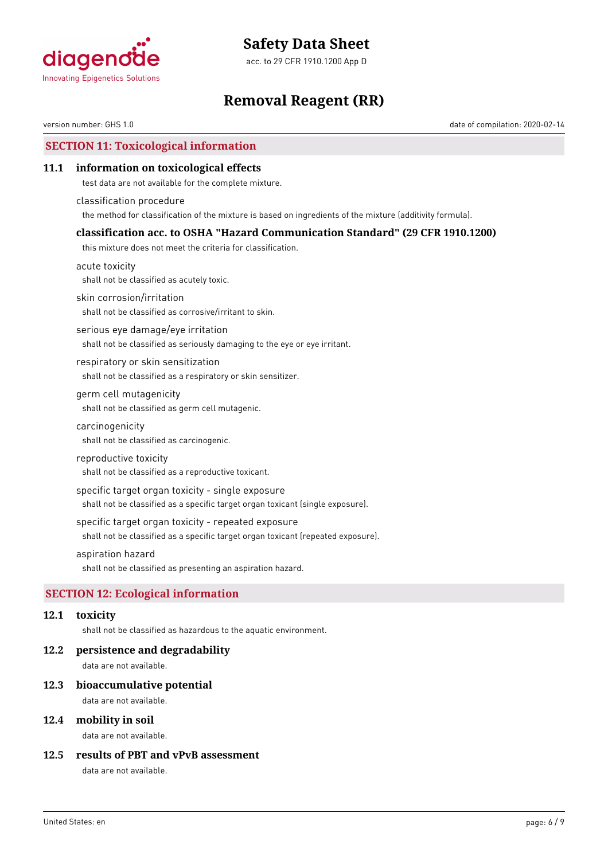

acc. to 29 CFR 1910.1200 App D

# **Removal Reagent (RR)**

version number: GHS 1.0 date of compilation: 2020-02-14

# **SECTION 11: Toxicological information**

## **11.1 information on toxicological effects**

test data are not available for the complete mixture.

classification procedure the method for classification of the mixture is based on ingredients of the mixture (additivity formula).

### **classification acc. to OSHA "Hazard Communication Standard" (29 CFR 1910.1200)**

this mixture does not meet the criteria for classification.

acute toxicity shall not be classified as acutely toxic.

skin corrosion/irritation

shall not be classified as corrosive/irritant to skin.

serious eye damage/eye irritation shall not be classified as seriously damaging to the eye or eye irritant.

respiratory or skin sensitization shall not be classified as a respiratory or skin sensitizer.

### germ cell mutagenicity shall not be classified as germ cell mutagenic.

carcinogenicity

shall not be classified as carcinogenic.

#### reproductive toxicity

shall not be classified as a reproductive toxicant.

#### specific target organ toxicity - single exposure

shall not be classified as a specific target organ toxicant (single exposure).

#### specific target organ toxicity - repeated exposure

shall not be classified as a specific target organ toxicant (repeated exposure).

### aspiration hazard

shall not be classified as presenting an aspiration hazard.

# **SECTION 12: Ecological information**

#### **12.1 toxicity**

shall not be classified as hazardous to the aquatic environment.

#### **12.2 persistence and degradability**

data are not available.

#### **12.3 bioaccumulative potential**

data are not available.

## **12.4 mobility in soil**

data are not available.

## **12.5 results of PBT and vPvB assessment**

data are not available.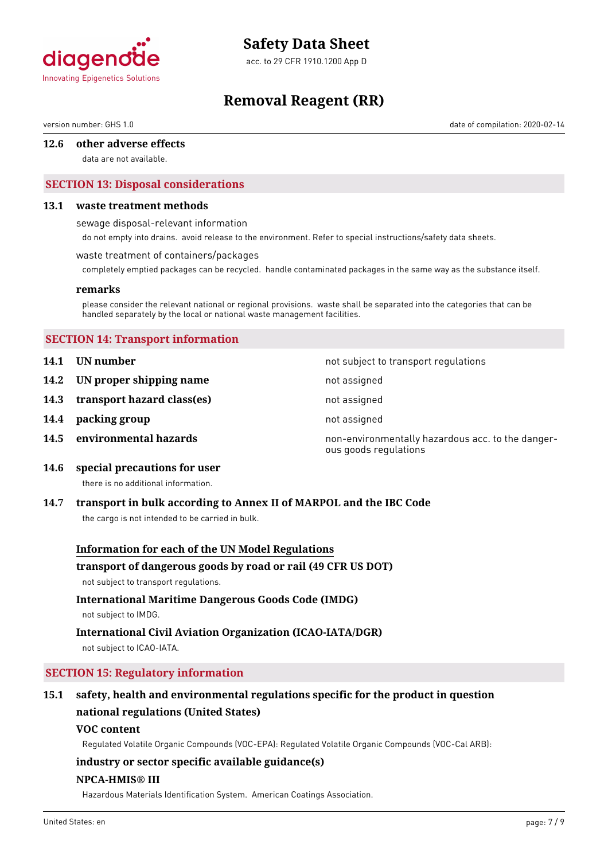

acc. to 29 CFR 1910.1200 App D

# **Removal Reagent (RR)**

version number: GHS 1.0 date of compilation: 2020-02-14

### **12.6 other adverse effects**

data are not available.

# **SECTION 13: Disposal considerations**

#### **13.1 waste treatment methods**

sewage disposal-relevant information

do not empty into drains. avoid release to the environment. Refer to special instructions/safety data sheets.

#### waste treatment of containers/packages

completely emptied packages can be recycled. handle contaminated packages in the same way as the substance itself.

#### **remarks**

please consider the relevant national or regional provisions. waste shall be separated into the categories that can be handled separately by the local or national waste management facilities.

# **SECTION 14: Transport information**

- **14.1 UN number 14.1 UN** number
- **14.2 IN proper shipping name** not assigned
- 14.3 **transport hazard class(es)** not assigned
- **14.4 packing group not assigned**
- 

**14.5 environmental hazards non-environmentally hazardous acc. to the danger**ous goods regulations

**14.6 special precautions for user**

there is no additional information.

# **14.7 transport in bulk according to Annex II of MARPOL and the IBC Code**

the cargo is not intended to be carried in bulk.

# **Information for each of the UN Model Regulations**

#### **transport of dangerous goods by road or rail (49 CFR US DOT)**

not subject to transport regulations.

# **International Maritime Dangerous Goods Code (IMDG)**

not subject to IMDG.

# **International Civil Aviation Organization (ICAO-IATA/DGR)**

not subject to ICAO-IATA.

# **SECTION 15: Regulatory information**

# **15.1 safety, health and environmental regulations specific for the product in question national regulations (United States)**

# **VOC content**

Regulated Volatile Organic Compounds (VOC-EPA): Regulated Volatile Organic Compounds (VOC-Cal ARB):

# **industry or sector specific available guidance(s)**

### **NPCA-HMIS® III**

Hazardous Materials Identification System. American Coatings Association.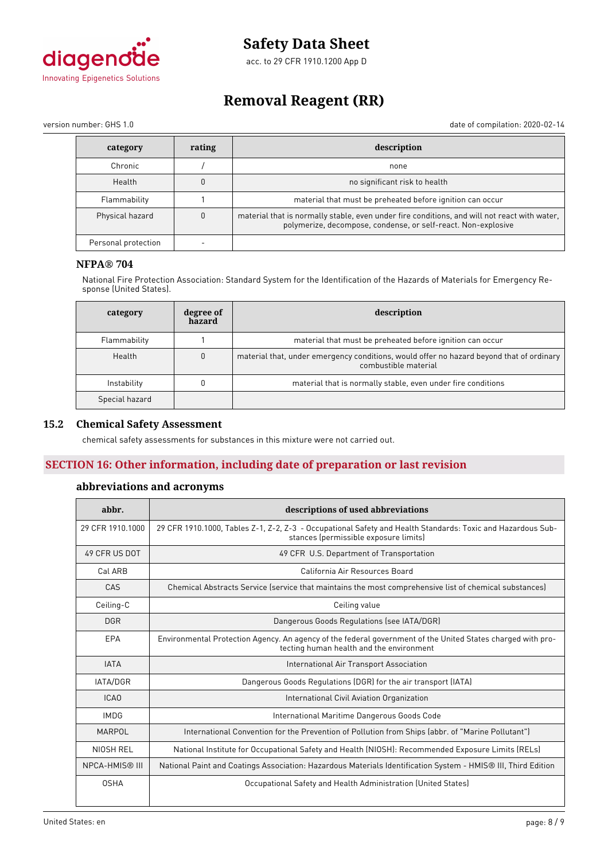

acc. to 29 CFR 1910.1200 App D

# **Removal Reagent (RR)**

version number: GHS 1.0 date of compilation: 2020-02-14

| category            | rating   | description                                                                                                                                                   |
|---------------------|----------|---------------------------------------------------------------------------------------------------------------------------------------------------------------|
| Chronic             |          | none                                                                                                                                                          |
| Health              |          | no significant risk to health                                                                                                                                 |
| Flammability        |          | material that must be preheated before ignition can occur                                                                                                     |
| Physical hazard     | $\Omega$ | material that is normally stable, even under fire conditions, and will not react with water,<br>polymerize, decompose, condense, or self-react. Non-explosive |
| Personal protection |          |                                                                                                                                                               |

# **NFPA® 704**

National Fire Protection Association: Standard System for the Identification of the Hazards of Materials for Emergency Response (United States).

| category       | degree of<br>hazard | description                                                                                                      |
|----------------|---------------------|------------------------------------------------------------------------------------------------------------------|
| Flammability   |                     | material that must be preheated before ignition can occur                                                        |
| Health         | $\mathbf{0}$        | material that, under emergency conditions, would offer no hazard beyond that of ordinary<br>combustible material |
| Instability    |                     | material that is normally stable, even under fire conditions                                                     |
| Special hazard |                     |                                                                                                                  |

## **15.2 Chemical Safety Assessment**

chemical safety assessments for substances in this mixture were not carried out.

# **SECTION 16: Other information, including date of preparation or last revision**

# **abbreviations and acronyms**

| abbr.             | descriptions of used abbreviations                                                                                                                      |  |  |  |
|-------------------|---------------------------------------------------------------------------------------------------------------------------------------------------------|--|--|--|
| 29 CFR 1910, 1000 | 29 CFR 1910.1000, Tables Z-1, Z-2, Z-3 - Occupational Safety and Health Standards: Toxic and Hazardous Sub-<br>stances (permissible exposure limits)    |  |  |  |
| 49 CFR US DOT     | 49 CFR U.S. Department of Transportation                                                                                                                |  |  |  |
| Cal ARB           | California Air Resources Board                                                                                                                          |  |  |  |
| CAS               | Chemical Abstracts Service (service that maintains the most comprehensive list of chemical substances)                                                  |  |  |  |
| Ceiling-C         | Ceiling value                                                                                                                                           |  |  |  |
| <b>DGR</b>        | Dangerous Goods Regulations (see IATA/DGR)                                                                                                              |  |  |  |
| EPA               | Environmental Protection Agency. An agency of the federal government of the United States charged with pro-<br>tecting human health and the environment |  |  |  |
| <b>IATA</b>       | International Air Transport Association                                                                                                                 |  |  |  |
| <b>IATA/DGR</b>   | Dangerous Goods Regulations (DGR) for the air transport (IATA)                                                                                          |  |  |  |
| <b>ICAO</b>       | International Civil Aviation Organization                                                                                                               |  |  |  |
| <b>IMDG</b>       | International Maritime Dangerous Goods Code                                                                                                             |  |  |  |
| <b>MARPOL</b>     | International Convention for the Prevention of Pollution from Ships (abbr. of "Marine Pollutant")                                                       |  |  |  |
| NIOSH REL         | National Institute for Occupational Safety and Health (NIOSH): Recommended Exposure Limits (RELs)                                                       |  |  |  |
| NPCA-HMIS® III    | National Paint and Coatings Association: Hazardous Materials Identification System - HMIS® III, Third Edition                                           |  |  |  |
| <b>OSHA</b>       | Occupational Safety and Health Administration (United States)                                                                                           |  |  |  |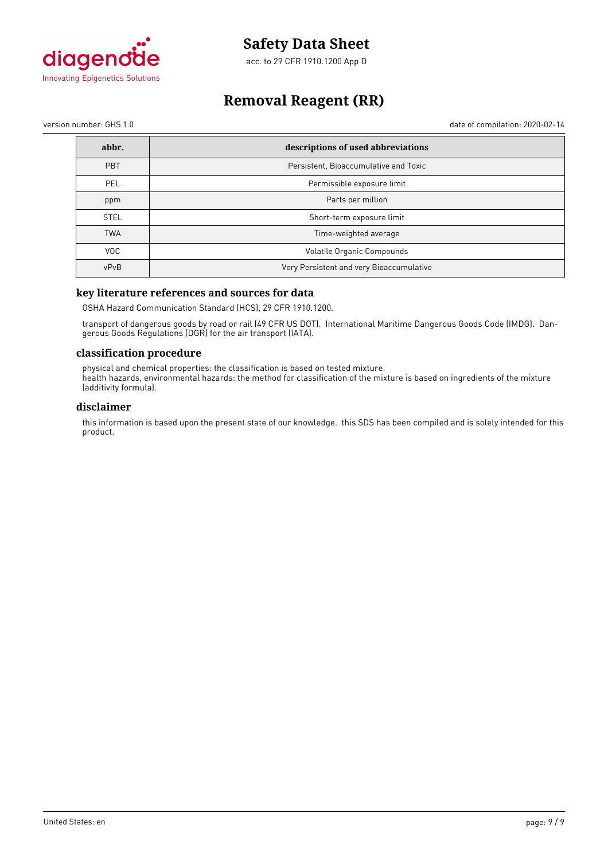

acc. to 29 CFR 1910.1200 App D

# **Removal Reagent (RR)**

version number: GHS 1.0 date of compilation: 2020-02-14

| abbr.       | descriptions of used abbreviations       |
|-------------|------------------------------------------|
| PBT         | Persistent, Bioaccumulative and Toxic    |
| <b>PEL</b>  | Permissible exposure limit               |
| ppm         | Parts per million                        |
| <b>STEL</b> | Short-term exposure limit                |
| <b>TWA</b>  | Time-weighted average                    |
| VOC.        | Volatile Organic Compounds               |
| vPvB        | Very Persistent and very Bioaccumulative |

# **key literature references and sources for data**

OSHA Hazard Communication Standard (HCS), 29 CFR 1910.1200.

transport of dangerous goods by road or rail (49 CFR US DOT). International Maritime Dangerous Goods Code (IMDG). Dangerous Goods Regulations (DGR) for the air transport (IATA).

### **classification procedure**

physical and chemical properties: the classification is based on tested mixture. health hazards, environmental hazards: the method for classification of the mixture is based on ingredients of the mixture (additivity formula).

### **disclaimer**

this information is based upon the present state of our knowledge. this SDS has been compiled and is solely intended for this product.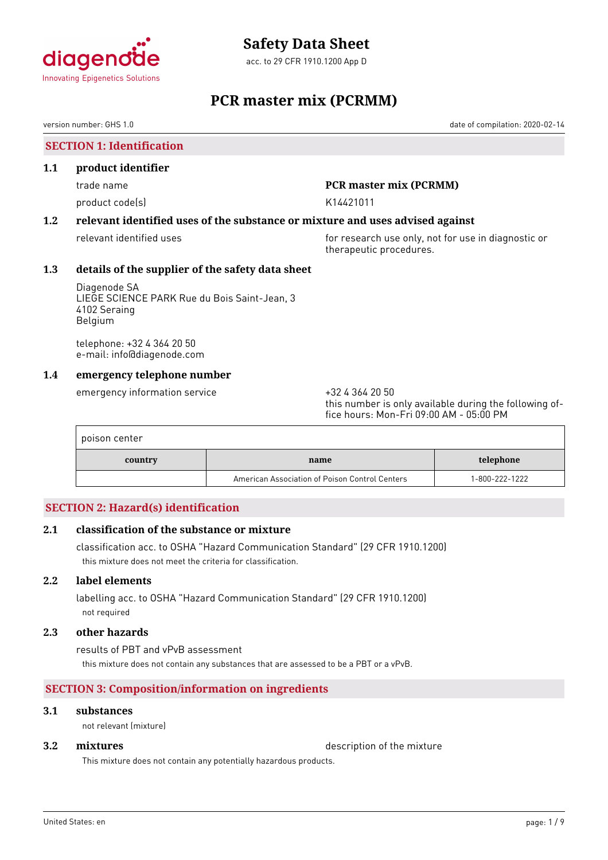

acc. to 29 CFR 1910.1200 App D

# **PCR master mix (PCRMM)**

version number: GHS 1.0 date of compilation: 2020-02-14

**SECTION 1: Identification**

### **1.1 product identifier**

product code(s) and the control of the K14421011

# trade name **PCR master mix (PCRMM)**

# **1.2 relevant identified uses of the substance or mixture and uses advised against**

relevant identified uses **for research use only, not for use in diagnostic or** for use in diagnostic or therapeutic procedures.

# **1.3 details of the supplier of the safety data sheet**

Diagenode SA LIEGE SCIENCE PARK Rue du Bois Saint-Jean, 3 4102 Seraing Belgium

telephone: +32 4 364 20 50 e-mail: info@diagenode.com

# **1.4 emergency telephone number**

emergency information service  $+3243642050$ 

this number is only available during the following office hours: Mon-Fri 09:00 AM - 05:00 PM

| poison center |                                                |                |
|---------------|------------------------------------------------|----------------|
| country       | name                                           | telephone      |
|               | American Association of Poison Control Centers | 1-800-222-1222 |

# **SECTION 2: Hazard(s) identification**

# **2.1 classification of the substance or mixture**

classification acc. to OSHA "Hazard Communication Standard" (29 CFR 1910.1200) this mixture does not meet the criteria for classification.

# **2.2 label elements**

labelling acc. to OSHA "Hazard Communication Standard" (29 CFR 1910.1200) not required

### **2.3 other hazards**

results of PBT and vPvB assessment this mixture does not contain any substances that are assessed to be a PBT or a vPvB.

# **SECTION 3: Composition/information on ingredients**

### **3.1 substances**

not relevant (mixture)

**3.2 <b>mixtures** description of the mixture

This mixture does not contain any potentially hazardous products.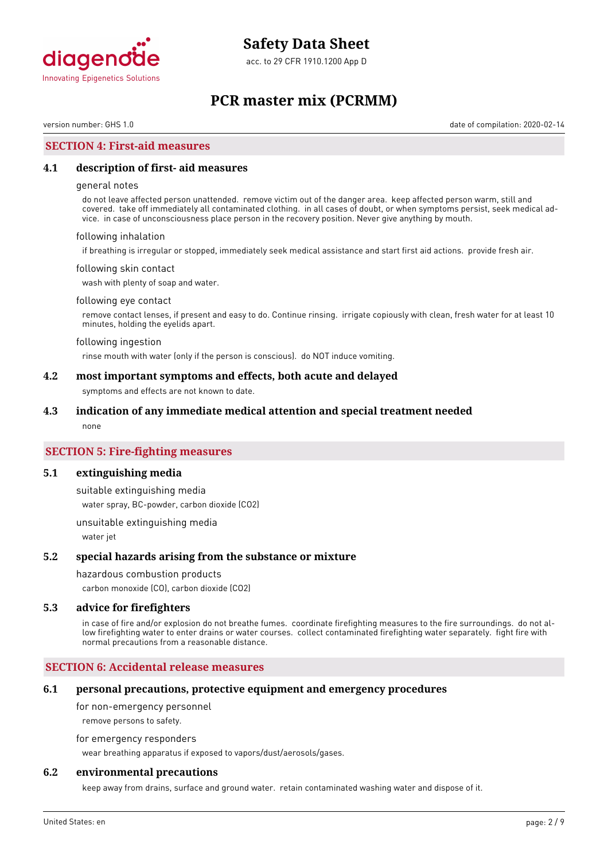

acc. to 29 CFR 1910.1200 App D

# **PCR master mix (PCRMM)**

version number: GHS 1.0 date of compilation: 2020-02-14

## **SECTION 4: First-aid measures**

### **4.1 description of first- aid measures**

#### general notes

do not leave affected person unattended. remove victim out of the danger area. keep affected person warm, still and covered. take off immediately all contaminated clothing. in all cases of doubt, or when symptoms persist, seek medical advice. in case of unconsciousness place person in the recovery position. Never give anything by mouth.

#### following inhalation

if breathing is irregular or stopped, immediately seek medical assistance and start first aid actions. provide fresh air.

#### following skin contact

wash with plenty of soap and water.

#### following eye contact

remove contact lenses, if present and easy to do. Continue rinsing. irrigate copiously with clean, fresh water for at least 10 minutes, holding the eyelids apart.

#### following ingestion

rinse mouth with water (only if the person is conscious). do NOT induce vomiting.

### **4.2 most important symptoms and effects, both acute and delayed**

symptoms and effects are not known to date.

#### **4.3 indication of any immediate medical attention and special treatment needed**

none

## **SECTION 5: Fire-fighting measures**

#### **5.1 extinguishing media**

suitable extinguishing media water spray, BC-powder, carbon dioxide (CO2)

unsuitable extinguishing media water jet

#### **5.2 special hazards arising from the substance or mixture**

#### hazardous combustion products

carbon monoxide (CO), carbon dioxide (CO2)

#### **5.3 advice for firefighters**

in case of fire and/or explosion do not breathe fumes. coordinate firefighting measures to the fire surroundings. do not allow firefighting water to enter drains or water courses. collect contaminated firefighting water separately. fight fire with normal precautions from a reasonable distance.

### **SECTION 6: Accidental release measures**

#### **6.1 personal precautions, protective equipment and emergency procedures**

for non-emergency personnel

remove persons to safety.

for emergency responders

wear breathing apparatus if exposed to vapors/dust/aerosols/gases.

### **6.2 environmental precautions**

keep away from drains, surface and ground water. retain contaminated washing water and dispose of it.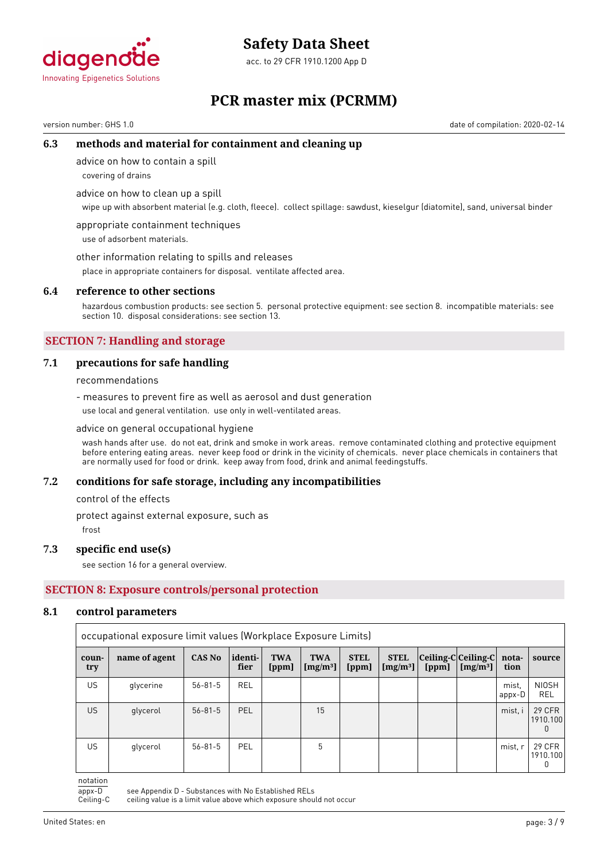

acc. to 29 CFR 1910.1200 App D

# **PCR master mix (PCRMM)**

version number: GHS 1.0 date of compilation: 2020-02-14

# **6.3 methods and material for containment and cleaning up**

advice on how to contain a spill

covering of drains

advice on how to clean up a spill

wipe up with absorbent material (e.g. cloth, fleece). collect spillage: sawdust, kieselgur (diatomite), sand, universal binder

appropriate containment techniques use of adsorbent materials.

other information relating to spills and releases

place in appropriate containers for disposal. ventilate affected area.

#### **6.4 reference to other sections**

hazardous combustion products: see section 5. personal protective equipment: see section 8. incompatible materials: see section 10. disposal considerations: see section 13.

# **SECTION 7: Handling and storage**

### **7.1 precautions for safe handling**

recommendations

- measures to prevent fire as well as aerosol and dust generation use local and general ventilation. use only in well-ventilated areas.

advice on general occupational hygiene

wash hands after use. do not eat, drink and smoke in work areas. remove contaminated clothing and protective equipment before entering eating areas. never keep food or drink in the vicinity of chemicals. never place chemicals in containers that are normally used for food or drink. keep away from food, drink and animal feedingstuffs.

# **7.2 conditions for safe storage, including any incompatibilities**

control of the effects

protect against external exposure, such as

frost

# **7.3 specific end use(s)**

see section 16 for a general overview.

# **SECTION 8: Exposure controls/personal protection**

#### **8.1 control parameters**

|              | occupational exposure limit values (Workplace Exposure Limits) |               |                 |                     |                            |                      |                            |                                     |                      |                 |                         |
|--------------|----------------------------------------------------------------|---------------|-----------------|---------------------|----------------------------|----------------------|----------------------------|-------------------------------------|----------------------|-----------------|-------------------------|
| coun-<br>try | name of agent                                                  | <b>CAS No</b> | identi-<br>fier | <b>TWA</b><br>[ppm] | <b>TWA</b><br>[ $mg/m^3$ ] | <b>STEL</b><br>[ppm] | <b>STEL</b><br>[ $mg/m3$ ] | Ceiling-C Ceiling-C  nota-<br>[ppm] | [mg/m <sup>3</sup> ] | tion            | source                  |
| US.          | glycerine                                                      | $56 - 81 - 5$ | <b>REL</b>      |                     |                            |                      |                            |                                     |                      | mist.<br>appx-D | <b>NIOSH</b><br>REL     |
| US.          | glycerol                                                       | $56 - 81 - 5$ | <b>PEL</b>      |                     | 15                         |                      |                            |                                     |                      | mist, i         | 29 CFR<br>1910.100      |
| US.          | glycerol                                                       | $56 - 81 - 5$ | PEL             |                     | 5                          |                      |                            |                                     |                      | mist, r         | 29 CFR<br>1910.100<br>0 |

notation

appx-D see Appendix D - Substances with No Established RELs<br>Ceiling-C ceiling value is a limit value above which exposure shou ceiling value is a limit value above which exposure should not occur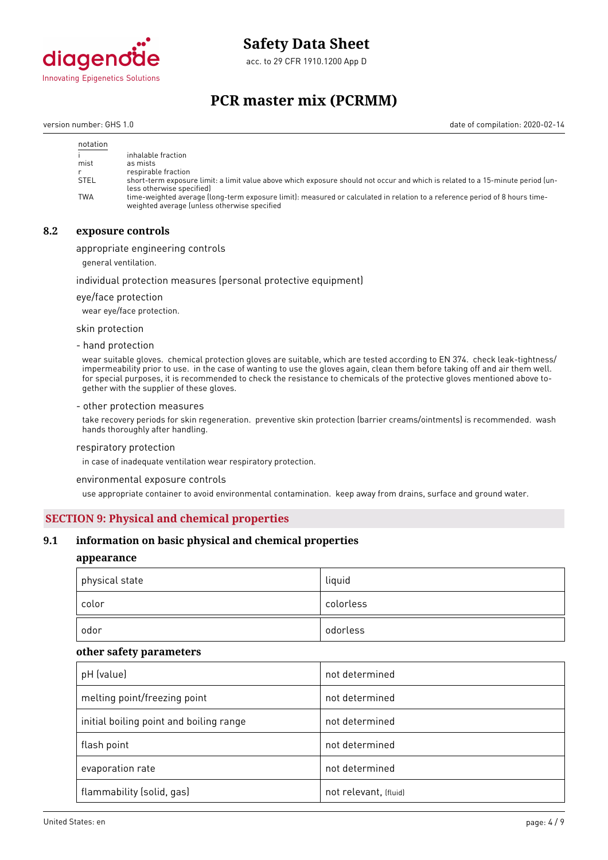

acc. to 29 CFR 1910.1200 App D

# **PCR master mix (PCRMM)**

version number: GHS 1.0 date of compilation: 2020-02-14

| notation    |                                                                                                                                                                             |
|-------------|-----------------------------------------------------------------------------------------------------------------------------------------------------------------------------|
|             | inhalable fraction                                                                                                                                                          |
| mist        | as mists                                                                                                                                                                    |
|             | respirable fraction                                                                                                                                                         |
| <b>STEL</b> | short-term exposure limit: a limit value above which exposure should not occur and which is related to a 15-minute period (un-<br>less otherwise specified)                 |
| <b>TWA</b>  | time-weighted average (long-term exposure limit): measured or calculated in relation to a reference period of 8 hours time-<br>weighted average (unless otherwise specified |

## **8.2 exposure controls**

appropriate engineering controls

general ventilation.

#### individual protection measures (personal protective equipment)

eye/face protection

wear eye/face protection.

skin protection

- hand protection

wear suitable gloves. chemical protection gloves are suitable, which are tested according to EN 374. check leak-tightness/ impermeability prior to use. in the case of wanting to use the gloves again, clean them before taking off and air them well. for special purposes, it is recommended to check the resistance to chemicals of the protective gloves mentioned above together with the supplier of these gloves.

#### - other protection measures

take recovery periods for skin regeneration. preventive skin protection (barrier creams/ointments) is recommended. wash hands thoroughly after handling.

#### respiratory protection

in case of inadequate ventilation wear respiratory protection.

environmental exposure controls

use appropriate container to avoid environmental contamination. keep away from drains, surface and ground water.

#### **SECTION 9: Physical and chemical properties**

### **9.1 information on basic physical and chemical properties**

#### **appearance**

| physical state | liquid    |
|----------------|-----------|
| color          | colorless |
| odor           | odorless  |

#### **other safety parameters**

| pH (value)                              | not determined        |
|-----------------------------------------|-----------------------|
| melting point/freezing point            | not determined        |
| initial boiling point and boiling range | not determined        |
| flash point                             | not determined        |
| evaporation rate                        | not determined        |
| flammability (solid, gas)               | not relevant, (fluid) |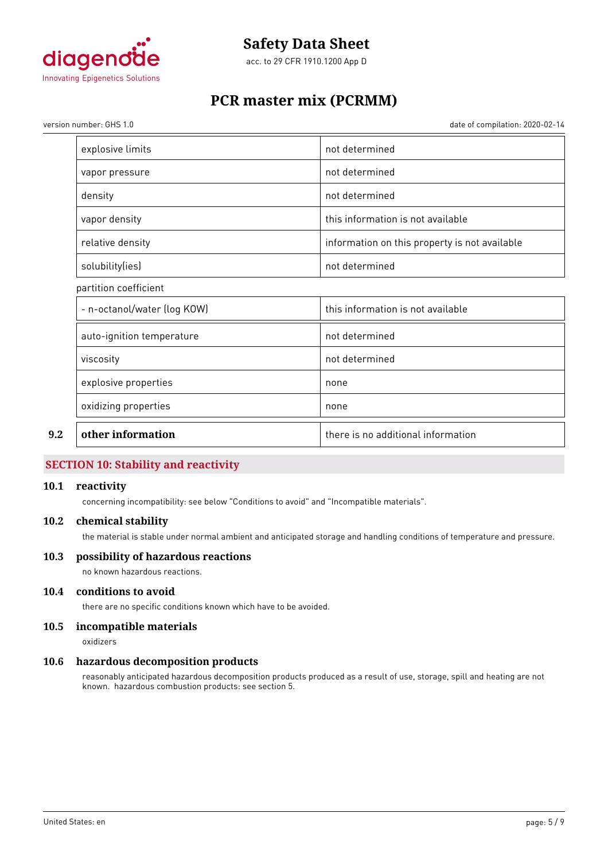

acc. to 29 CFR 1910.1200 App D

# **PCR master mix (PCRMM)**

version number: GHS 1.0 date of compilation: 2020-02-14

| explosive limits            | not determined                                |
|-----------------------------|-----------------------------------------------|
| vapor pressure              | not determined                                |
| density                     | not determined                                |
| vapor density               | this information is not available             |
| relative density            | information on this property is not available |
| solubility(ies)             | not determined                                |
| partition coefficient       |                                               |
| - n-octanol/water (log KOW) | this information is not available             |
| auto-ignition temperature   | not determined                                |
| viscosity                   | not determined                                |
| explosive properties        | none                                          |
| oxidizing properties        | none                                          |
| other information           | there is no additional information            |
|                             |                                               |

# **SECTION 10: Stability and reactivity**

## **10.1 reactivity**

concerning incompatibility: see below "Conditions to avoid" and "Incompatible materials".

### **10.2 chemical stability**

the material is stable under normal ambient and anticipated storage and handling conditions of temperature and pressure.

## **10.3 possibility of hazardous reactions**

no known hazardous reactions.

# **10.4 conditions to avoid**

there are no specific conditions known which have to be avoided.

# **10.5 incompatible materials**

oxidizers

#### **10.6 hazardous decomposition products**

reasonably anticipated hazardous decomposition products produced as a result of use, storage, spill and heating are not known. hazardous combustion products: see section 5.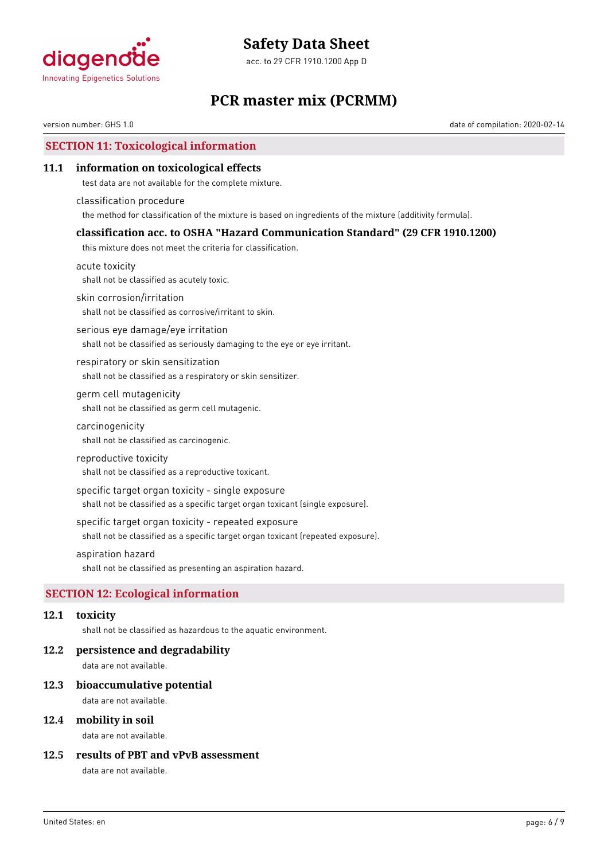

acc. to 29 CFR 1910.1200 App D

# **PCR master mix (PCRMM)**

version number: GHS 1.0 date of compilation: 2020-02-14

# **SECTION 11: Toxicological information**

## **11.1 information on toxicological effects**

test data are not available for the complete mixture.

classification procedure the method for classification of the mixture is based on ingredients of the mixture (additivity formula).

# **classification acc. to OSHA "Hazard Communication Standard" (29 CFR 1910.1200)**

this mixture does not meet the criteria for classification.

acute toxicity shall not be classified as acutely toxic.

skin corrosion/irritation

shall not be classified as corrosive/irritant to skin.

serious eye damage/eye irritation shall not be classified as seriously damaging to the eye or eye irritant.

respiratory or skin sensitization shall not be classified as a respiratory or skin sensitizer.

### germ cell mutagenicity shall not be classified as germ cell mutagenic.

carcinogenicity

shall not be classified as carcinogenic.

#### reproductive toxicity

shall not be classified as a reproductive toxicant.

#### specific target organ toxicity - single exposure

shall not be classified as a specific target organ toxicant (single exposure).

#### specific target organ toxicity - repeated exposure

shall not be classified as a specific target organ toxicant (repeated exposure).

### aspiration hazard

shall not be classified as presenting an aspiration hazard.

# **SECTION 12: Ecological information**

#### **12.1 toxicity**

shall not be classified as hazardous to the aquatic environment.

#### **12.2 persistence and degradability**

data are not available.

#### **12.3 bioaccumulative potential**

data are not available.

### **12.4 mobility in soil**

data are not available.

## **12.5 results of PBT and vPvB assessment**

data are not available.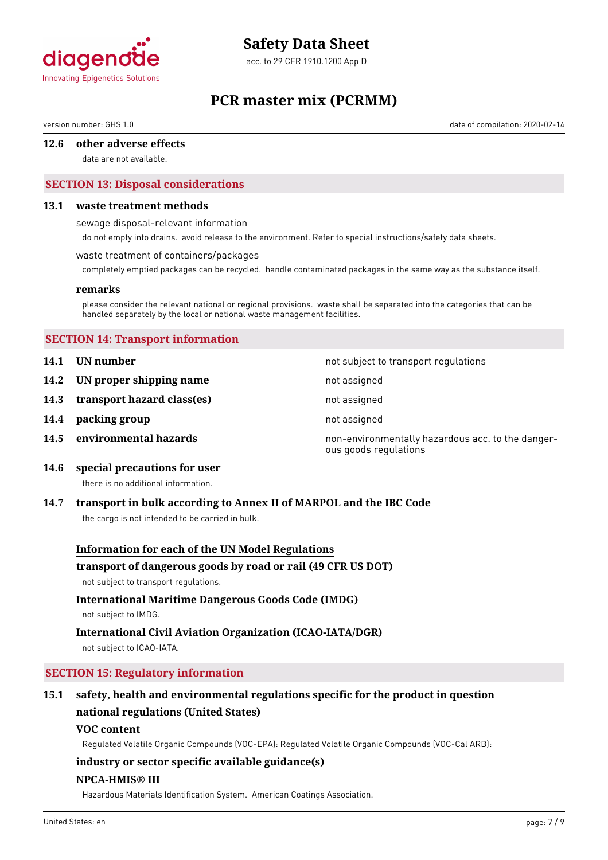

acc. to 29 CFR 1910.1200 App D

# **PCR master mix (PCRMM)**

version number: GHS 1.0 date of compilation: 2020-02-14

#### **12.6 other adverse effects**

data are not available.

# **SECTION 13: Disposal considerations**

#### **13.1 waste treatment methods**

sewage disposal-relevant information

do not empty into drains. avoid release to the environment. Refer to special instructions/safety data sheets.

#### waste treatment of containers/packages

completely emptied packages can be recycled. handle contaminated packages in the same way as the substance itself.

#### **remarks**

please consider the relevant national or regional provisions. waste shall be separated into the categories that can be handled separately by the local or national waste management facilities.

### **SECTION 14: Transport information**

- **14.1 UN number 14.1 UN** number
- **14.2 IN proper shipping name** not assigned
- **14.3 transport hazard class(es)** not assigned
- **14.4 packing group not assigned**
- 

**14.5 environmental hazards non-environmentally hazardous acc. to the danger**ous goods regulations

**14.6 special precautions for user**

there is no additional information.

#### **14.7 transport in bulk according to Annex II of MARPOL and the IBC Code**

the cargo is not intended to be carried in bulk.

#### **Information for each of the UN Model Regulations**

#### **transport of dangerous goods by road or rail (49 CFR US DOT)**

not subject to transport regulations.

# **International Maritime Dangerous Goods Code (IMDG)**

not subject to IMDG.

# **International Civil Aviation Organization (ICAO-IATA/DGR)**

not subject to ICAO-IATA.

# **SECTION 15: Regulatory information**

# **15.1 safety, health and environmental regulations specific for the product in question national regulations (United States)**

#### **VOC content**

Regulated Volatile Organic Compounds (VOC-EPA): Regulated Volatile Organic Compounds (VOC-Cal ARB):

# **industry or sector specific available guidance(s)**

### **NPCA-HMIS® III**

Hazardous Materials Identification System. American Coatings Association.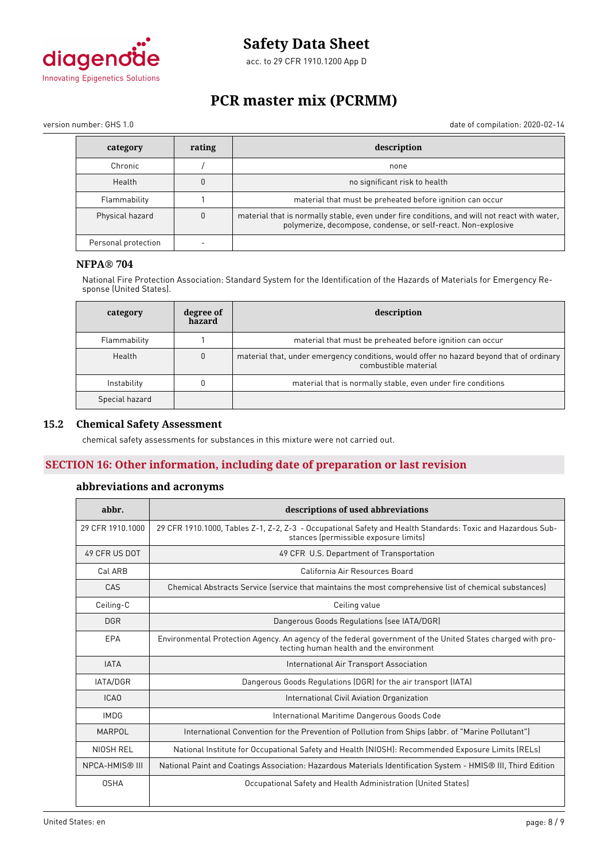

acc. to 29 CFR 1910.1200 App D

# **PCR master mix (PCRMM)**

version number: GHS 1.0 date of compilation: 2020-02-14

| category            | rating   | description                                                                                                                                                   |
|---------------------|----------|---------------------------------------------------------------------------------------------------------------------------------------------------------------|
| Chronic             |          | none                                                                                                                                                          |
| Health              |          | no significant risk to health                                                                                                                                 |
| Flammability        |          | material that must be preheated before ignition can occur                                                                                                     |
| Physical hazard     | $\Omega$ | material that is normally stable, even under fire conditions, and will not react with water,<br>polymerize, decompose, condense, or self-react. Non-explosive |
| Personal protection |          |                                                                                                                                                               |

# **NFPA® 704**

National Fire Protection Association: Standard System for the Identification of the Hazards of Materials for Emergency Response (United States).

| category       | degree of<br>hazard | description                                                                                                      |
|----------------|---------------------|------------------------------------------------------------------------------------------------------------------|
| Flammability   |                     | material that must be preheated before ignition can occur                                                        |
| Health         | $\mathbf{0}$        | material that, under emergency conditions, would offer no hazard beyond that of ordinary<br>combustible material |
| Instability    |                     | material that is normally stable, even under fire conditions                                                     |
| Special hazard |                     |                                                                                                                  |

## **15.2 Chemical Safety Assessment**

chemical safety assessments for substances in this mixture were not carried out.

# **SECTION 16: Other information, including date of preparation or last revision**

# **abbreviations and acronyms**

| abbr.             | descriptions of used abbreviations                                                                                                                      |  |  |
|-------------------|---------------------------------------------------------------------------------------------------------------------------------------------------------|--|--|
| 29 CFR 1910, 1000 | 29 CFR 1910.1000, Tables Z-1, Z-2, Z-3 - Occupational Safety and Health Standards: Toxic and Hazardous Sub-<br>stances (permissible exposure limits)    |  |  |
| 49 CFR US DOT     | 49 CFR U.S. Department of Transportation                                                                                                                |  |  |
| Cal ARB           | California Air Resources Board                                                                                                                          |  |  |
| CAS               | Chemical Abstracts Service (service that maintains the most comprehensive list of chemical substances)                                                  |  |  |
| Ceiling-C         | Ceiling value                                                                                                                                           |  |  |
| <b>DGR</b>        | Dangerous Goods Regulations (see IATA/DGR)                                                                                                              |  |  |
| EPA               | Environmental Protection Agency. An agency of the federal government of the United States charged with pro-<br>tecting human health and the environment |  |  |
| <b>IATA</b>       | International Air Transport Association                                                                                                                 |  |  |
| <b>IATA/DGR</b>   | Dangerous Goods Regulations (DGR) for the air transport (IATA)                                                                                          |  |  |
| <b>ICAO</b>       | International Civil Aviation Organization                                                                                                               |  |  |
| <b>IMDG</b>       | International Maritime Dangerous Goods Code                                                                                                             |  |  |
| <b>MARPOL</b>     | International Convention for the Prevention of Pollution from Ships (abbr. of "Marine Pollutant")                                                       |  |  |
| NIOSH REL         | National Institute for Occupational Safety and Health (NIOSH): Recommended Exposure Limits (RELs)                                                       |  |  |
| NPCA-HMIS® III    | National Paint and Coatings Association: Hazardous Materials Identification System - HMIS® III, Third Edition                                           |  |  |
| <b>OSHA</b>       | Occupational Safety and Health Administration (United States)                                                                                           |  |  |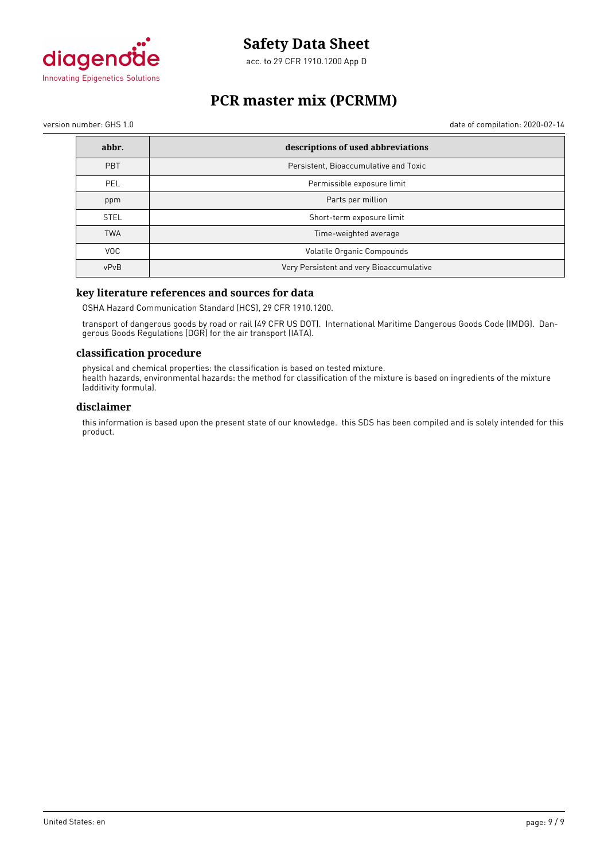

acc. to 29 CFR 1910.1200 App D

# **PCR master mix (PCRMM)**

version number: GHS 1.0 date of compilation: 2020-02-14

| abbr.       | descriptions of used abbreviations       |
|-------------|------------------------------------------|
| <b>PBT</b>  | Persistent, Bioaccumulative and Toxic    |
| <b>PEL</b>  | Permissible exposure limit               |
| ppm         | Parts per million                        |
| <b>STEL</b> | Short-term exposure limit                |
| <b>TWA</b>  | Time-weighted average                    |
| <b>VOC</b>  | Volatile Organic Compounds               |
| vPvB        | Very Persistent and very Bioaccumulative |

# **key literature references and sources for data**

OSHA Hazard Communication Standard (HCS), 29 CFR 1910.1200.

transport of dangerous goods by road or rail (49 CFR US DOT). International Maritime Dangerous Goods Code (IMDG). Dangerous Goods Regulations (DGR) for the air transport (IATA).

#### **classification procedure**

physical and chemical properties: the classification is based on tested mixture. health hazards, environmental hazards: the method for classification of the mixture is based on ingredients of the mixture (additivity formula).

### **disclaimer**

this information is based upon the present state of our knowledge. this SDS has been compiled and is solely intended for this product.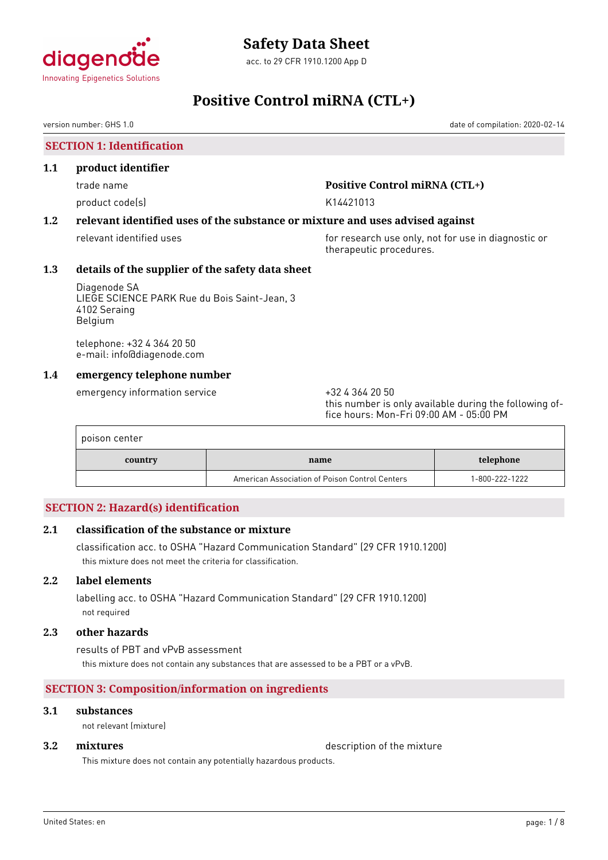

# **Positive Control miRNA (CTL+)**

version number: GHS 1.0 date of compilation: 2020-02-14

**SECTION 1: Identification**

### **1.1 product identifier**

product code(s) and the control of the K14421013

# trade name **Positive Control miRNA (CTL+)**

# **1.2 relevant identified uses of the substance or mixture and uses advised against**

relevant identified uses **for research use only, not for use in diagnostic or** therapeutic procedures.

# **1.3 details of the supplier of the safety data sheet**

Diagenode SA LIEGE SCIENCE PARK Rue du Bois Saint-Jean, 3 4102 Seraing Belgium

telephone: +32 4 364 20 50 e-mail: info@diagenode.com

# **1.4 emergency telephone number**

emergency information service  $+3243642050$ 

this number is only available during the following office hours: Mon-Fri 09:00 AM - 05:00 PM

| poison center |                                                |                |
|---------------|------------------------------------------------|----------------|
| country       | name                                           | telephone      |
|               | American Association of Poison Control Centers | 1-800-222-1222 |

# **SECTION 2: Hazard(s) identification**

# **2.1 classification of the substance or mixture**

classification acc. to OSHA "Hazard Communication Standard" (29 CFR 1910.1200) this mixture does not meet the criteria for classification.

# **2.2 label elements**

labelling acc. to OSHA "Hazard Communication Standard" (29 CFR 1910.1200) not required

# **2.3 other hazards**

results of PBT and vPvB assessment this mixture does not contain any substances that are assessed to be a PBT or a vPvB.

# **SECTION 3: Composition/information on ingredients**

# **3.1 substances**

not relevant (mixture)

**3.2 <b>mixtures** description of the mixture

This mixture does not contain any potentially hazardous products.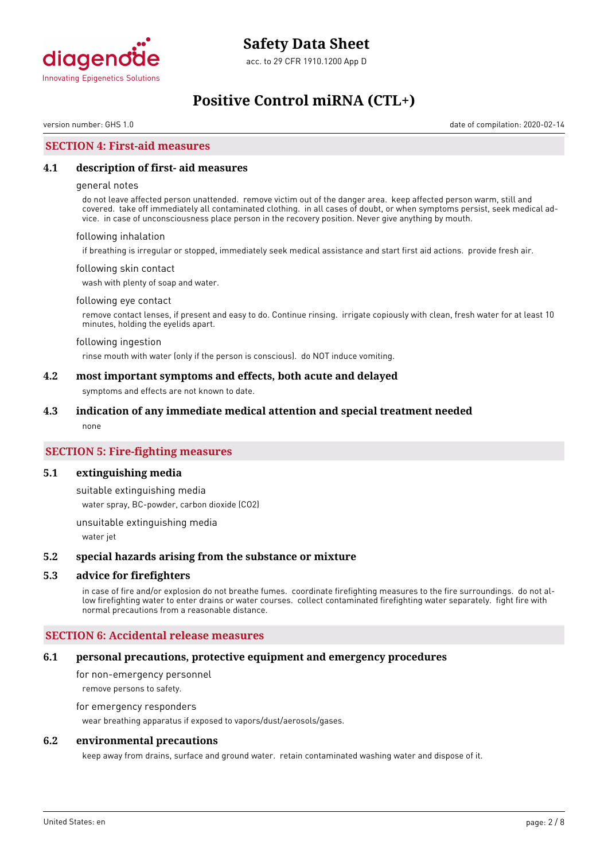

# **Positive Control miRNA (CTL+)**

version number: GHS 1.0 date of compilation: 2020-02-14

# **SECTION 4: First-aid measures**

#### **4.1 description of first- aid measures**

#### general notes

do not leave affected person unattended. remove victim out of the danger area. keep affected person warm, still and covered. take off immediately all contaminated clothing. in all cases of doubt, or when symptoms persist, seek medical advice. in case of unconsciousness place person in the recovery position. Never give anything by mouth.

#### following inhalation

if breathing is irregular or stopped, immediately seek medical assistance and start first aid actions. provide fresh air.

#### following skin contact

wash with plenty of soap and water.

#### following eye contact

remove contact lenses, if present and easy to do. Continue rinsing. irrigate copiously with clean, fresh water for at least 10 minutes, holding the eyelids apart.

#### following ingestion

rinse mouth with water (only if the person is conscious). do NOT induce vomiting.

#### **4.2 most important symptoms and effects, both acute and delayed**

symptoms and effects are not known to date.

#### **4.3 indication of any immediate medical attention and special treatment needed**

none

## **SECTION 5: Fire-fighting measures**

#### **5.1 extinguishing media**

suitable extinguishing media

water spray, BC-powder, carbon dioxide (CO2)

unsuitable extinguishing media

water jet

#### **5.2 special hazards arising from the substance or mixture**

#### **5.3 advice for firefighters**

in case of fire and/or explosion do not breathe fumes. coordinate firefighting measures to the fire surroundings. do not allow firefighting water to enter drains or water courses. collect contaminated firefighting water separately. fight fire with normal precautions from a reasonable distance.

#### **SECTION 6: Accidental release measures**

#### **6.1 personal precautions, protective equipment and emergency procedures**

for non-emergency personnel remove persons to safety.

# for emergency responders

wear breathing apparatus if exposed to vapors/dust/aerosols/gases.

#### **6.2 environmental precautions**

keep away from drains, surface and ground water. retain contaminated washing water and dispose of it.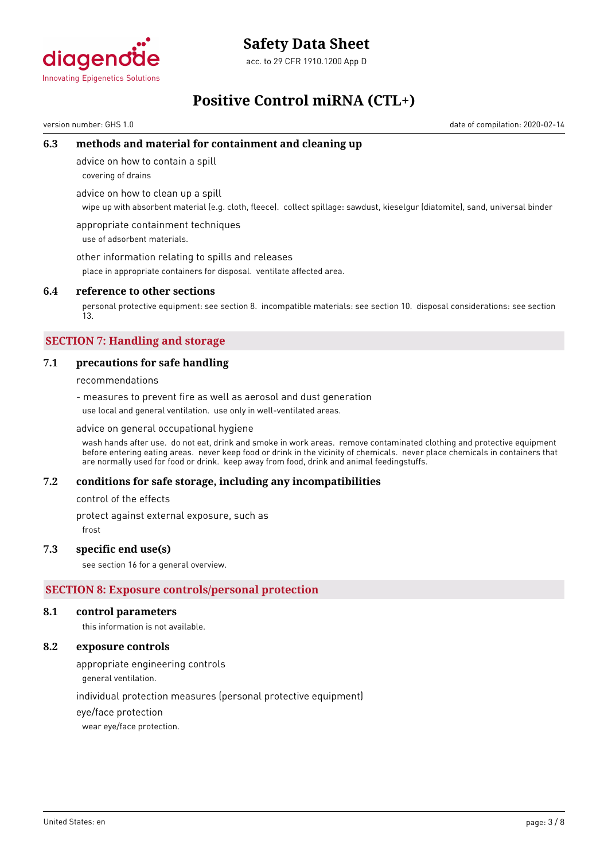

acc. to 29 CFR 1910.1200 App D

# **Positive Control miRNA (CTL+)**

version number: GHS 1.0 date of compilation: 2020-02-14

# **6.3 methods and material for containment and cleaning up**

advice on how to contain a spill

covering of drains

advice on how to clean up a spill

wipe up with absorbent material (e.g. cloth, fleece). collect spillage: sawdust, kieselgur (diatomite), sand, universal binder

appropriate containment techniques use of adsorbent materials.

other information relating to spills and releases

place in appropriate containers for disposal. ventilate affected area.

### **6.4 reference to other sections**

personal protective equipment: see section 8. incompatible materials: see section 10. disposal considerations: see section 13.

# **SECTION 7: Handling and storage**

# **7.1 precautions for safe handling**

recommendations

- measures to prevent fire as well as aerosol and dust generation use local and general ventilation. use only in well-ventilated areas.

#### advice on general occupational hygiene

wash hands after use. do not eat, drink and smoke in work areas. remove contaminated clothing and protective equipment before entering eating areas. never keep food or drink in the vicinity of chemicals. never place chemicals in containers that are normally used for food or drink. keep away from food, drink and animal feedingstuffs.

#### **7.2 conditions for safe storage, including any incompatibilities**

control of the effects

protect against external exposure, such as

frost

#### **7.3 specific end use(s)**

see section 16 for a general overview.

# **SECTION 8: Exposure controls/personal protection**

#### **8.1 control parameters**

this information is not available.

## **8.2 exposure controls**

appropriate engineering controls

general ventilation.

individual protection measures (personal protective equipment)

eye/face protection

wear eye/face protection.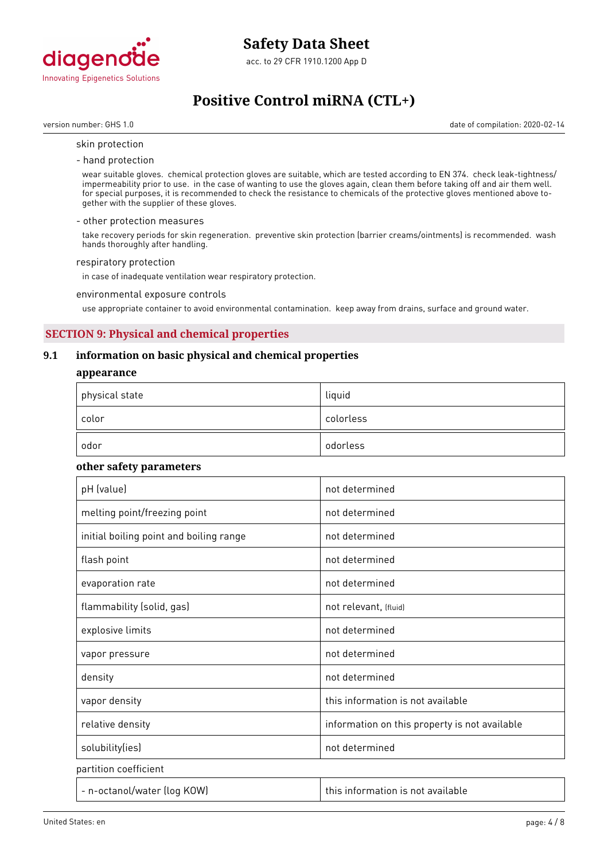

# **Positive Control miRNA (CTL+)**

version number: GHS 1.0 date of compilation: 2020-02-14

#### skin protection

- hand protection

wear suitable gloves. chemical protection gloves are suitable, which are tested according to EN 374. check leak-tightness/ impermeability prior to use. in the case of wanting to use the gloves again, clean them before taking off and air them well. for special purposes, it is recommended to check the resistance to chemicals of the protective gloves mentioned above together with the supplier of these gloves.

#### - other protection measures

take recovery periods for skin regeneration. preventive skin protection (barrier creams/ointments) is recommended. wash hands thoroughly after handling.

#### respiratory protection

in case of inadequate ventilation wear respiratory protection.

environmental exposure controls

use appropriate container to avoid environmental contamination. keep away from drains, surface and ground water.

# **SECTION 9: Physical and chemical properties**

## **9.1 information on basic physical and chemical properties**

#### **appearance**

| $^\mathrm{+}$ physical state | liquid    |
|------------------------------|-----------|
| color                        | colorless |
| odor                         | odorless  |

#### **other safety parameters**

| pH (value)                              | not determined                                |
|-----------------------------------------|-----------------------------------------------|
| melting point/freezing point            | not determined                                |
| initial boiling point and boiling range | not determined                                |
| flash point                             | not determined                                |
| evaporation rate                        | not determined                                |
| flammability (solid, gas)               | not relevant, (fluid)                         |
| explosive limits                        | not determined                                |
| vapor pressure                          | not determined                                |
| density                                 | not determined                                |
| vapor density                           | this information is not available             |
| relative density                        | information on this property is not available |
| solubility(ies)                         | not determined                                |
| partition coefficient                   |                                               |
| - n-octanol/water (log KOW)             | this information is not available             |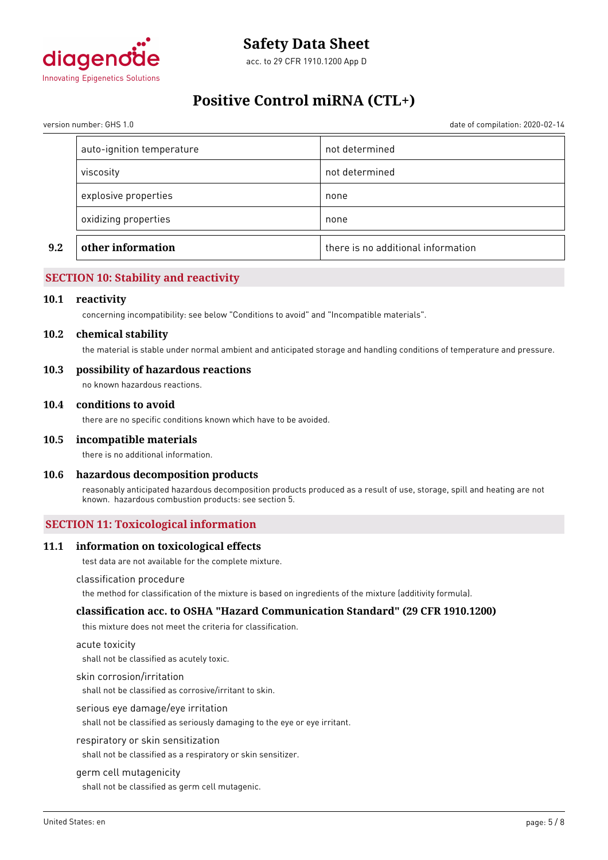

# **Positive Control miRNA (CTL+)**

version number: GHS 1.0 date of compilation: 2020-02-14

| not determined<br>viscosity<br>explosive properties<br>none<br>oxidizing properties<br>none | 9.2 | other information         | there is no additional information |
|---------------------------------------------------------------------------------------------|-----|---------------------------|------------------------------------|
|                                                                                             |     |                           |                                    |
|                                                                                             |     |                           |                                    |
|                                                                                             |     |                           |                                    |
|                                                                                             |     | auto-ignition temperature | not determined                     |

# **SECTION 10: Stability and reactivity**

#### **10.1 reactivity**

concerning incompatibility: see below "Conditions to avoid" and "Incompatible materials".

#### **10.2 chemical stability**

the material is stable under normal ambient and anticipated storage and handling conditions of temperature and pressure.

### **10.3 possibility of hazardous reactions**

no known hazardous reactions.

#### **10.4 conditions to avoid**

there are no specific conditions known which have to be avoided.

#### **10.5 incompatible materials**

there is no additional information.

#### **10.6 hazardous decomposition products**

reasonably anticipated hazardous decomposition products produced as a result of use, storage, spill and heating are not known. hazardous combustion products: see section 5.

# **SECTION 11: Toxicological information**

#### **11.1 information on toxicological effects**

test data are not available for the complete mixture.

#### classification procedure

the method for classification of the mixture is based on ingredients of the mixture (additivity formula).

### **classification acc. to OSHA "Hazard Communication Standard" (29 CFR 1910.1200)**

this mixture does not meet the criteria for classification.

#### acute toxicity

shall not be classified as acutely toxic.

#### skin corrosion/irritation

shall not be classified as corrosive/irritant to skin.

#### serious eye damage/eye irritation

shall not be classified as seriously damaging to the eye or eye irritant.

#### respiratory or skin sensitization

shall not be classified as a respiratory or skin sensitizer.

#### germ cell mutagenicity

shall not be classified as germ cell mutagenic.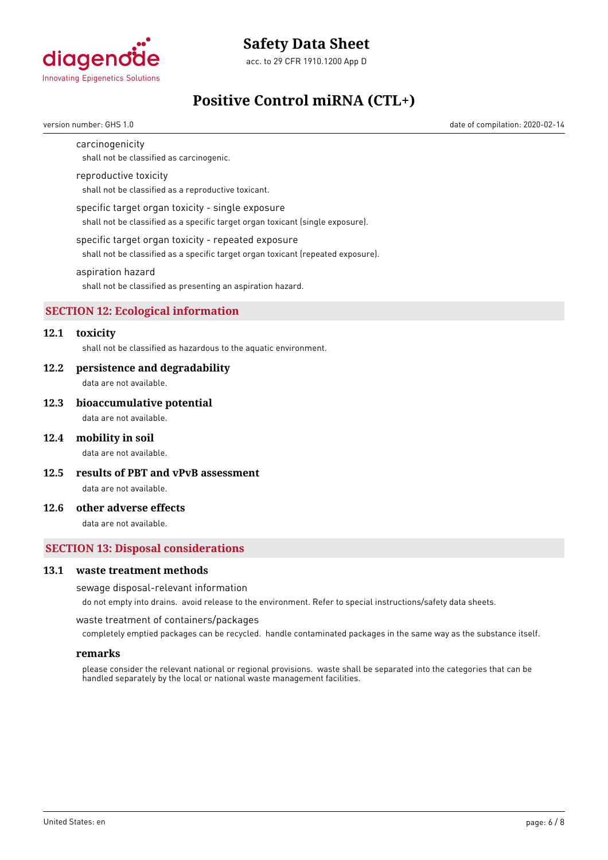

acc. to 29 CFR 1910.1200 App D

# **Positive Control miRNA (CTL+)**

version number: GHS 1.0 date of compilation: 2020-02-14

### carcinogenicity

shall not be classified as carcinogenic.

#### reproductive toxicity

shall not be classified as a reproductive toxicant.

#### specific target organ toxicity - single exposure

shall not be classified as a specific target organ toxicant (single exposure).

#### specific target organ toxicity - repeated exposure

shall not be classified as a specific target organ toxicant (repeated exposure).

#### aspiration hazard

shall not be classified as presenting an aspiration hazard.

# **SECTION 12: Ecological information**

# **12.1 toxicity**

shall not be classified as hazardous to the aquatic environment.

#### **12.2 persistence and degradability**

data are not available.

#### **12.3 bioaccumulative potential**

data are not available.

#### **12.4 mobility in soil**

data are not available.

**12.5 results of PBT and vPvB assessment**

data are not available.

## **12.6 other adverse effects**

data are not available.

### **SECTION 13: Disposal considerations**

#### **13.1 waste treatment methods**

#### sewage disposal-relevant information

do not empty into drains. avoid release to the environment. Refer to special instructions/safety data sheets.

waste treatment of containers/packages

completely emptied packages can be recycled. handle contaminated packages in the same way as the substance itself.

#### **remarks**

please consider the relevant national or regional provisions. waste shall be separated into the categories that can be handled separately by the local or national waste management facilities.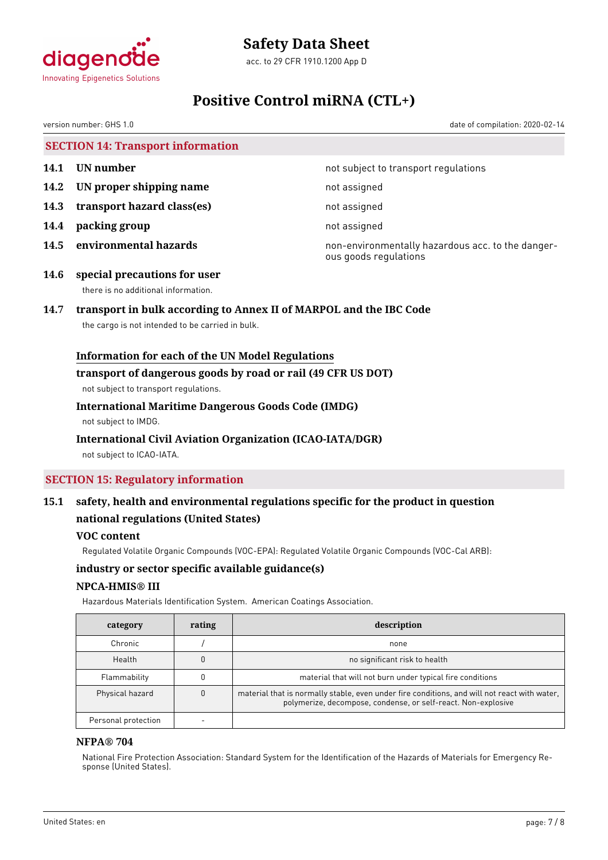

acc. to 29 CFR 1910.1200 App D

# **Positive Control miRNA (CTL+)**

version number: GHS 1.0 date of compilation: 2020-02-14

**SECTION 14: Transport information**

- 
- **14.2 UN proper shipping name** not assigned
- **14.3 transport hazard class(es)** not assigned
- **14.4 packing group** not assigned
- 

**14.1 UN number 14.1 UN** number

**14.5 environmental hazards non-environmentally hazardous acc. to the danger**ous goods regulations

**14.6 special precautions for user** there is no additional information.

# **14.7 transport in bulk according to Annex II of MARPOL and the IBC Code**

the cargo is not intended to be carried in bulk.

# **Information for each of the UN Model Regulations**

### **transport of dangerous goods by road or rail (49 CFR US DOT)**

not subject to transport regulations.

# **International Maritime Dangerous Goods Code (IMDG)**

not subject to IMDG.

# **International Civil Aviation Organization (ICAO-IATA/DGR)**

not subject to ICAO-IATA.

# **SECTION 15: Regulatory information**

# **15.1 safety, health and environmental regulations specific for the product in question national regulations (United States)**

# **VOC content**

Regulated Volatile Organic Compounds (VOC-EPA): Regulated Volatile Organic Compounds (VOC-Cal ARB):

# **industry or sector specific available guidance(s)**

# **NPCA-HMIS® III**

Hazardous Materials Identification System. American Coatings Association.

| category            | rating | description                                                                                                                                                   |
|---------------------|--------|---------------------------------------------------------------------------------------------------------------------------------------------------------------|
| Chronic             |        | none                                                                                                                                                          |
| Health              |        | no significant risk to health                                                                                                                                 |
| Flammability        |        | material that will not burn under typical fire conditions                                                                                                     |
| Physical hazard     |        | material that is normally stable, even under fire conditions, and will not react with water,<br>polymerize, decompose, condense, or self-react. Non-explosive |
| Personal protection |        |                                                                                                                                                               |

# **NFPA® 704**

National Fire Protection Association: Standard System for the Identification of the Hazards of Materials for Emergency Response (United States).